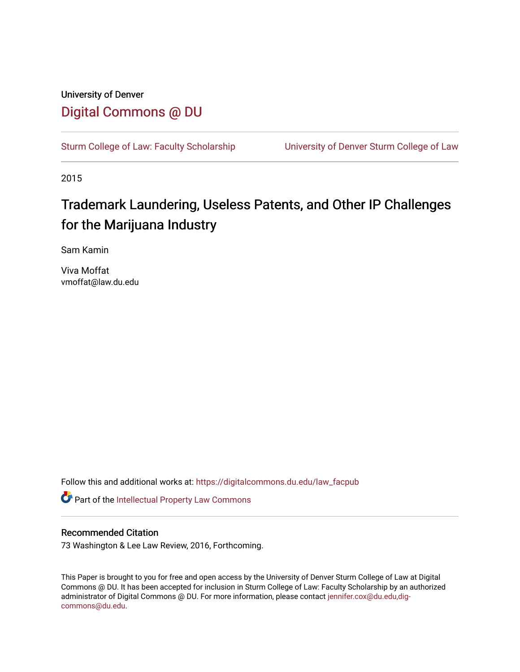# University of Denver [Digital Commons @ DU](https://digitalcommons.du.edu/)

[Sturm College of Law: Faculty Scholarship](https://digitalcommons.du.edu/law_facpub) [University of Denver Sturm College of Law](https://digitalcommons.du.edu/denver_law) 

2015

# Trademark Laundering, Useless Patents, and Other IP Challenges for the Marijuana Industry

Sam Kamin

Viva Moffat vmoffat@law.du.edu

Follow this and additional works at: [https://digitalcommons.du.edu/law\\_facpub](https://digitalcommons.du.edu/law_facpub?utm_source=digitalcommons.du.edu%2Flaw_facpub%2F49&utm_medium=PDF&utm_campaign=PDFCoverPages) 

Part of the [Intellectual Property Law Commons](http://network.bepress.com/hgg/discipline/896?utm_source=digitalcommons.du.edu%2Flaw_facpub%2F49&utm_medium=PDF&utm_campaign=PDFCoverPages) 

# Recommended Citation

73 Washington & Lee Law Review, 2016, Forthcoming.

This Paper is brought to you for free and open access by the University of Denver Sturm College of Law at Digital Commons @ DU. It has been accepted for inclusion in Sturm College of Law: Faculty Scholarship by an authorized administrator of Digital Commons @ DU. For more information, please contact [jennifer.cox@du.edu,dig](mailto:jennifer.cox@du.edu,dig-commons@du.edu)[commons@du.edu.](mailto:jennifer.cox@du.edu,dig-commons@du.edu)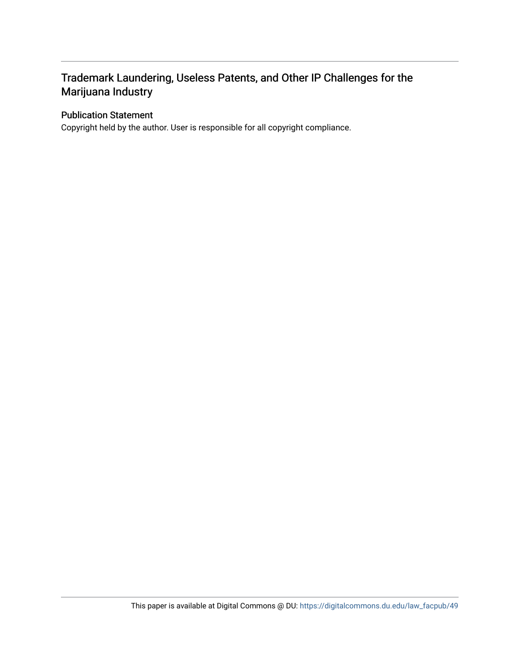# Trademark Laundering, Useless Patents, and Other IP Challenges for the Marijuana Industry

# Publication Statement

Copyright held by the author. User is responsible for all copyright compliance.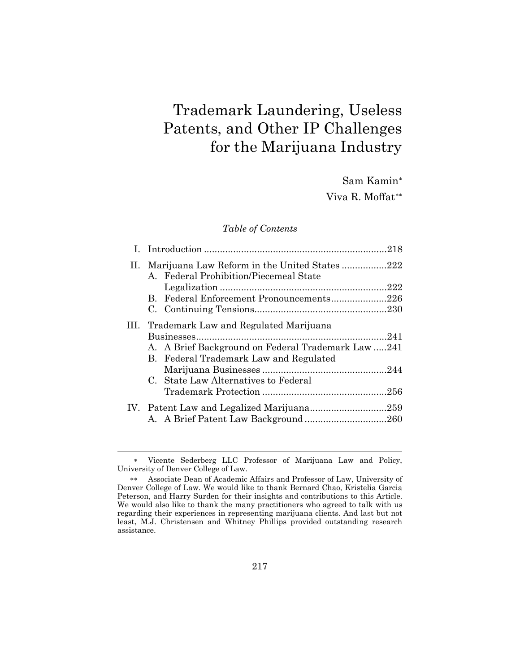# Trademark Laundering, Useless Patents, and Other IP Challenges for the Marijuana Industry

Sam Kamin[∗](#page-2-0) Viva R. Moffat[∗∗](#page-2-1)

#### *Table of Contents*

|  | II. Marijuana Law Reform in the United States 222<br>A. Federal Prohibition/Piecemeal State  |  |
|--|----------------------------------------------------------------------------------------------|--|
|  |                                                                                              |  |
|  | B. Federal Enforcement Pronouncements226                                                     |  |
|  |                                                                                              |  |
|  | III. Trademark Law and Regulated Marijuana                                                   |  |
|  |                                                                                              |  |
|  | A. A Brief Background on Federal Trademark Law 241<br>B. Federal Trademark Law and Regulated |  |
|  |                                                                                              |  |
|  | C. State Law Alternatives to Federal                                                         |  |
|  |                                                                                              |  |
|  |                                                                                              |  |
|  | A. A Brief Patent Law Background260                                                          |  |

l

<span id="page-2-0"></span><sup>∗</sup> Vicente Sederberg LLC Professor of Marijuana Law and Policy, University of Denver College of Law.

<span id="page-2-1"></span><sup>∗∗</sup> Associate Dean of Academic Affairs and Professor of Law, University of Denver College of Law. We would like to thank Bernard Chao, Kristelia Garcia Peterson, and Harry Surden for their insights and contributions to this Article. We would also like to thank the many practitioners who agreed to talk with us regarding their experiences in representing marijuana clients. And last but not least, M.J. Christensen and Whitney Phillips provided outstanding research assistance.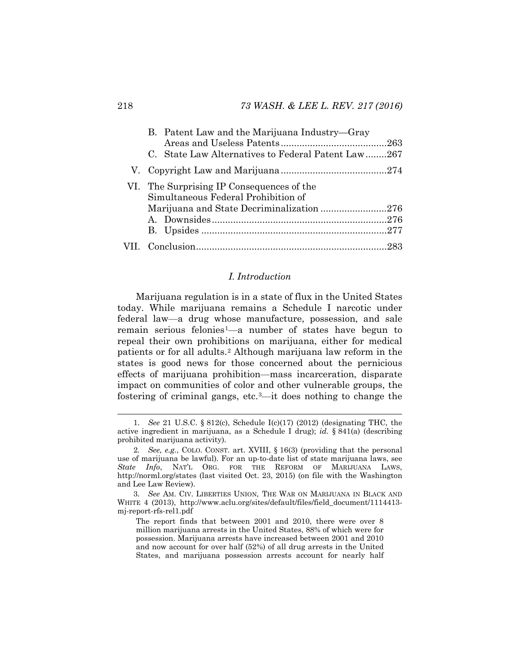| B. Patent Law and the Marijuana Industry—Gray                                    |  |
|----------------------------------------------------------------------------------|--|
| C. State Law Alternatives to Federal Patent Law267                               |  |
|                                                                                  |  |
| VI. The Surprising IP Consequences of the<br>Simultaneous Federal Prohibition of |  |
| Marijuana and State Decriminalization 276                                        |  |
|                                                                                  |  |
|                                                                                  |  |
|                                                                                  |  |

## <span id="page-3-4"></span><span id="page-3-3"></span>*I. Introduction*

Marijuana regulation is in a state of flux in the United States today. While marijuana remains a Schedule I narcotic under federal law—a drug whose manufacture, possession, and sale remain serious felonies<sup>1</sup>—a number of states have begun to repeal their own prohibitions on marijuana, either for medical patients or for all adults.[2](#page-3-1) Although marijuana law reform in the states is good news for those concerned about the pernicious effects of marijuana prohibition—mass incarceration, disparate impact on communities of color and other vulnerable groups, the fostering of criminal gangs, etc[.3](#page-3-2)—it does nothing to change the

<span id="page-3-0"></span> <sup>1</sup>*. See* 21 U.S.C. § 812(c), Schedule I(c)(17) (2012) (designating THC, the active ingredient in marijuana, as a Schedule I drug); *id.* § 841(a) (describing prohibited marijuana activity).

<span id="page-3-1"></span><sup>2</sup>*. See, e.g.*, COLO. CONST. art. XVIII, § 16(3) (providing that the personal use of marijuana be lawful). For an up-to-date list of state marijuana laws, see *State Info*, NAT'L ORG. FOR THE REFORM OF MARIJUANA LAWS, http://norml.org/states (last visited Oct. 23, 2015) (on file with the Washington and Lee Law Review).

<span id="page-3-2"></span><sup>3</sup>*. See* AM. CIV. LIBERTIES UNION, THE WAR ON MARIJUANA IN BLACK AND WHITE 4 (2013), http://www.aclu.org/sites/default/files/field\_document/1114413 mj-report-rfs-rel1.pdf

The report finds that between 2001 and 2010, there were over 8 million marijuana arrests in the United States, 88% of which were for possession. Marijuana arrests have increased between 2001 and 2010 and now account for over half (52%) of all drug arrests in the United States, and marijuana possession arrests account for nearly half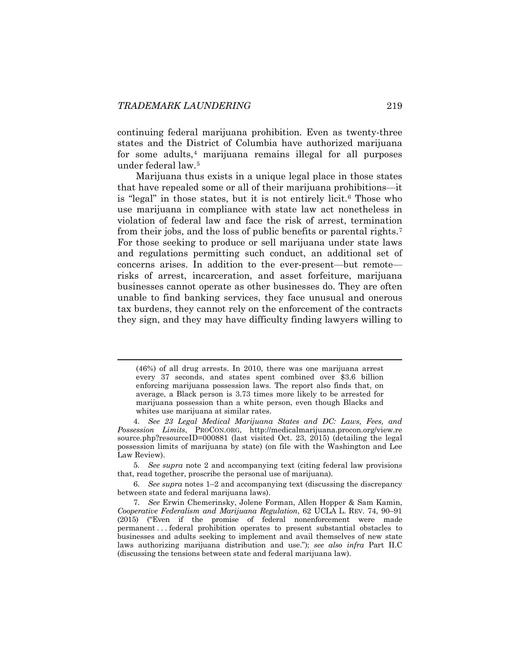continuing federal marijuana prohibition. Even as twenty-three states and the District of Columbia have authorized marijuana for some adults,<sup>[4](#page-4-0)</sup> marijuana remains illegal for all purposes under federal law.[5](#page-4-1)

<span id="page-4-4"></span>Marijuana thus exists in a unique legal place in those states that have repealed some or all of their marijuana prohibitions—it is "legal" in those states, but it is not entirely licit.[6](#page-4-2) Those who use marijuana in compliance with state law act nonetheless in violation of federal law and face the risk of arrest, termination from their jobs, and the loss of public benefits or parental rights.[7](#page-4-3) For those seeking to produce or sell marijuana under state laws and regulations permitting such conduct, an additional set of concerns arises. In addition to the ever-present—but remote risks of arrest, incarceration, and asset forfeiture, marijuana businesses cannot operate as other businesses do. They are often unable to find banking services, they face unusual and onerous tax burdens, they cannot rely on the enforcement of the contracts they sign, and they may have difficulty finding lawyers willing to

<span id="page-4-1"></span>5*. See supra* note [2](#page-3-3) and accompanying text (citing federal law provisions that, read together, proscribe the personal use of marijuana).

<span id="page-4-2"></span>6*. See supra* notes [1–](#page-3-4)[2](#page-3-3) and accompanying text (discussing the discrepancy between state and federal marijuana laws).

 <sup>(46%)</sup> of all drug arrests. In 2010, there was one marijuana arrest every 37 seconds, and states spent combined over \$3.6 billion enforcing marijuana possession laws. The report also finds that, on average, a Black person is 3.73 times more likely to be arrested for marijuana possession than a white person, even though Blacks and whites use marijuana at similar rates.

<span id="page-4-0"></span><sup>4</sup>*. See 23 Legal Medical Marijuana States and DC: Laws, Fees, and Possession Limits*, PROCON.ORG, http://medicalmarijuana.procon.org/view.re source.php?resourceID=000881 (last visited Oct. 23, 2015) (detailing the legal possession limits of marijuana by state) (on file with the Washington and Lee Law Review).

<span id="page-4-3"></span><sup>7</sup>*. See* Erwin Chemerinsky, Jolene Forman, Allen Hopper & Sam Kamin, *Cooperative Federalism and Marijuana Regulation*, 62 UCLA L. REV. 74, 90–91 (2015) ("Even if the promise of federal nonenforcement were made permanent . . . federal prohibition operates to present substantial obstacles to businesses and adults seeking to implement and avail themselves of new state laws authorizing marijuana distribution and use."); *see also infra* Part II.C (discussing the tensions between state and federal marijuana law).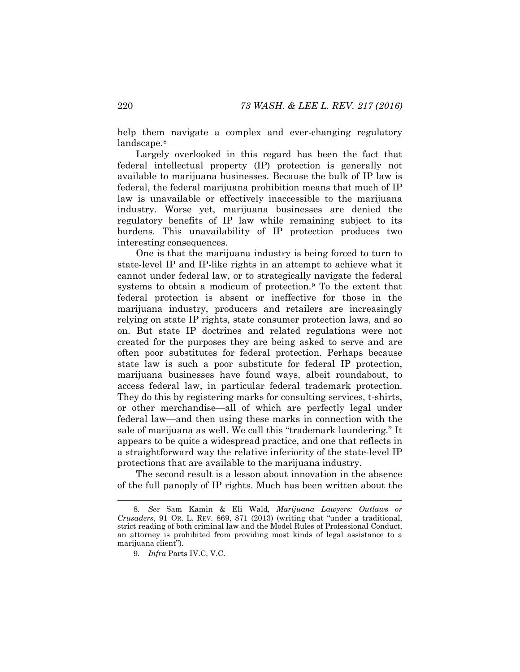<span id="page-5-2"></span>help them navigate a complex and ever-changing regulatory landscape.<sup>[8](#page-5-0)</sup>

Largely overlooked in this regard has been the fact that federal intellectual property (IP) protection is generally not available to marijuana businesses. Because the bulk of IP law is federal, the federal marijuana prohibition means that much of IP law is unavailable or effectively inaccessible to the marijuana industry. Worse yet, marijuana businesses are denied the regulatory benefits of IP law while remaining subject to its burdens. This unavailability of IP protection produces two interesting consequences.

One is that the marijuana industry is being forced to turn to state-level IP and IP-like rights in an attempt to achieve what it cannot under federal law, or to strategically navigate the federal systems to obtain a modicum of protection.[9](#page-5-1) To the extent that federal protection is absent or ineffective for those in the marijuana industry, producers and retailers are increasingly relying on state IP rights, state consumer protection laws, and so on. But state IP doctrines and related regulations were not created for the purposes they are being asked to serve and are often poor substitutes for federal protection. Perhaps because state law is such a poor substitute for federal IP protection, marijuana businesses have found ways, albeit roundabout, to access federal law, in particular federal trademark protection. They do this by registering marks for consulting services, t-shirts, or other merchandise—all of which are perfectly legal under federal law—and then using these marks in connection with the sale of marijuana as well. We call this "trademark laundering." It appears to be quite a widespread practice, and one that reflects in a straightforward way the relative inferiority of the state-level IP protections that are available to the marijuana industry.

The second result is a lesson about innovation in the absence of the full panoply of IP rights. Much has been written about the

<span id="page-5-1"></span><span id="page-5-0"></span> <sup>8</sup>*. See* Sam Kamin & Eli Wald*, Marijuana Lawyers: Outlaws or Crusaders*, 91 OR. L. REV. 869, 871 (2013) (writing that "under a traditional, strict reading of both criminal law and the Model Rules of Professional Conduct, an attorney is prohibited from providing most kinds of legal assistance to a marijuana client").

<sup>9</sup>*. Infra* Parts IV.C, V.C.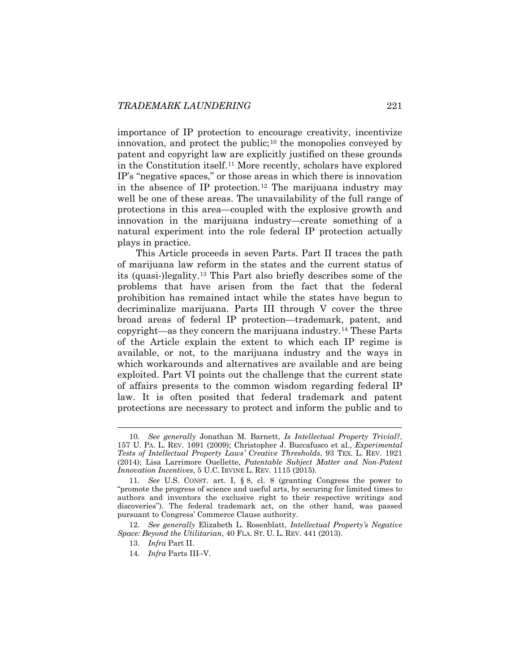<span id="page-6-5"></span>importance of IP protection to encourage creativity, incentivize innovation, and protect the public; $10$  the monopolies conveyed by patent and copyright law are explicitly justified on these grounds in the Constitution itself[.11](#page-6-1) More recently, scholars have explored IP's "negative spaces," or those areas in which there is innovation in the absence of IP protection.<sup>[12](#page-6-2)</sup> The marijuana industry may well be one of these areas. The unavailability of the full range of protections in this area—coupled with the explosive growth and innovation in the marijuana industry—create something of a natural experiment into the role federal IP protection actually plays in practice.

This Article proceeds in seven Parts. Part II traces the path of marijuana law reform in the states and the current status of its (quasi-)legality[.13](#page-6-3) This Part also briefly describes some of the problems that have arisen from the fact that the federal prohibition has remained intact while the states have begun to decriminalize marijuana. Parts III through V cover the three broad areas of federal IP protection—trademark, patent, and copyright—as they concern the marijuana industry.[14](#page-6-4) These Parts of the Article explain the extent to which each IP regime is available, or not, to the marijuana industry and the ways in which workarounds and alternatives are available and are being exploited. Part VI points out the challenge that the current state of affairs presents to the common wisdom regarding federal IP law. It is often posited that federal trademark and patent protections are necessary to protect and inform the public and to

<span id="page-6-0"></span> <sup>10</sup>*. See generally* Jonathan M. Barnett, *Is Intellectual Property Trivial?*, 157 U. PA. L. REV. 1691 (2009); Christopher J. Buccafusco et al., *Experimental Tests of Intellectual Property Laws' Creative Thresholds*, 93 TEX. L. REV. 1921 (2014); Lisa Larrimore Ouellette, *Patentable Subject Matter and Non-Patent Innovation Incentives*, 5 U.C. IRVINE L. REV. 1115 (2015).

<span id="page-6-1"></span><sup>11</sup>*. See* U.S. CONST. art. I, § 8, cl. 8 (granting Congress the power to "promote the progress of science and useful arts, by securing for limited times to authors and inventors the exclusive right to their respective writings and discoveries"). The federal trademark act, on the other hand, was passed pursuant to Congress' Commerce Clause authority.

<span id="page-6-4"></span><span id="page-6-3"></span><span id="page-6-2"></span><sup>12.</sup> *See generally* Elizabeth L. Rosenblatt, *Intellectual Property's Negative Space: Beyond the Utilitarian*, 40 FLA. ST. U. L. REV. 441 (2013).

<sup>13.</sup> *Infra* Part II.

<sup>14</sup>*. Infra* Parts III–V.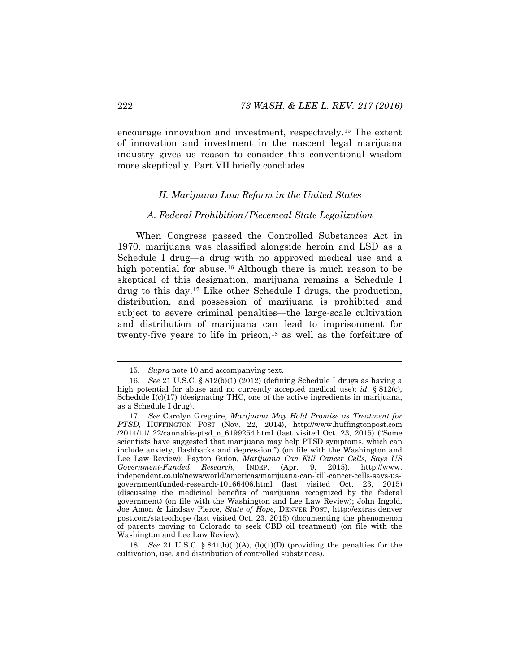encourage innovation and investment, respectively.[15](#page-7-0) The extent of innovation and investment in the nascent legal marijuana industry gives us reason to consider this conventional wisdom more skeptically. Part VII briefly concludes.

#### <span id="page-7-5"></span>*II. Marijuana Law Reform in the United States*

#### <span id="page-7-4"></span>*A. Federal Prohibition/Piecemeal State Legalization*

When Congress passed the Controlled Substances Act in 1970, marijuana was classified alongside heroin and LSD as a Schedule I drug—a drug with no approved medical use and a high potential for abuse.<sup>[16](#page-7-1)</sup> Although there is much reason to be skeptical of this designation, marijuana remains a Schedule I drug to this day.[17](#page-7-2) Like other Schedule I drugs, the production, distribution, and possession of marijuana is prohibited and subject to severe criminal penalties—the large-scale cultivation and distribution of marijuana can lead to imprisonment for twenty-five years to life in prison,<sup>18</sup> as well as the forfeiture of

 <sup>15</sup>*. Supra* note [10](#page-6-5) and accompanying text.

<span id="page-7-1"></span><span id="page-7-0"></span><sup>16</sup>*. See* 21 U.S.C. § 812(b)(1) (2012) (defining Schedule I drugs as having a high potential for abuse and no currently accepted medical use); *id.* § 812(c), Schedule I(c)(17) (designating THC, one of the active ingredients in marijuana, as a Schedule I drug).

<span id="page-7-2"></span><sup>17</sup>*. See* Carolyn Gregoire, *Marijuana May Hold Promise as Treatment for PTSD*, HUFFINGTON POST (Nov. 22, 2014), http://www.huffingtonpost.com /2014/11/ 22/cannabis-ptsd\_n\_6199254.html (last visited Oct. 23, 2015) ("Some scientists have suggested that marijuana may help PTSD symptoms, which can include anxiety, flashbacks and depression.") (on file with the Washington and Lee Law Review); Payton Guion, *Marijuana Can Kill Cancer Cells, Says US Government-Funded Research*, INDEP. (Apr. 9, 2015), http://www. independent.co.uk/news/world/americas/marijuana-can-kill-cancer-cells-says-usgovernmentfunded-research-10166406.html (last visited Oct. 23, 2015) (discussing the medicinal benefits of marijuana recognized by the federal government) (on file with the Washington and Lee Law Review); John Ingold, Joe Amon & Lindsay Pierce, *State of Hope*, DENVER POST, http://extras.denver post.com/stateofhope (last visited Oct. 23, 2015) (documenting the phenomenon of parents moving to Colorado to seek CBD oil treatment) (on file with the Washington and Lee Law Review).

<span id="page-7-3"></span><sup>18</sup>*. See* 21 U.S.C. § 841(b)(1)(A), (b)(1)(D) (providing the penalties for the cultivation, use, and distribution of controlled substances).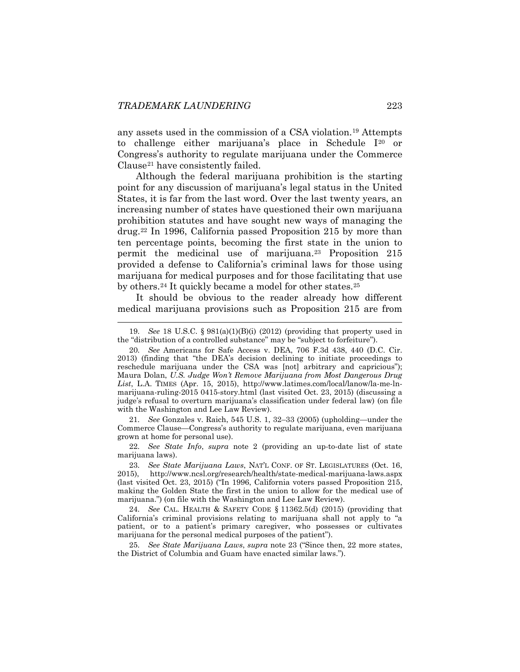any assets used in the commission of a CSA violation.[19](#page-8-1) Attempts to challenge either marijuana's place in Schedule I[20](#page-8-2) or Congress's authority to regulate marijuana under the Commerce Clause[21](#page-8-3) have consistently failed.

Although the federal marijuana prohibition is the starting point for any discussion of marijuana's legal status in the United States, it is far from the last word. Over the last twenty years, an increasing number of states have questioned their own marijuana prohibition statutes and have sought new ways of managing the drug.[22](#page-8-4) In 1996, California passed Proposition 215 by more than ten percentage points, becoming the first state in the union to permit the medicinal use of marijuana.[23](#page-8-5) Proposition 215 provided a defense to California's criminal laws for those using marijuana for medical purposes and for those facilitating that use by others.[24](#page-8-6) It quickly became a model for other states.[25](#page-8-7)

<span id="page-8-8"></span><span id="page-8-0"></span>It should be obvious to the reader already how different medical marijuana provisions such as Proposition 215 are from

<span id="page-8-3"></span>21*. See* Gonzales v. Raich, 545 U.S. 1, 32–33 (2005) (upholding—under the Commerce Clause—Congress's authority to regulate marijuana, even marijuana grown at home for personal use).

<span id="page-8-1"></span> <sup>19</sup>*. See* 18 U.S.C. § 981(a)(1)(B)(i) (2012) (providing that property used in the "distribution of a controlled substance" may be "subject to forfeiture").

<span id="page-8-2"></span><sup>20</sup>*. See* Americans for Safe Access v. DEA, 706 F.3d 438, 440 (D.C. Cir. 2013) (finding that "the DEA's decision declining to initiate proceedings to reschedule marijuana under the CSA was [not] arbitrary and capricious"); Maura Dolan, *U.S. Judge Won't Remove Marijuana from Most Dangerous Drug List*, L.A. TIMES (Apr. 15, 2015), http://www.latimes.com/local/lanow/la-me-lnmarijuana-ruling-2015 0415-story.html (last visited Oct. 23, 2015) (discussing a judge's refusal to overturn marijuana's classification under federal law) (on file with the Washington and Lee Law Review).

<span id="page-8-4"></span><sup>22</sup>*. See State Info*, *supra* note [2](#page-3-3) (providing an up-to-date list of state marijuana laws).

<span id="page-8-5"></span><sup>23</sup>*. See State Marijuana Laws*, NAT'L CONF. OF ST. LEGISLATURES (Oct. 16, 2015), http://www.ncsl.org/research/health/state-medical-marijuana-laws.aspx (last visited Oct. 23, 2015) ("In 1996, California voters passed Proposition 215, making the Golden State the first in the union to allow for the medical use of marijuana.") (on file with the Washington and Lee Law Review).

<span id="page-8-6"></span><sup>24</sup>*. See* CAL. HEALTH & SAFETY CODE § 11362.5(d) (2015) (providing that California's criminal provisions relating to marijuana shall not apply to "a patient, or to a patient's primary caregiver, who possesses or cultivates marijuana for the personal medical purposes of the patient").

<span id="page-8-7"></span><sup>25</sup>*. See State Marijuana Laws*, *supra* note [23](#page-8-0) ("Since then, 22 more states, the District of Columbia and Guam have enacted similar laws.").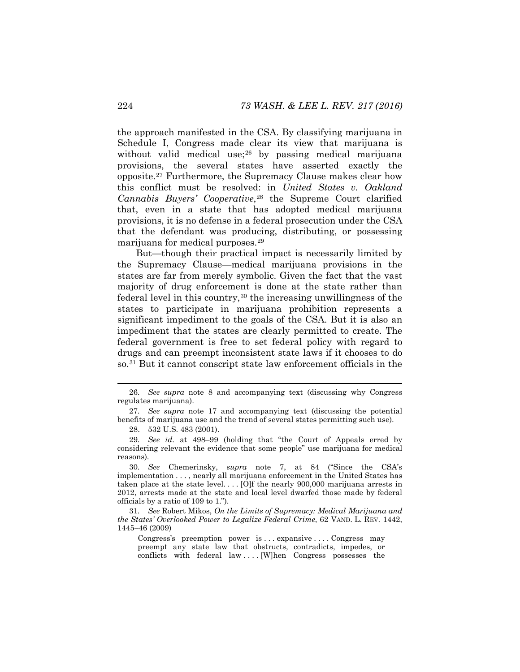the approach manifested in the CSA. By classifying marijuana in Schedule I, Congress made clear its view that marijuana is without valid medical use;<sup>[26](#page-9-0)</sup> by passing medical marijuana provisions, the several states have asserted exactly the opposite.[27](#page-9-1) Furthermore, the Supremacy Clause makes clear how this conflict must be resolved: in *United States v. Oakland Cannabis Buyers' Cooperative*<sup>[28](#page-9-2)</sup> the Supreme Court clarified that, even in a state that has adopted medical marijuana provisions, it is no defense in a federal prosecution under the CSA that the defendant was producing, distributing, or possessing marijuana for medical purposes.[29](#page-9-3)

<span id="page-9-7"></span>But—though their practical impact is necessarily limited by the Supremacy Clause—medical marijuana provisions in the states are far from merely symbolic. Given the fact that the vast majority of drug enforcement is done at the state rather than federal level in this country,[30](#page-9-4) the increasing unwillingness of the states to participate in marijuana prohibition represents a significant impediment to the goals of the CSA. But it is also an impediment that the states are clearly permitted to create. The federal government is free to set federal policy with regard to drugs and can preempt inconsistent state laws if it chooses to do so.[31](#page-9-5) But it cannot conscript state law enforcement officials in the

<span id="page-9-4"></span>30*. See* Chemerinsky, *supra* note [7,](#page-4-4) at 84 ("Since the CSA's implementation . . . , nearly all marijuana enforcement in the United States has taken place at the state level. . . . [O]f the nearly 900,000 marijuana arrests in 2012, arrests made at the state and local level dwarfed those made by federal officials by a ratio of 109 to 1.").

<span id="page-9-5"></span>31*. See* Robert Mikos, *On the Limits of Supremacy: Medical Marijuana and the States' Overlooked Power to Legalize Federal Crime*, 62 VAND. L. REV. 1442, 1445–46 (2009)

Congress's preemption power is . . . expansive . . . . Congress may preempt any state law that obstructs, contradicts, impedes, or conflicts with federal law . . . . [W]hen Congress possesses the

<span id="page-9-6"></span><span id="page-9-0"></span> <sup>26</sup>*. See supra* note [8](#page-5-2) and accompanying text (discussing why Congress regulates marijuana).

<span id="page-9-1"></span><sup>27</sup>*. See supra* note [17](#page-7-4) and accompanying text (discussing the potential benefits of marijuana use and the trend of several states permitting such use).

<sup>28.</sup> 532 U.S. 483 (2001).

<span id="page-9-3"></span><span id="page-9-2"></span><sup>29</sup>*. See id.* at 498–99 (holding that "the Court of Appeals erred by considering relevant the evidence that some people" use marijuana for medical reasons).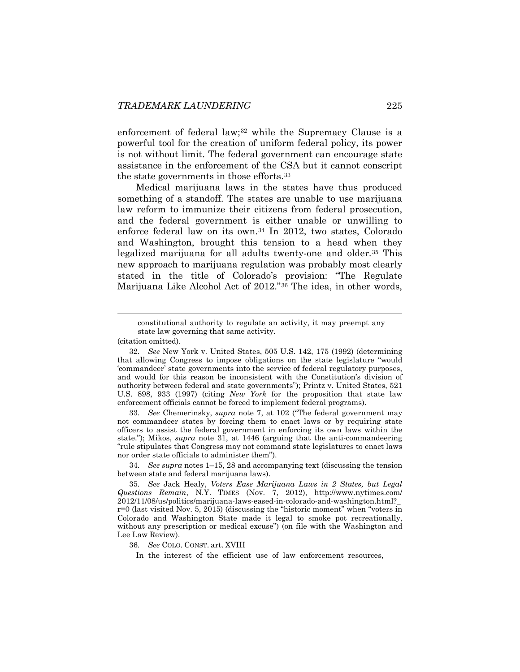<span id="page-10-6"></span>enforcement of federal law;<sup>32</sup> while the Supremacy Clause is a powerful tool for the creation of uniform federal policy, its power is not without limit. The federal government can encourage state assistance in the enforcement of the CSA but it cannot conscript the state governments in those efforts.[33](#page-10-1)

<span id="page-10-7"></span>Medical marijuana laws in the states have thus produced something of a standoff. The states are unable to use marijuana law reform to immunize their citizens from federal prosecution, and the federal government is either unable or unwilling to enforce federal law on its own.[34](#page-10-2) In 2012, two states, Colorado and Washington, brought this tension to a head when they legalized marijuana for all adults twenty-one and older.<sup>[35](#page-10-3)</sup> This new approach to marijuana regulation was probably most clearly stated in the title of Colorado's provision: "The Regulate Marijuana Like Alcohol Act of 2012."[36](#page-10-4) The idea, in other words,

(citation omitted).

<span id="page-10-1"></span>33*. See* Chemerinsky, *supra* note [7,](#page-4-4) at 102 ("The federal government may not commandeer states by forcing them to enact laws or by requiring state officers to assist the federal government in enforcing its own laws within the state."); Mikos, *supra* note [31,](#page-9-6) at 1446 (arguing that the anti-commandeering "rule stipulates that Congress may not command state legislatures to enact laws nor order state officials to administer them").

<span id="page-10-2"></span>34*. See supra* notes [1–](#page-3-4)[15,](#page-7-5) [28](#page-9-7) and accompanying text (discussing the tension between state and federal marijuana laws).

<span id="page-10-3"></span>35*. See* Jack Healy, *Voters Ease Marijuana Laws in 2 States, but Legal Questions Remain*, N.Y. TIMES (Nov. 7, 2012), http://www.nytimes.com/ 2012/11/08/us/politics/marijuana-laws-eased-in-colorado-and-washington.html?\_ r=0 (last visited Nov. 5, 2015) (discussing the "historic moment" when "voters in Colorado and Washington State made it legal to smoke pot recreationally, without any prescription or medical excuse") (on file with the Washington and Lee Law Review).

<span id="page-10-4"></span>36*. See* COLO. CONST. art. XVIII

In the interest of the efficient use of law enforcement resources,

<span id="page-10-5"></span>constitutional authority to regulate an activity, it may preempt any state law governing that same activity.

<span id="page-10-0"></span><sup>32</sup>*. See* New York v. United States, 505 U.S. 142, 175 (1992) (determining that allowing Congress to impose obligations on the state legislature "would 'commandeer' state governments into the service of federal regulatory purposes, and would for this reason be inconsistent with the Constitution's division of authority between federal and state governments"); Printz v. United States, 521 U.S. 898, 933 (1997) (citing *New York* for the proposition that state law enforcement officials cannot be forced to implement federal programs).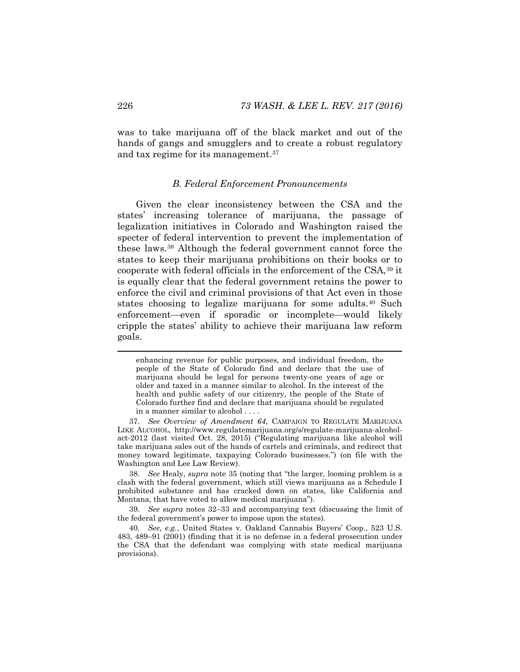was to take marijuana off of the black market and out of the hands of gangs and smugglers and to create a robust regulatory and tax regime for its management.<sup>[37](#page-11-0)</sup>

#### <span id="page-11-4"></span>*B. Federal Enforcement Pronouncements*

Given the clear inconsistency between the CSA and the states' increasing tolerance of marijuana, the passage of legalization initiatives in Colorado and Washington raised the specter of federal intervention to prevent the implementation of these laws.[38](#page-11-1) Although the federal government cannot force the states to keep their marijuana prohibitions on their books or to cooperate with federal officials in the enforcement of the CSA,[39](#page-11-2) it is equally clear that the federal government retains the power to enforce the civil and criminal provisions of that Act even in those states choosing to legalize marijuana for some adults.<sup>[40](#page-11-3)</sup> Such enforcement—even if sporadic or incomplete—would likely cripple the states' ability to achieve their marijuana law reform goals.

<span id="page-11-1"></span>38*. See* Healy, *supra* note [35](#page-10-5) (noting that "the larger, looming problem is a clash with the federal government, which still views marijuana as a Schedule I prohibited substance and has cracked down on states, like California and Montana, that have voted to allow medical marijuana").

<span id="page-11-2"></span>39*. See supra* notes [32](#page-10-6)[–33](#page-10-7) and accompanying text (discussing the limit of the federal government's power to impose upon the states).

enhancing revenue for public purposes, and individual freedom, the people of the State of Colorado find and declare that the use of marijuana should be legal for persons twenty-one years of age or older and taxed in a manner similar to alcohol. In the interest of the health and public safety of our citizenry, the people of the State of Colorado further find and declare that marijuana should be regulated in a manner similar to alcohol . . . .

<span id="page-11-0"></span><sup>37</sup>*. See Overview of Amendment 64*, CAMPAIGN TO REGULATE MARIJUANA LIKE ALCOHOL, http://www.regulatemarijuana.org/s/regulate-marijuana-alcoholact-2012 (last visited Oct. 28, 2015) ("Regulating marijuana like alcohol will take marijuana sales out of the hands of cartels and criminals, and redirect that money toward legitimate, taxpaying Colorado businesses.") (on file with the Washington and Lee Law Review).

<span id="page-11-3"></span><sup>40</sup>*. See, e.g.*, United States v. Oakland Cannabis Buyers' Coop., 523 U.S. 483, 489–91 (2001) (finding that it is no defense in a federal prosecution under the CSA that the defendant was complying with state medical marijuana provisions).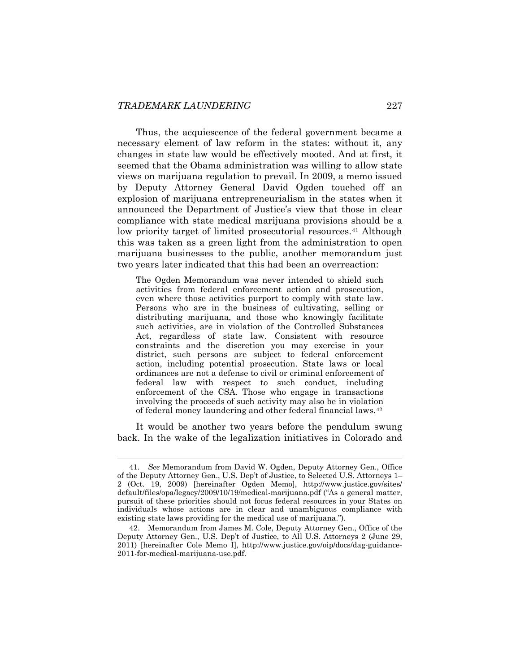Thus, the acquiescence of the federal government became a necessary element of law reform in the states: without it, any changes in state law would be effectively mooted. And at first, it seemed that the Obama administration was willing to allow state views on marijuana regulation to prevail. In 2009, a memo issued by Deputy Attorney General David Ogden touched off an explosion of marijuana entrepreneurialism in the states when it announced the Department of Justice's view that those in clear compliance with state medical marijuana provisions should be a low priority target of limited prosecutorial resources.<sup>41</sup> Although this was taken as a green light from the administration to open marijuana businesses to the public, another memorandum just two years later indicated that this had been an overreaction:

<span id="page-12-2"></span>The Ogden Memorandum was never intended to shield such activities from federal enforcement action and prosecution, even where those activities purport to comply with state law. Persons who are in the business of cultivating, selling or distributing marijuana, and those who knowingly facilitate such activities, are in violation of the Controlled Substances Act, regardless of state law. Consistent with resource constraints and the discretion you may exercise in your district, such persons are subject to federal enforcement action, including potential prosecution. State laws or local ordinances are not a defense to civil or criminal enforcement of federal law with respect to such conduct, including enforcement of the CSA. Those who engage in transactions involving the proceeds of such activity may also be in violation of federal money laundering and other federal financial laws.[42](#page-12-1)

It would be another two years before the pendulum swung back. In the wake of the legalization initiatives in Colorado and

<span id="page-12-0"></span> <sup>41</sup>*. See* Memorandum from David W. Ogden, Deputy Attorney Gen., Office of the Deputy Attorney Gen., U.S. Dep't of Justice, to Selected U.S. Attorneys 1– 2 (Oct. 19, 2009) [hereinafter Ogden Memo], http://www.justice.gov/sites/ default/files/opa/legacy/2009/10/19/medical-marijuana.pdf ("As a general matter, pursuit of these priorities should not focus federal resources in your States on individuals whose actions are in clear and unambiguous compliance with existing state laws providing for the medical use of marijuana.").

<span id="page-12-1"></span><sup>42.</sup> Memorandum from James M. Cole, Deputy Attorney Gen., Office of the Deputy Attorney Gen., U.S. Dep't of Justice, to All U.S. Attorneys 2 (June 29, 2011) [hereinafter Cole Memo I], http://www.justice.gov/oip/docs/dag-guidance-2011-for-medical-marijuana-use.pdf.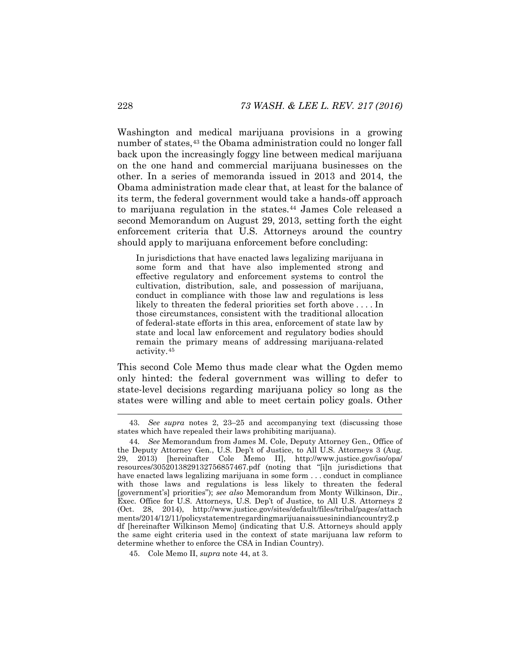Washington and medical marijuana provisions in a growing number of states,<sup>[43](#page-13-1)</sup> the Obama administration could no longer fall back upon the increasingly foggy line between medical marijuana on the one hand and commercial marijuana businesses on the other. In a series of memoranda issued in 2013 and 2014, the Obama administration made clear that, at least for the balance of its term, the federal government would take a hands-off approach to marijuana regulation in the states.<sup>[44](#page-13-2)</sup> James Cole released a second Memorandum on August 29, 2013, setting forth the eight enforcement criteria that U.S. Attorneys around the country should apply to marijuana enforcement before concluding:

<span id="page-13-0"></span>In jurisdictions that have enacted laws legalizing marijuana in some form and that have also implemented strong and effective regulatory and enforcement systems to control the cultivation, distribution, sale, and possession of marijuana, conduct in compliance with those law and regulations is less likely to threaten the federal priorities set forth above . . . . In those circumstances, consistent with the traditional allocation of federal-state efforts in this area, enforcement of state law by state and local law enforcement and regulatory bodies should remain the primary means of addressing marijuana-related activity.[45](#page-13-3)

This second Cole Memo thus made clear what the Ogden memo only hinted: the federal government was willing to defer to state-level decisions regarding marijuana policy so long as the states were willing and able to meet certain policy goals. Other

<span id="page-13-1"></span> <sup>43</sup>*. See supra* notes [2,](#page-3-3) [23–](#page-8-0)[25](#page-8-8) and accompanying text (discussing those states which have repealed their laws prohibiting marijuana).

<span id="page-13-2"></span><sup>44</sup>*. See* Memorandum from James M. Cole, Deputy Attorney Gen., Office of the Deputy Attorney Gen., U.S. Dep't of Justice, to All U.S. Attorneys 3 (Aug. 29, 2013) [hereinafter Cole Memo II], http://www.justice.gov/iso/opa/ resources/3052013829132756857467.pdf (noting that "[i]n jurisdictions that have enacted laws legalizing marijuana in some form . . . conduct in compliance with those laws and regulations is less likely to threaten the federal [government's] priorities"); *see also* Memorandum from Monty Wilkinson, Dir., Exec. Office for U.S. Attorneys, U.S. Dep't of Justice, to All U.S. Attorneys 2 (Oct. 28, 2014), http://www.justice.gov/sites/default/files/tribal/pages/attach ments/2014/12/11/policystatementregardingmarijuanaissuesinindiancountry2.p df [hereinafter Wilkinson Memo] (indicating that U.S. Attorneys should apply the same eight criteria used in the context of state marijuana law reform to determine whether to enforce the CSA in Indian Country).

<span id="page-13-3"></span><sup>45.</sup> Cole Memo II, *supra* note [44,](#page-13-0) at 3.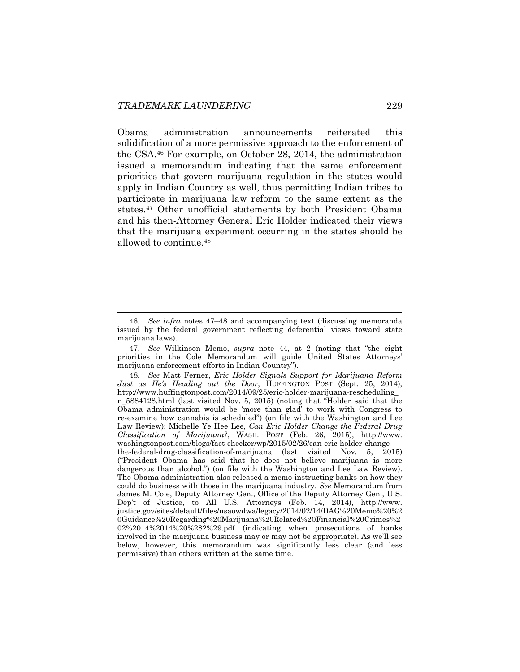<span id="page-14-0"></span>Obama administration announcements reiterated this solidification of a more permissive approach to the enforcement of the CSA.[46](#page-14-2) For example, on October 28, 2014, the administration issued a memorandum indicating that the same enforcement priorities that govern marijuana regulation in the states would apply in Indian Country as well, thus permitting Indian tribes to participate in marijuana law reform to the same extent as the states.[47](#page-14-3) Other unofficial statements by both President Obama and his then-Attorney General Eric Holder indicated their views that the marijuana experiment occurring in the states should be allowed to continue.[48](#page-14-4)

<span id="page-14-2"></span><span id="page-14-1"></span> <sup>46</sup>*. See infra* notes [47](#page-14-0)[–48](#page-14-1) and accompanying text (discussing memoranda issued by the federal government reflecting deferential views toward state marijuana laws).

<span id="page-14-3"></span><sup>47.</sup> *See* Wilkinson Memo, *supra* note [44,](#page-13-0) at 2 (noting that "the eight priorities in the Cole Memorandum will guide United States Attorneys' marijuana enforcement efforts in Indian Country").

<span id="page-14-4"></span><sup>48</sup>*. See* Matt Ferner, *Eric Holder Signals Support for Marijuana Reform Just as He's Heading out the Door*, HUFFINGTON POST (Sept. 25, 2014), http://www.huffingtonpost.com/2014/09/25/eric-holder-marijuana-rescheduling\_ n\_5884128.html (last visited Nov. 5, 2015) (noting that "Holder said that the Obama administration would be 'more than glad' to work with Congress to re-examine how cannabis is scheduled") (on file with the Washington and Lee Law Review); Michelle Ye Hee Lee, *Can Eric Holder Change the Federal Drug Classification of Marijuana?*, WASH. POST (Feb. 26, 2015), http://www. washingtonpost.com/blogs/fact-checker/wp/2015/02/26/can-eric-holder-changethe-federal-drug-classification-of-marijuana (last visited Nov. 5, 2015) ("President Obama has said that he does not believe marijuana is more dangerous than alcohol.") (on file with the Washington and Lee Law Review). The Obama administration also released a memo instructing banks on how they could do business with those in the marijuana industry. *See* Memorandum from James M. Cole, Deputy Attorney Gen., Office of the Deputy Attorney Gen., U.S. Dep't of Justice, to All U.S. Attorneys (Feb. 14, 2014), http://www. justice.gov/sites/default/files/usaowdwa/legacy/2014/02/14/DAG%20Memo%20%2 0Guidance%20Regarding%20Marijuana%20Related%20Financial%20Crimes%2 02%2014%2014%20%282%29.pdf (indicating when prosecutions of banks involved in the marijuana business may or may not be appropriate). As we'll see below, however, this memorandum was significantly less clear (and less permissive) than others written at the same time.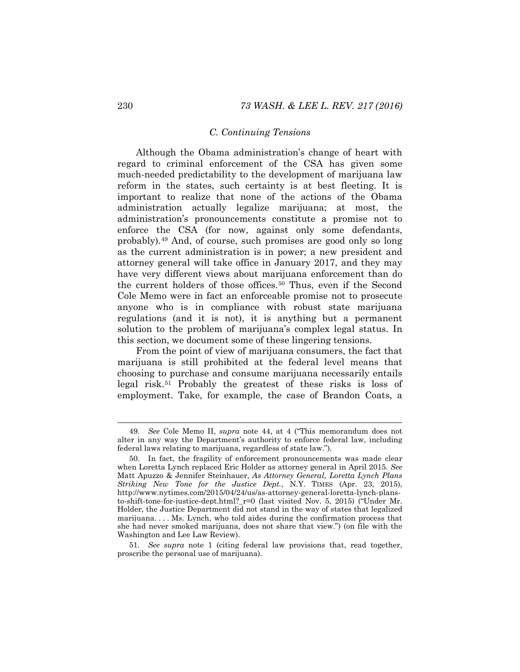#### *C. Continuing Tensions*

Although the Obama administration's change of heart with regard to criminal enforcement of the CSA has given some much-needed predictability to the development of marijuana law reform in the states, such certainty is at best fleeting. It is important to realize that none of the actions of the Obama administration actually legalize marijuana; at most, the administration's pronouncements constitute a promise not to enforce the CSA (for now, against only some defendants, probably).[49](#page-15-0) And, of course, such promises are good only so long as the current administration is in power; a new president and attorney general will take office in January 2017, and they may have very different views about marijuana enforcement than do the current holders of those offices.[50](#page-15-1) Thus, even if the Second Cole Memo were in fact an enforceable promise not to prosecute anyone who is in compliance with robust state marijuana regulations (and it is not), it is anything but a permanent solution to the problem of marijuana's complex legal status. In this section, we document some of these lingering tensions.

From the point of view of marijuana consumers, the fact that marijuana is still prohibited at the federal level means that choosing to purchase and consume marijuana necessarily entails legal risk.[51](#page-15-2) Probably the greatest of these risks is loss of employment. Take, for example, the case of Brandon Coats, a

<span id="page-15-0"></span> <sup>49</sup>*. See* Cole Memo II, *supra* note [44,](#page-13-0) at 4 ("This memorandum does not alter in any way the Department's authority to enforce federal law, including federal laws relating to marijuana, regardless of state law.").

<span id="page-15-1"></span><sup>50.</sup> In fact, the fragility of enforcement pronouncements was made clear when Loretta Lynch replaced Eric Holder as attorney general in April 2015. *See* Matt Apuzzo & Jennifer Steinhauer, *As Attorney General, Loretta Lynch Plans Striking New Tone for the Justice Dept.*, N.Y. TIMES (Apr. 23, 2015), http://www.nytimes.com/2015/04/24/us/as-attorney-general-loretta-lynch-plansto-shift-tone-for-justice-dept.html?\_r=0 (last visited Nov. 5, 2015) ("Under Mr. Holder, the Justice Department did not stand in the way of states that legalized marijuana. . . . Ms. Lynch, who told aides during the confirmation process that she had never smoked marijuana, does not share that view.") (on file with the Washington and Lee Law Review).

<span id="page-15-2"></span><sup>51</sup>*. See supra* note [1](#page-3-4) (citing federal law provisions that, read together, proscribe the personal use of marijuana).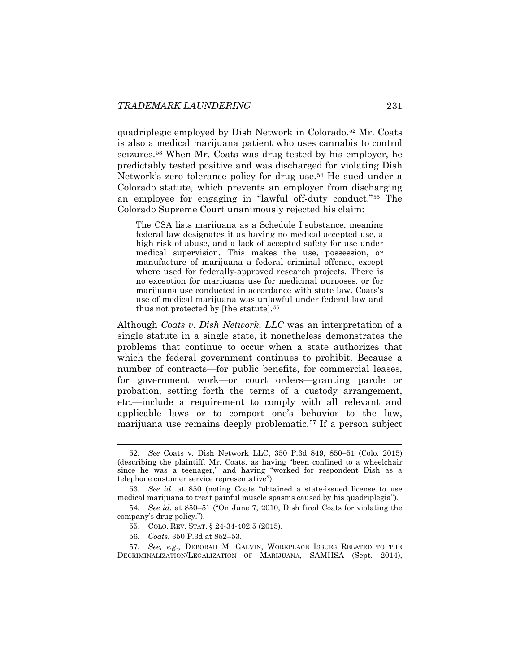quadriplegic employed by Dish Network in Colorado.[52](#page-16-0) Mr. Coats is also a medical marijuana patient who uses cannabis to control seizures.[53](#page-16-1) When Mr. Coats was drug tested by his employer, he predictably tested positive and was discharged for violating Dish Network's zero tolerance policy for drug use.<sup>[54](#page-16-2)</sup> He sued under a Colorado statute, which prevents an employer from discharging an employee for engaging in "lawful off-duty conduct."[55](#page-16-3) The Colorado Supreme Court unanimously rejected his claim:

The CSA lists marijuana as a Schedule I substance, meaning federal law designates it as having no medical accepted use, a high risk of abuse, and a lack of accepted safety for use under medical supervision. This makes the use, possession, or manufacture of marijuana a federal criminal offense, except where used for federally-approved research projects. There is no exception for marijuana use for medicinal purposes, or for marijuana use conducted in accordance with state law. Coats's use of medical marijuana was unlawful under federal law and thus not protected by [the statute].[56](#page-16-4)

Although *Coats v. Dish Network, LLC* was an interpretation of a single statute in a single state, it nonetheless demonstrates the problems that continue to occur when a state authorizes that which the federal government continues to prohibit. Because a number of contracts—for public benefits, for commercial leases, for government work—or court orders—granting parole or probation, setting forth the terms of a custody arrangement, etc.—include a requirement to comply with all relevant and applicable laws or to comport one's behavior to the law, marijuana use remains deeply problematic.[57](#page-16-5) If a person subject

<span id="page-16-0"></span> <sup>52</sup>*. See* Coats v. Dish Network LLC, 350 P.3d 849, 850–51 (Colo. 2015) (describing the plaintiff, Mr. Coats, as having "been confined to a wheelchair since he was a teenager," and having "worked for respondent Dish as a telephone customer service representative").

<span id="page-16-1"></span><sup>53</sup>*. See id.* at 850 (noting Coats "obtained a state-issued license to use medical marijuana to treat painful muscle spasms caused by his quadriplegia").

<span id="page-16-2"></span><sup>54</sup>*. See id.* at 850–51 ("On June 7, 2010, Dish fired Coats for violating the company's drug policy.").

<sup>55.</sup> COLO. REV. STAT. § 24-34-402.5 (2015).

<sup>56</sup>*. Coats*, 350 P.3d at 852–53.

<span id="page-16-5"></span><span id="page-16-4"></span><span id="page-16-3"></span><sup>57</sup>*. See, e.g.*, DEBORAH M. GALVIN, WORKPLACE ISSUES RELATED TO THE DECRIMINALIZATION/LEGALIZATION OF MARIJUANA, SAMHSA (Sept. 2014),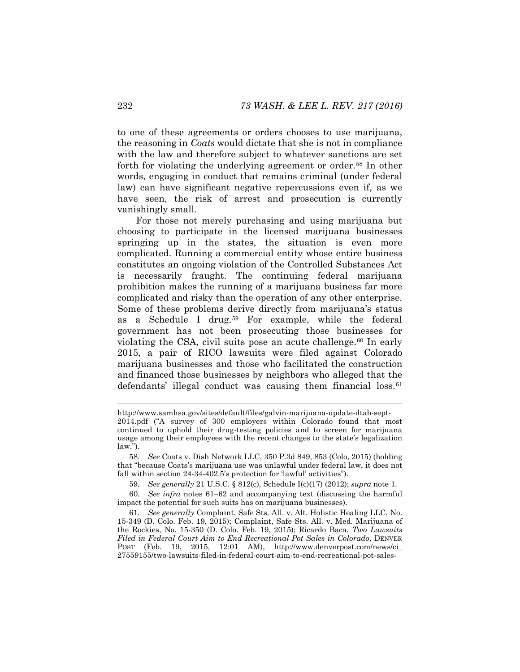to one of these agreements or orders chooses to use marijuana, the reasoning in *Coats* would dictate that she is not in compliance with the law and therefore subject to whatever sanctions are set forth for violating the underlying agreement or order.<sup>[58](#page-17-1)</sup> In other words, engaging in conduct that remains criminal (under federal law) can have significant negative repercussions even if, as we have seen, the risk of arrest and prosecution is currently vanishingly small.

For those not merely purchasing and using marijuana but choosing to participate in the licensed marijuana businesses springing up in the states, the situation is even more complicated. Running a commercial entity whose entire business constitutes an ongoing violation of the Controlled Substances Act is necessarily fraught. The continuing federal marijuana prohibition makes the running of a marijuana business far more complicated and risky than the operation of any other enterprise. Some of these problems derive directly from marijuana's status as a Schedule I drug.[59](#page-17-2) For example, while the federal government has not been prosecuting those businesses for violating the CSA, civil suits pose an acute challenge.<sup>[60](#page-17-3)</sup> In early 2015, a pair of RICO lawsuits were filed against Colorado marijuana businesses and those who facilitated the construction and financed those businesses by neighbors who alleged that the defendants' illegal conduct was causing them financial loss.<sup>[61](#page-17-4)</sup>

<span id="page-17-0"></span>http://www.samhsa.gov/sites/default/files/galvin-marijuana-update-dtab-sept-2014.pdf ("A survey of 300 employers within Colorado found that most continued to uphold their drug-testing policies and to screen for marijuana usage among their employees with the recent changes to the state's legalization law.").

<span id="page-17-1"></span><sup>58</sup>*. See* Coats v. Dish Network LLC, 350 P.3d 849, 853 (Colo, 2015) (holding that "because Coats's marijuana use was unlawful under federal law, it does not fall within section 24-34-402.5's protection for 'lawful' activities").

<sup>59</sup>*. See generally* 21 U.S.C. § 812(c), Schedule I(c)(17) (2012); *supra* note [1.](#page-3-4)

<span id="page-17-3"></span><span id="page-17-2"></span><sup>60</sup>*. See infra* notes [61](#page-17-0)[–62](#page-18-0) and accompanying text (discussing the harmful impact the potential for such suits has on marijuana businesses).

<span id="page-17-4"></span><sup>61</sup>*. See generally* Complaint, Safe Sts. All. v. Alt. Holistic Healing LLC, No. 15-349 (D. Colo. Feb. 19, 2015); Complaint, Safe Sts. All. v. Med. Marijuana of the Rockies, No. 15-350 (D. Colo. Feb. 19, 2015); Ricardo Baca, *Two Lawsuits Filed in Federal Court Aim to End Recreational Pot Sales in Colorado,* DENVER POST (Feb. 19, 2015, 12:01 AM), http://www.denverpost.com/news/ci\_ 27559155/two-lawsuits-filed-in-federal-court-aim-to-end-recreational-pot-sales-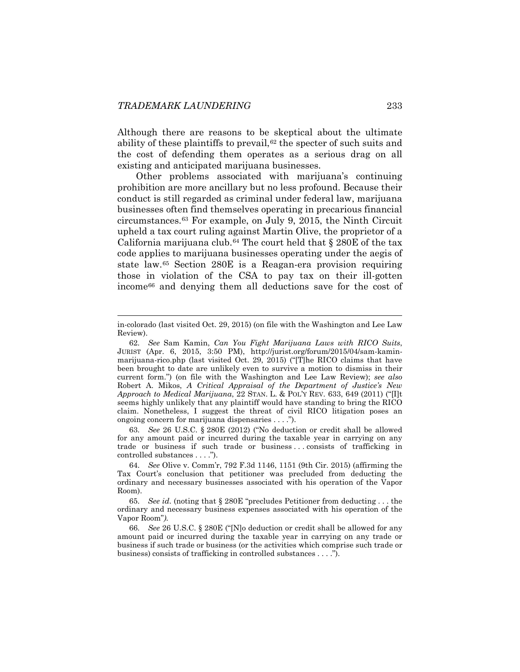<span id="page-18-0"></span>Although there are reasons to be skeptical about the ultimate ability of these plaintiffs to prevail,  $62$  the specter of such suits and the cost of defending them operates as a serious drag on all existing and anticipated marijuana businesses.

Other problems associated with marijuana's continuing prohibition are more ancillary but no less profound. Because their conduct is still regarded as criminal under federal law, marijuana businesses often find themselves operating in precarious financial circumstances.[63](#page-18-2) For example, on July 9, 2015, the Ninth Circuit upheld a tax court ruling against Martin Olive, the proprietor of a California marijuana club.<sup>[64](#page-18-3)</sup> The court held that  $\S 280E$  of the tax code applies to marijuana businesses operating under the aegis of state law.[65](#page-18-4) Section 280E is a Reagan-era provision requiring those in violation of the CSA to pay tax on their ill-gotten income[66](#page-18-5) and denying them all deductions save for the cost of

<span id="page-18-2"></span>63*. See* 26 U.S.C. § 280E (2012) ("No deduction or credit shall be allowed for any amount paid or incurred during the taxable year in carrying on any trade or business if such trade or business . . . consists of trafficking in controlled substances . . . .").

in-colorado (last visited Oct. 29, 2015) (on file with the Washington and Lee Law Review).

<span id="page-18-1"></span><sup>62</sup>*. See* Sam Kamin, *Can You Fight Marijuana Laws with RICO Suits*, JURIST (Apr. 6, 2015, 3:50 PM), http://jurist.org/forum/2015/04/sam-kaminmarijuana-rico.php (last visited Oct. 29, 2015) ("[T]he RICO claims that have been brought to date are unlikely even to survive a motion to dismiss in their current form.") (on file with the Washington and Lee Law Review); *see also* Robert A. Mikos, *A Critical Appraisal of the Department of Justice's New Approach to Medical Marijuana*, 22 STAN. L. & POL'Y REV. 633, 649 (2011) ("[I]t seems highly unlikely that any plaintiff would have standing to bring the RICO claim. Nonetheless, I suggest the threat of civil RICO litigation poses an ongoing concern for marijuana dispensaries . . . .").

<span id="page-18-3"></span><sup>64</sup>*. See* Olive v. Comm'r, 792 F.3d 1146, 1151 (9th Cir. 2015) (affirming the Tax Court's conclusion that petitioner was precluded from deducting the ordinary and necessary businesses associated with his operation of the Vapor Room).

<span id="page-18-4"></span><sup>65</sup>*. See id*. (noting that § 280E "precludes Petitioner from deducting . . . the ordinary and necessary business expenses associated with his operation of the Vapor Room"*).*

<span id="page-18-5"></span><sup>66</sup>*. See* 26 U.S.C. § 280E ("[N]o deduction or credit shall be allowed for any amount paid or incurred during the taxable year in carrying on any trade or business if such trade or business (or the activities which comprise such trade or business) consists of trafficking in controlled substances . . . .").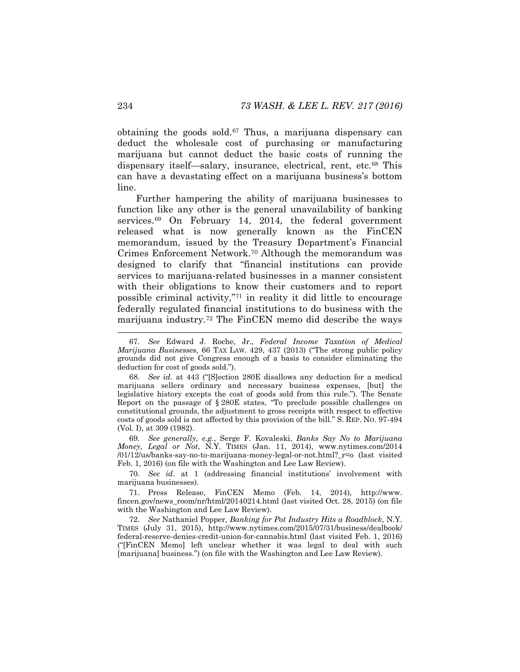obtaining the goods sold.[67](#page-19-0) Thus, a marijuana dispensary can deduct the wholesale cost of purchasing or manufacturing marijuana but cannot deduct the basic costs of running the dispensary itself—salary, insurance, electrical, rent, etc.[68](#page-19-1) This can have a devastating effect on a marijuana business's bottom line.

Further hampering the ability of marijuana businesses to function like any other is the general unavailability of banking services.<sup>[69](#page-19-2)</sup> On February 14, 2014, the federal government released what is now generally known as the FinCEN memorandum, issued by the Treasury Department's Financial Crimes Enforcement Network.[70](#page-19-3) Although the memorandum was designed to clarify that "financial institutions can provide services to marijuana-related businesses in a manner consistent with their obligations to know their customers and to report possible criminal activity,"[71](#page-19-4) in reality it did little to encourage federally regulated financial institutions to do business with the marijuana industry.[72](#page-19-5) The FinCEN memo did describe the ways

<span id="page-19-1"></span>68*. See id.* at 443 ("[S]ection 280E disallows any deduction for a medical marijuana sellers ordinary and necessary business expenses, [but] the legislative history excepts the cost of goods sold from this rule."). The Senate Report on the passage of § 280E states, "To preclude possible challenges on constitutional grounds, the adjustment to gross receipts with respect to effective costs of goods sold is not affected by this provision of the bill." S. REP. NO. 97-494 (Vol. I), at 309 (1982).

<span id="page-19-2"></span>69*. See generally, e.g.*, Serge F. Kovaleski, *Banks Say No to Marijuana Money, Legal or Not*, N.Y. TIMES (Jan. 11, 2014), www.nytimes.com/2014 /01/12/us/banks-say-no-to-marijuana-money-legal-or-not.html?\_r=o (last visited Feb. 1, 2016) (on file with the Washington and Lee Law Review).

<span id="page-19-3"></span>70*. See id*. at 1 (addressing financial institutions' involvement with marijuana businesses).

<span id="page-19-4"></span>71. Press Release, FinCEN Memo (Feb. 14, 2014), http://www. fincen.gov/news\_room/nr/html/20140214.html (last visited Oct. 28, 2015) (on file with the Washington and Lee Law Review).

<span id="page-19-5"></span>72*. See* Nathaniel Popper, *Banking for Pot Industry Hits a Roadblock*, N.Y. TIMES (July 31, 2015), http://www.nytimes.com/2015/07/31/business/dealbook/ federal-reserve-denies-credit-union-for-cannabis.html (last visited Feb. 1, 2016) ("[FinCEN Memo] left unclear whether it was legal to deal with such [marijuana] business.") (on file with the Washington and Lee Law Review).

<span id="page-19-6"></span><span id="page-19-0"></span> <sup>67</sup>*. See* Edward J. Roche, Jr., *Federal Income Taxation of Medical Marijuana Businesses*, 66 TAX LAW. 429, 437 (2013) ("The strong public policy grounds did not give Congress enough of a basis to consider eliminating the deduction for cost of goods sold.").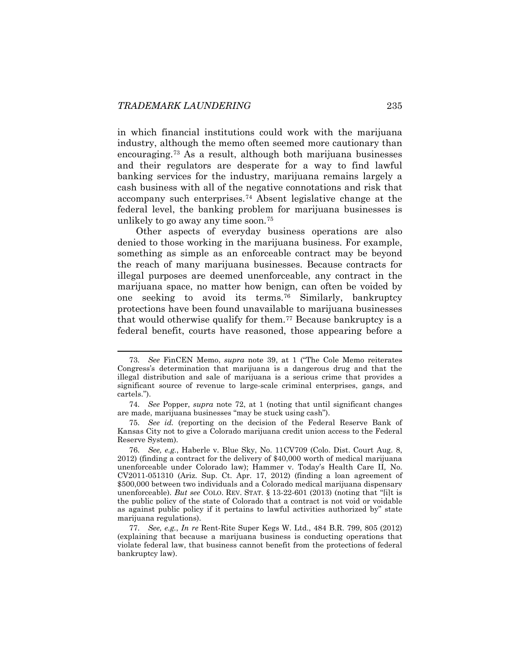in which financial institutions could work with the marijuana industry, although the memo often seemed more cautionary than encouraging.[73](#page-20-0) As a result, although both marijuana businesses and their regulators are desperate for a way to find lawful banking services for the industry, marijuana remains largely a cash business with all of the negative connotations and risk that accompany such enterprises.[74](#page-20-1) Absent legislative change at the federal level, the banking problem for marijuana businesses is unlikely to go away any time soon.[75](#page-20-2)

Other aspects of everyday business operations are also denied to those working in the marijuana business. For example, something as simple as an enforceable contract may be beyond the reach of many marijuana businesses. Because contracts for illegal purposes are deemed unenforceable, any contract in the marijuana space, no matter how benign, can often be voided by one seeking to avoid its terms.[76](#page-20-3) Similarly, bankruptcy protections have been found unavailable to marijuana businesses that would otherwise qualify for them.[77](#page-20-4) Because bankruptcy is a federal benefit, courts have reasoned, those appearing before a

<span id="page-20-5"></span><span id="page-20-0"></span> <sup>73</sup>*. See* FinCEN Memo, *supra* note [39,](#page-11-4) at 1 ("The Cole Memo reiterates Congress's determination that marijuana is a dangerous drug and that the illegal distribution and sale of marijuana is a serious crime that provides a significant source of revenue to large-scale criminal enterprises, gangs, and cartels.").

<span id="page-20-1"></span><sup>74</sup>*. See* Popper, *supra* note [72,](#page-19-6) at 1 (noting that until significant changes are made, marijuana businesses "may be stuck using cash").

<span id="page-20-2"></span><sup>75</sup>*. See id.* (reporting on the decision of the Federal Reserve Bank of Kansas City not to give a Colorado marijuana credit union access to the Federal Reserve System).

<span id="page-20-3"></span><sup>76</sup>*. See, e.g.*, Haberle v. Blue Sky, No. 11CV709 (Colo. Dist. Court Aug. 8, 2012) (finding a contract for the delivery of \$40,000 worth of medical marijuana unenforceable under Colorado law); Hammer v. Today's Health Care II*,* No. CV2011-051310 (Ariz. Sup. Ct. Apr. 17, 2012) (finding a loan agreement of \$500,000 between two individuals and a Colorado medical marijuana dispensary unenforceable). *But see* COLO. REV. STAT. § 13-22-601 (2013) (noting that "[i]t is the public policy of the state of Colorado that a contract is not void or voidable as against public policy if it pertains to lawful activities authorized by" state marijuana regulations).

<span id="page-20-4"></span><sup>77</sup>*. See, e.g.*, *In re* Rent-Rite Super Kegs W. Ltd., 484 B.R. 799, 805 (2012) (explaining that because a marijuana business is conducting operations that violate federal law, that business cannot benefit from the protections of federal bankruptcy law).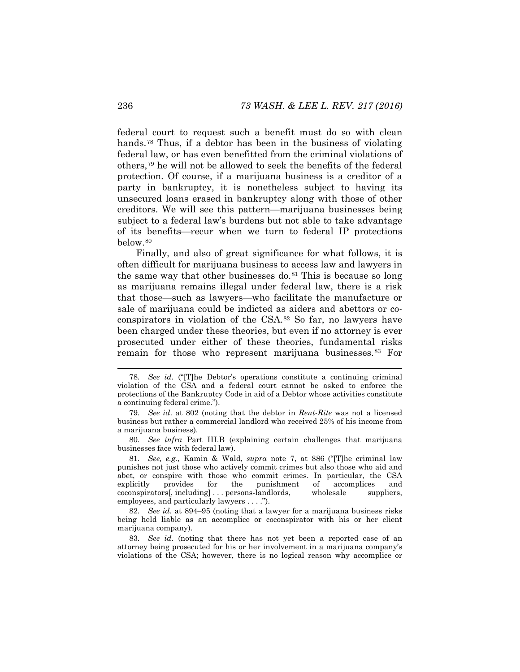<span id="page-21-8"></span><span id="page-21-7"></span>federal court to request such a benefit must do so with clean hands.<sup>[78](#page-21-0)</sup> Thus, if a debtor has been in the business of violating federal law, or has even benefitted from the criminal violations of others,[79](#page-21-1) he will not be allowed to seek the benefits of the federal protection. Of course, if a marijuana business is a creditor of a party in bankruptcy, it is nonetheless subject to having its unsecured loans erased in bankruptcy along with those of other creditors. We will see this pattern—marijuana businesses being subject to a federal law's burdens but not able to take advantage of its benefits—recur when we turn to federal IP protections below.[80](#page-21-2)

<span id="page-21-6"></span>Finally, and also of great significance for what follows, it is often difficult for marijuana business to access law and lawyers in the same way that other businesses do. $81$  This is because so long as marijuana remains illegal under federal law, there is a risk that those—such as lawyers—who facilitate the manufacture or sale of marijuana could be indicted as aiders and abettors or coconspirators in violation of the CSA.[82](#page-21-4) So far, no lawyers have been charged under these theories, but even if no attorney is ever prosecuted under either of these theories, fundamental risks remain for those who represent marijuana businesses.<sup>[83](#page-21-5)</sup> For

<span id="page-21-2"></span>80*. See infra* Part III.B (explaining certain challenges that marijuana businesses face with federal law).

<span id="page-21-3"></span>81*. See, e.g.*, Kamin & Wald, *supra* note 7, at 886 ("[T]he criminal law punishes not just those who actively commit crimes but also those who aid and abet, or conspire with those who commit crimes. In particular, the CSA explicitly provides for the punishment of accomplices and coconspirators[, including] . . . persons-landlords, wholesale suppliers, employees, and particularly lawyers . . . .").

<span id="page-21-4"></span>82*. See id*. at 894–95 (noting that a lawyer for a marijuana business risks being held liable as an accomplice or coconspirator with his or her client marijuana company).

<span id="page-21-5"></span>83*. See id*. (noting that there has not yet been a reported case of an attorney being prosecuted for his or her involvement in a marijuana company's violations of the CSA; however, there is no logical reason why accomplice or

<span id="page-21-0"></span> <sup>78</sup>*. See id*. ("[T]he Debtor's operations constitute a continuing criminal violation of the CSA and a federal court cannot be asked to enforce the protections of the Bankruptcy Code in aid of a Debtor whose activities constitute a continuing federal crime.").

<span id="page-21-1"></span><sup>79</sup>*. See id*. at 802 (noting that the debtor in *Rent-Rite* was not a licensed business but rather a commercial landlord who received 25% of his income from a marijuana business).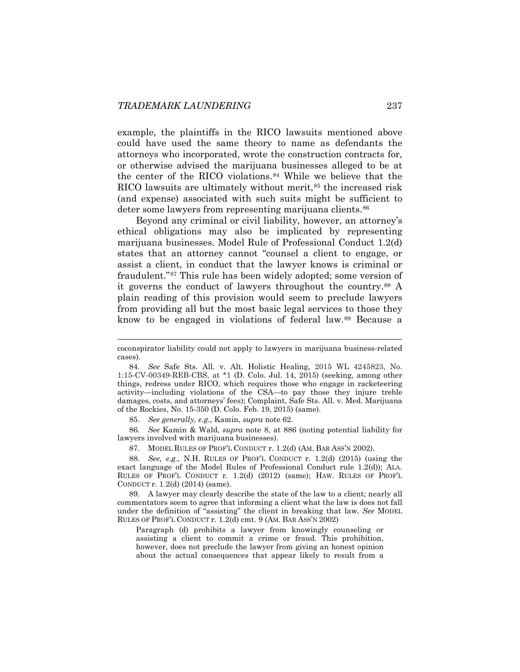example, the plaintiffs in the RICO lawsuits mentioned above could have used the same theory to name as defendants the attorneys who incorporated, wrote the construction contracts for, or otherwise advised the marijuana businesses alleged to be at the center of the RICO violations.[84](#page-22-0) While we believe that the RICO lawsuits are ultimately without merit,<sup>[85](#page-22-1)</sup> the increased risk (and expense) associated with such suits might be sufficient to deter some lawyers from representing marijuana clients.<sup>[86](#page-22-2)</sup>

Beyond any criminal or civil liability, however, an attorney's ethical obligations may also be implicated by representing marijuana businesses. Model Rule of Professional Conduct 1.2(d) states that an attorney cannot "counsel a client to engage, or assist a client, in conduct that the lawyer knows is criminal or fraudulent."[87](#page-22-3) This rule has been widely adopted; some version of it governs the conduct of lawyers throughout the country.[88](#page-22-4) A plain reading of this provision would seem to preclude lawyers from providing all but the most basic legal services to those they know to be engaged in violations of federal law.[89](#page-22-5) Because a

85. *See generally, e.g.*, Kamin, *supra* not[e 62.](#page-18-0)

<span id="page-22-2"></span><span id="page-22-1"></span>86*. See* Kamin & Wald, *supra* note [8,](#page-5-2) at 886 (noting potential liability for lawyers involved with marijuana businesses).

87*.* MODEL RULES OF PROF'L CONDUCT r. 1.2(d) (AM. BAR ASS'N 2002).

<span id="page-22-4"></span><span id="page-22-3"></span>88*. See, e.g.*, N.H. RULES OF PROF'L CONDUCT r. 1.2(d) (2015) (using the exact language of the Model Rules of Professional Conduct rule 1.2(d)); ALA. RULES OF PROF'L CONDUCT r. 1.2(d) (2012) (same); HAW. RULES OF PROF'L CONDUCT r. 1.2(d) (2014) (same).

<span id="page-22-5"></span>89. A lawyer may clearly describe the state of the law to a client; nearly all commentators seem to agree that informing a client what the law is does not fall under the definition of "assisting" the client in breaking that law. *See* MODEL RULES OF PROF'L CONDUCT r. 1.2(d) cmt. 9 (AM. BAR ASS'N 2002)

Paragraph (d) prohibits a lawyer from knowingly counseling or assisting a client to commit a crime or fraud. This prohibition, however, does not preclude the lawyer from giving an honest opinion about the actual consequences that appear likely to result from a

coconspirator liability could not apply to lawyers in marijuana business-related cases).

<span id="page-22-0"></span><sup>84</sup>*. See* Safe Sts. All. v. Alt. Holistic Healing, 2015 WL 4245823, No. 1:15-CV-00349-REB-CBS, at \*1 (D. Colo. Jul. 14, 2015) (seeking, among other things, redress under RICO, which requires those who engage in racketeering activity—including violations of the CSA—to pay those they injure treble damages, costs, and attorneys' fees); Complaint, Safe Sts. All. v. Med. Marijuana of the Rockies, No. 15-350 (D. Colo. Feb. 19, 2015) (same).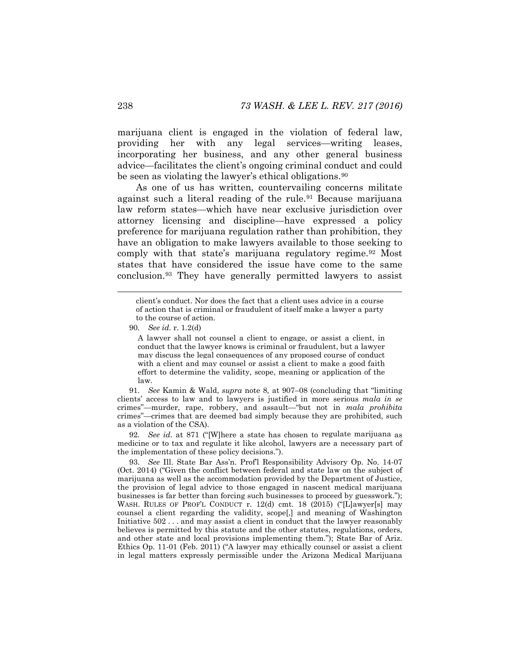marijuana client is engaged in the violation of federal law, providing her with any legal services—writing leases, incorporating her business, and any other general business advice—facilitates the client's ongoing criminal conduct and could be seen as violating the lawyer's ethical obligations.[90](#page-23-0)

As one of us has written, countervailing concerns militate against such a literal reading of the rule.<sup>[91](#page-23-1)</sup> Because marijuana law reform states—which have near exclusive jurisdiction over attorney licensing and discipline—have expressed a policy preference for marijuana regulation rather than prohibition, they have an obligation to make lawyers available to those seeking to comply with that state's marijuana regulatory regime.<sup>[92](#page-23-2)</sup> Most states that have considered the issue have come to the same conclusion.[93](#page-23-3) They have generally permitted lawyers to assist

<span id="page-23-0"></span>90*. See id.* r. 1.2(d)

A lawyer shall not counsel a client to engage, or assist a client, in conduct that the lawyer knows is criminal or fraudulent, but a lawyer may discuss the legal consequences of any proposed course of conduct with a client and may counsel or assist a client to make a good faith effort to determine the validity, scope, meaning or application of the law.

<span id="page-23-1"></span>91*. See* Kamin & Wald, *supra* note [8](#page-5-2)*,* at 907–08 (concluding that "limiting clients' access to law and to lawyers is justified in more serious *mala in se*  crimes"—murder, rape, robbery, and assault—"but not in *mala prohibita* crimes"—crimes that are deemed bad simply because they are prohibited, such as a violation of the CSA).

<span id="page-23-2"></span>92*. See id*. at 871 ("[W]here a state has chosen to regulate marijuana as medicine or to tax and regulate it like alcohol, lawyers are a necessary part of the implementation of these policy decisions.").

<span id="page-23-3"></span>93*. See* Ill. State Bar Ass'n. Prof'l Responsibility Advisory Op. No. 14-07 (Oct. 2014) ("Given the conflict between federal and state law on the subject of marijuana as well as the accommodation provided by the Department of Justice, the provision of legal advice to those engaged in nascent medical marijuana businesses is far better than forcing such businesses to proceed by guesswork."); WASH. RULES OF PROF'L CONDUCT r. 12(d) cmt. 18 (2015) ("[L]awyer[s] may counsel a client regarding the validity, scope[,] and meaning of Washington Initiative 502 . . . and may assist a client in conduct that the lawyer reasonably believes is permitted by this statute and the other statutes, regulations, orders, and other state and local provisions implementing them."); State Bar of Ariz. Ethics Op. 11-01 (Feb. 2011) ("A lawyer may ethically counsel or assist a client in legal matters expressly permissible under the Arizona Medical Marijuana

client's conduct. Nor does the fact that a client uses advice in a course of action that is criminal or fraudulent of itself make a lawyer a party to the course of action.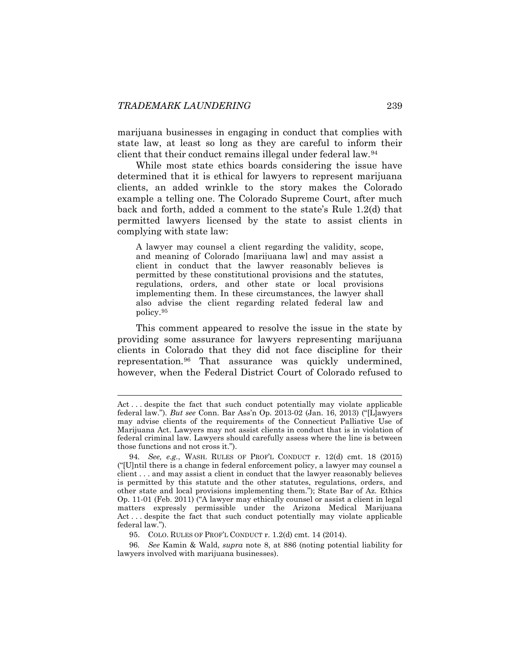marijuana businesses in engaging in conduct that complies with state law, at least so long as they are careful to inform their client that their conduct remains illegal under federal law.[94](#page-24-0)

While most state ethics boards considering the issue have determined that it is ethical for lawyers to represent marijuana clients, an added wrinkle to the story makes the Colorado example a telling one. The Colorado Supreme Court, after much back and forth, added a comment to the state's Rule 1.2(d) that permitted lawyers licensed by the state to assist clients in complying with state law:

A lawyer may counsel a client regarding the validity, scope, and meaning of Colorado [marijuana law] and may assist a client in conduct that the lawyer reasonably believes is permitted by these constitutional provisions and the statutes, regulations, orders, and other state or local provisions implementing them. In these circumstances, the lawyer shall also advise the client regarding related federal law and policy.[95](#page-24-1)

This comment appeared to resolve the issue in the state by providing some assurance for lawyers representing marijuana clients in Colorado that they did not face discipline for their representation.[96](#page-24-2) That assurance was quickly undermined, however, when the Federal District Court of Colorado refused to

Act... despite the fact that such conduct potentially may violate applicable federal law."). *But see* Conn. Bar Ass'n Op. 2013-02 (Jan. 16, 2013) ("[L]awyers may advise clients of the requirements of the Connecticut Palliative Use of Marijuana Act. Lawyers may not assist clients in conduct that is in violation of federal criminal law. Lawyers should carefully assess where the line is between those functions and not cross it.").

<span id="page-24-0"></span><sup>94</sup>*. See, e.g.*, WASH. RULES OF PROF'L CONDUCT r. 12(d) cmt. 18 (2015) ("[U]ntil there is a change in federal enforcement policy, a lawyer may counsel a client . . . and may assist a client in conduct that the lawyer reasonably believes is permitted by this statute and the other statutes, regulations, orders, and other state and local provisions implementing them."); State Bar of Az. Ethics Op. 11-01 (Feb. 2011) ("A lawyer may ethically counsel or assist a client in legal matters expressly permissible under the Arizona Medical Marijuana Act...despite the fact that such conduct potentially may violate applicable federal law.").

<sup>95.</sup> COLO. RULES OF PROF'L CONDUCT r. 1.2(d) cmt. 14 (2014).

<span id="page-24-2"></span><span id="page-24-1"></span><sup>96</sup>*. See* Kamin & Wald, *supra* note [8,](#page-5-2) at 886 (noting potential liability for lawyers involved with marijuana businesses).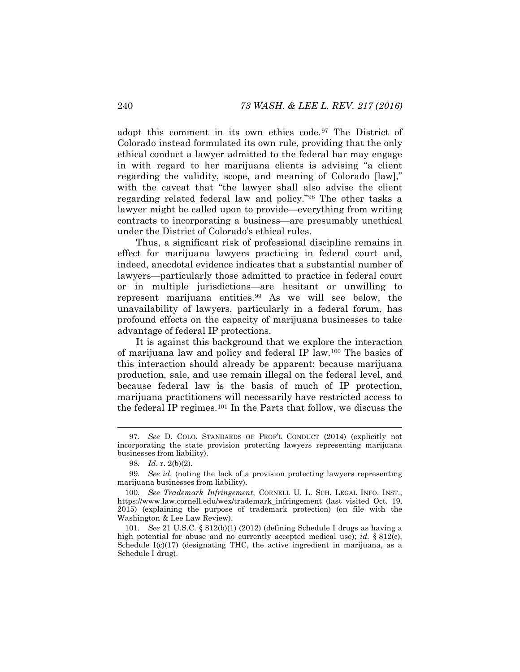adopt this comment in its own ethics code.[97](#page-25-0) The District of Colorado instead formulated its own rule, providing that the only ethical conduct a lawyer admitted to the federal bar may engage in with regard to her marijuana clients is advising "a client regarding the validity, scope, and meaning of Colorado [law]," with the caveat that "the lawyer shall also advise the client regarding related federal law and policy."[98](#page-25-1) The other tasks a lawyer might be called upon to provide—everything from writing contracts to incorporating a business—are presumably unethical under the District of Colorado's ethical rules.

Thus, a significant risk of professional discipline remains in effect for marijuana lawyers practicing in federal court and, indeed, anecdotal evidence indicates that a substantial number of lawyers—particularly those admitted to practice in federal court or in multiple jurisdictions—are hesitant or unwilling to represent marijuana entities.[99](#page-25-2) As we will see below, the unavailability of lawyers, particularly in a federal forum, has profound effects on the capacity of marijuana businesses to take advantage of federal IP protections.

<span id="page-25-5"></span>It is against this background that we explore the interaction of marijuana law and policy and federal IP law.[100](#page-25-3) The basics of this interaction should already be apparent: because marijuana production, sale, and use remain illegal on the federal level, and because federal law is the basis of much of IP protection, marijuana practitioners will necessarily have restricted access to the federal IP regimes.[101](#page-25-4) In the Parts that follow, we discuss the

<span id="page-25-0"></span> <sup>97</sup>*. See* D. COLO. STANDARDS OF PROF'L CONDUCT (2014) (explicitly not incorporating the state provision protecting lawyers representing marijuana businesses from liability).

<sup>98</sup>*. Id*. r. 2(b)(2).

<span id="page-25-2"></span><span id="page-25-1"></span><sup>99</sup>*. See id.* (noting the lack of a provision protecting lawyers representing marijuana businesses from liability).

<span id="page-25-3"></span><sup>100</sup>*. See Trademark Infringement*, CORNELL U. L. SCH. LEGAL INFO. INST., https://www.law.cornell.edu/wex/trademark\_infringement (last visited Oct. 19, 2015) (explaining the purpose of trademark protection) (on file with the Washington & Lee Law Review).

<span id="page-25-4"></span><sup>101</sup>*. See* 21 U.S.C. § 812(b)(1) (2012) (defining Schedule I drugs as having a high potential for abuse and no currently accepted medical use); *id.* § 812(c), Schedule I(c)(17) (designating THC, the active ingredient in marijuana, as a Schedule I drug).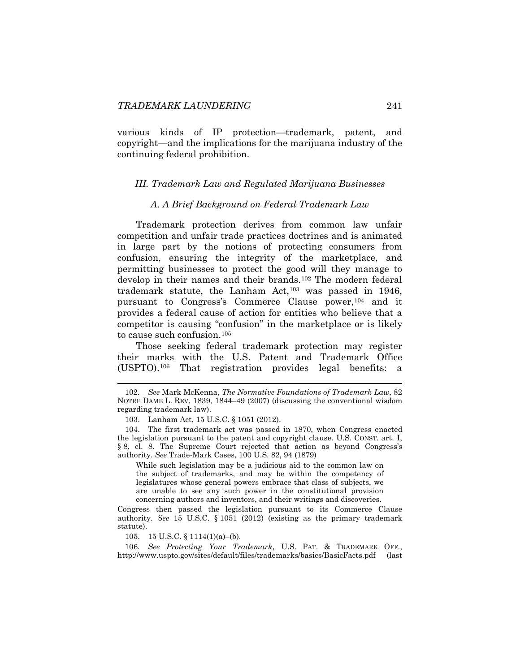various kinds of IP protection—trademark, patent, and copyright—and the implications for the marijuana industry of the continuing federal prohibition.

#### *III. Trademark Law and Regulated Marijuana Businesses*

#### *A. A Brief Background on Federal Trademark Law*

Trademark protection derives from common law unfair competition and unfair trade practices doctrines and is animated in large part by the notions of protecting consumers from confusion, ensuring the integrity of the marketplace, and permitting businesses to protect the good will they manage to develop in their names and their brands.[102](#page-26-0) The modern federal trademark statute, the Lanham Act,[103](#page-26-1) was passed in 1946, pursuant to Congress's Commerce Clause power,[104](#page-26-2) and it provides a federal cause of action for entities who believe that a competitor is causing "confusion" in the marketplace or is likely to cause such confusion.[105](#page-26-3)

<span id="page-26-5"></span>Those seeking federal trademark protection may register their marks with the U.S. Patent and Trademark Office (USPTO).[106](#page-26-4) That registration provides legal benefits: a

While such legislation may be a judicious aid to the common law on the subject of trademarks, and may be within the competency of legislatures whose general powers embrace that class of subjects, we are unable to see any such power in the constitutional provision concerning authors and inventors, and their writings and discoveries.

Congress then passed the legislation pursuant to its Commerce Clause authority. *See* 15 U.S.C. § 1051 (2012) (existing as the primary trademark statute).

105. 15 U.S.C. § 1114(1)(a)–(b).

<span id="page-26-4"></span><span id="page-26-3"></span>106*. See Protecting Your Trademark*, U.S. PAT. & TRADEMARK OFF., http://www.uspto.gov/sites/default/files/trademarks/basics/BasicFacts.pdf (last

<span id="page-26-0"></span> <sup>102</sup>*. See* Mark McKenna, *The Normative Foundations of Trademark Law*, <sup>82</sup> NOTRE DAME L. REV. 1839, 1844–49 (2007) (discussing the conventional wisdom regarding trademark law).

<sup>103.</sup> Lanham Act, 15 U.S.C. § 1051 (2012).

<span id="page-26-2"></span><span id="page-26-1"></span><sup>104.</sup> The first trademark act was passed in 1870, when Congress enacted the legislation pursuant to the patent and copyright clause. U.S. CONST. art. I, § 8, cl. 8. The Supreme Court rejected that action as beyond Congress's authority. *See* Trade-Mark Cases, 100 U.S. 82, 94 (1879)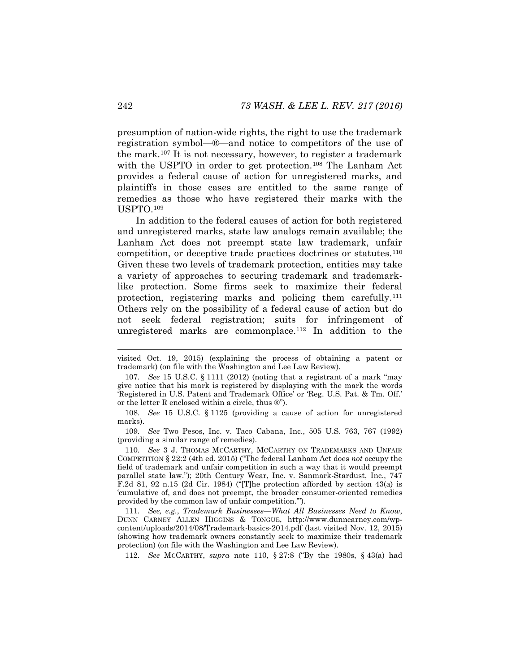presumption of nation-wide rights, the right to use the trademark registration symbol—®—and notice to competitors of the use of the mark.[107](#page-27-1) It is not necessary, however, to register a trademark with the USPTO in order to get protection.<sup>[108](#page-27-2)</sup> The Lanham Act provides a federal cause of action for unregistered marks, and plaintiffs in those cases are entitled to the same range of remedies as those who have registered their marks with the USPTO.[109](#page-27-3)

<span id="page-27-0"></span>In addition to the federal causes of action for both registered and unregistered marks, state law analogs remain available; the Lanham Act does not preempt state law trademark, unfair competition, or deceptive trade practices doctrines or statutes.[110](#page-27-4) Given these two levels of trademark protection, entities may take a variety of approaches to securing trademark and trademarklike protection. Some firms seek to maximize their federal protection, registering marks and policing them carefully.[111](#page-27-5) Others rely on the possibility of a federal cause of action but do not seek federal registration; suits for infringement of unregistered marks are commonplace.[112](#page-27-6) In addition to the

<span id="page-27-2"></span>108*. See* 15 U.S.C. § 1125 (providing a cause of action for unregistered marks).

<span id="page-27-3"></span>109*. See* Two Pesos, Inc. v. Taco Cabana, Inc., 505 U.S. 763, 767 (1992) (providing a similar range of remedies).

<span id="page-27-4"></span>110*. See* 3 J. THOMAS MCCARTHY, MCCARTHY ON TRADEMARKS AND UNFAIR COMPETITION § 22:2 (4th ed. 2015) ("The federal Lanham Act does *not* occupy the field of trademark and unfair competition in such a way that it would preempt parallel state law."); 20th Century Wear, Inc. v. Sanmark-Stardust, Inc., 747 F.2d 81, 92 n.15 (2d Cir. 1984) ("[T]he protection afforded by section 43(a) is 'cumulative of, and does not preempt, the broader consumer-oriented remedies provided by the common law of unfair competition.'").

<span id="page-27-5"></span>111*. See, e.g.*, *Trademark Businesses—What All Businesses Need to Know*, DUNN CARNEY ALLEN HIGGINS & TONGUE, http://www.dunncarney.com/wpcontent/uploads/2014/08/Trademark-basics-2014.pdf (last visited Nov. 12, 2015) (showing how trademark owners constantly seek to maximize their trademark protection) (on file with the Washington and Lee Law Review).

<span id="page-27-6"></span>112*. See* MCCARTHY, *supra* note [110,](#page-27-0) § 27:8 ("By the 1980s, § 43(a) had

visited Oct. 19, 2015) (explaining the process of obtaining a patent or trademark) (on file with the Washington and Lee Law Review).

<span id="page-27-1"></span><sup>107</sup>*. See* 15 U.S.C. § 1111 (2012) (noting that a registrant of a mark "may give notice that his mark is registered by displaying with the mark the words 'Registered in U.S. Patent and Trademark Office' or 'Reg. U.S. Pat. & Tm. Off.' or the letter R enclosed within a circle, thus ®").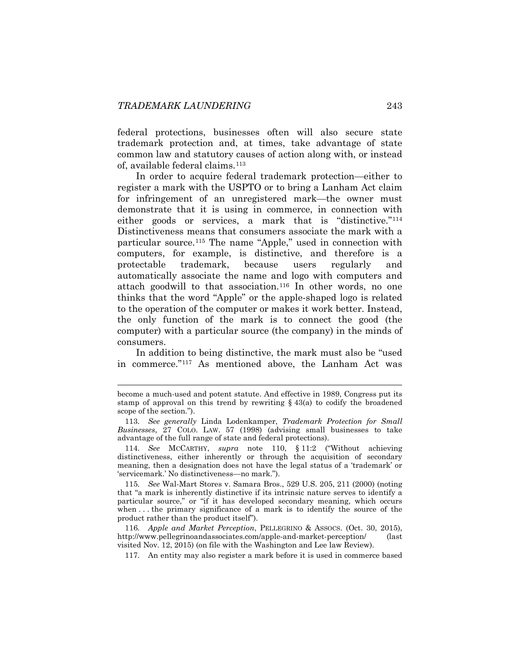federal protections, businesses often will also secure state trademark protection and, at times, take advantage of state common law and statutory causes of action along with, or instead of, available federal claims.[113](#page-28-0)

In order to acquire federal trademark protection—either to register a mark with the USPTO or to bring a Lanham Act claim for infringement of an unregistered mark—the owner must demonstrate that it is using in commerce, in connection with either goods or services, a mark that is "distinctive."[114](#page-28-1) Distinctiveness means that consumers associate the mark with a particular source.[115](#page-28-2) The name "Apple," used in connection with computers, for example, is distinctive, and therefore is a protectable trademark, because users regularly and automatically associate the name and logo with computers and attach goodwill to that association.[116](#page-28-3) In other words, no one thinks that the word "Apple" or the apple-shaped logo is related to the operation of the computer or makes it work better. Instead, the only function of the mark is to connect the good (the computer) with a particular source (the company) in the minds of consumers.

In addition to being distinctive, the mark must also be "used in commerce.["117](#page-28-4) As mentioned above, the Lanham Act was

117*.* An entity may also register a mark before it is used in commerce based

become a much-used and potent statute. And effective in 1989, Congress put its stamp of approval on this trend by rewriting  $\S$  43(a) to codify the broadened scope of the section.").

<span id="page-28-0"></span><sup>113</sup>*. See generally* Linda Lodenkamper, *Trademark Protection for Small Businesses*, 27 COLO. LAW. 57 (1998) (advising small businesses to take advantage of the full range of state and federal protections).

<span id="page-28-1"></span><sup>114</sup>*. See* MCCARTHY, *supra* note [110,](#page-27-0) § 11:2 ("Without achieving distinctiveness, either inherently or through the acquisition of secondary meaning, then a designation does not have the legal status of a 'trademark' or 'servicemark.' No distinctiveness—no mark.").

<span id="page-28-2"></span><sup>115</sup>*. See* Wal-Mart Stores v. Samara Bros., 529 U.S. 205, 211 (2000) (noting that "a mark is inherently distinctive if its intrinsic nature serves to identify a particular source," or "if it has developed secondary meaning, which occurs when . . . the primary significance of a mark is to identify the source of the product rather than the product itself").

<span id="page-28-4"></span><span id="page-28-3"></span><sup>116</sup>*. Apple and Market Perception*, PELLEGRINO & ASSOCS. (Oct. 30, 2015), http://www.pellegrinoandassociates.com/apple-and-market-perception/ (last visited Nov. 12, 2015) (on file with the Washington and Lee law Review).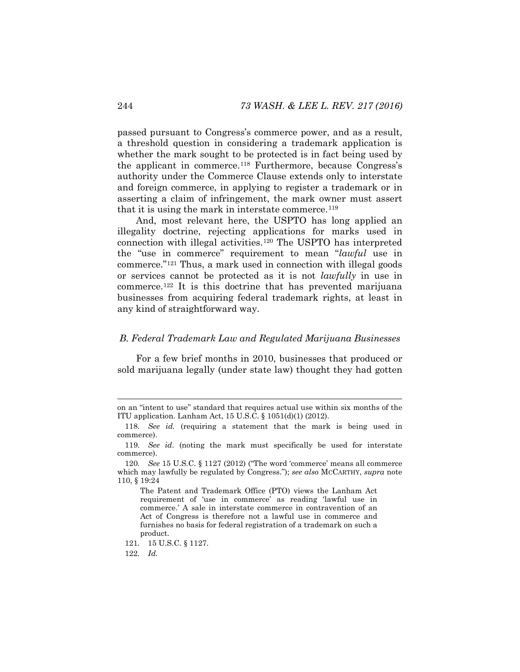passed pursuant to Congress's commerce power, and as a result, a threshold question in considering a trademark application is whether the mark sought to be protected is in fact being used by the applicant in commerce.[118](#page-29-0) Furthermore, because Congress's authority under the Commerce Clause extends only to interstate and foreign commerce, in applying to register a trademark or in asserting a claim of infringement, the mark owner must assert that it is using the mark in interstate commerce.<sup>[119](#page-29-1)</sup>

And, most relevant here, the USPTO has long applied an illegality doctrine, rejecting applications for marks used in connection with illegal activities.[120](#page-29-2) The USPTO has interpreted the "use in commerce" requirement to mean "*lawful* use in commerce."[121](#page-29-3) Thus, a mark used in connection with illegal goods or services cannot be protected as it is not *lawfully* in use in commerce[.122](#page-29-4) It is this doctrine that has prevented marijuana businesses from acquiring federal trademark rights, at least in any kind of straightforward way.

#### *B. Federal Trademark Law and Regulated Marijuana Businesses*

For a few brief months in 2010, businesses that produced or sold marijuana legally (under state law) thought they had gotten

on an "intent to use" standard that requires actual use within six months of the ITU application. Lanham Act, 15 U.S.C. § 1051(d)(1) (2012).

<span id="page-29-0"></span><sup>118</sup>*. See id.* (requiring a statement that the mark is being used in commerce).

<span id="page-29-1"></span><sup>119</sup>*. See id*. (noting the mark must specifically be used for interstate commerce).

<span id="page-29-2"></span><sup>120</sup>*. See* 15 U.S.C. § 1127 (2012) ("The word 'commerce' means all commerce which may lawfully be regulated by Congress."); *see also* MCCARTHY, *supra* note [110,](#page-27-0) § 19:24

The Patent and Trademark Office (PTO) views the Lanham Act requirement of 'use in commerce' as reading 'lawful use in commerce.' A sale in interstate commerce in contravention of an Act of Congress is therefore not a lawful use in commerce and furnishes no basis for federal registration of a trademark on such a product.

<span id="page-29-3"></span><sup>121</sup>*.* 15 U.S.C. § 1127.

<span id="page-29-4"></span><sup>122</sup>*. Id.*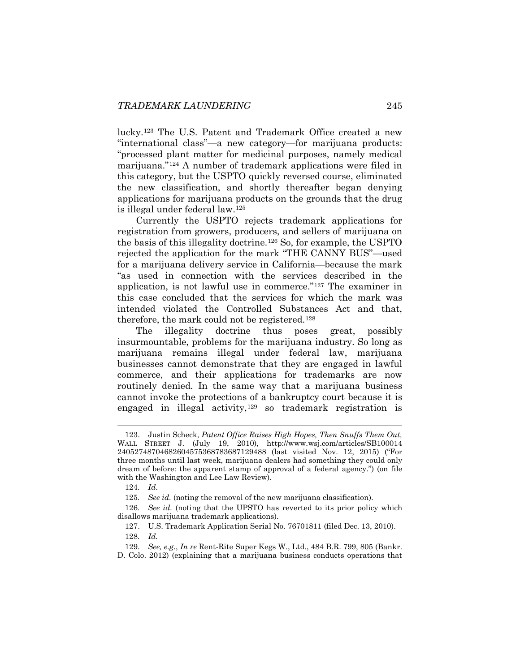lucky.[123](#page-30-0) The U.S. Patent and Trademark Office created a new "international class"—a new category—for marijuana products: "processed plant matter for medicinal purposes, namely medical marijuana."[124](#page-30-1) A number of trademark applications were filed in this category, but the USPTO quickly reversed course, eliminated the new classification, and shortly thereafter began denying applications for marijuana products on the grounds that the drug is illegal under federal law.[125](#page-30-2)

Currently the USPTO rejects trademark applications for registration from growers, producers, and sellers of marijuana on the basis of this illegality doctrine.[126](#page-30-3) So, for example, the USPTO rejected the application for the mark "THE CANNY BUS"—used for a marijuana delivery service in California—because the mark "as used in connection with the services described in the application, is not lawful use in commerce."[127](#page-30-4) The examiner in this case concluded that the services for which the mark was intended violated the Controlled Substances Act and that, therefore, the mark could not be registered.[128](#page-30-5)

The illegality doctrine thus poses great, possibly insurmountable, problems for the marijuana industry. So long as marijuana remains illegal under federal law, marijuana businesses cannot demonstrate that they are engaged in lawful commerce, and their applications for trademarks are now routinely denied. In the same way that a marijuana business cannot invoke the protections of a bankruptcy court because it is engaged in illegal activity, $129$  so trademark registration is

<span id="page-30-0"></span> <sup>123.</sup> Justin Scheck, *Patent Office Raises High Hopes, Then Snuffs Them Out,*  WALL STREET J. (July 19, 2010), http://www.wsj.com/articles/SB100014 24052748704682604575368783687129488 (last visited Nov. 12, 2015) ("For three months until last week, marijuana dealers had something they could only dream of before: the apparent stamp of approval of a federal agency.") (on file with the Washington and Lee Law Review).

<sup>124</sup>*. Id*.

<sup>125</sup>*. See id.* (noting the removal of the new marijuana classification).

<span id="page-30-3"></span><span id="page-30-2"></span><span id="page-30-1"></span><sup>126</sup>*. See id.* (noting that the UPSTO has reverted to its prior policy which disallows marijuana trademark applications).

<sup>127.</sup> U.S. Trademark Application Serial No. 76701811 (filed Dec. 13, 2010). 128*. Id.*

<span id="page-30-6"></span><span id="page-30-5"></span><span id="page-30-4"></span><sup>129</sup>*. See, e.g.*, *In re* Rent-Rite Super Kegs W., Ltd*.*, 484 B.R. 799, 805 (Bankr. D. Colo. 2012) (explaining that a marijuana business conducts operations that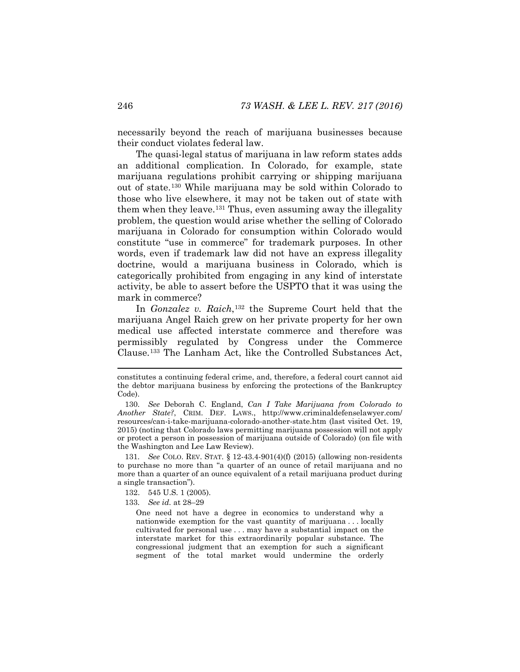necessarily beyond the reach of marijuana businesses because their conduct violates federal law.

The quasi-legal status of marijuana in law reform states adds an additional complication. In Colorado, for example, state marijuana regulations prohibit carrying or shipping marijuana out of state.[130](#page-31-0) While marijuana may be sold within Colorado to those who live elsewhere, it may not be taken out of state with them when they leave.[131](#page-31-1) Thus, even assuming away the illegality problem, the question would arise whether the selling of Colorado marijuana in Colorado for consumption within Colorado would constitute "use in commerce" for trademark purposes. In other words, even if trademark law did not have an express illegality doctrine, would a marijuana business in Colorado, which is categorically prohibited from engaging in any kind of interstate activity, be able to assert before the USPTO that it was using the mark in commerce?

In *Gonzalez v. Raich*,[132](#page-31-2) the Supreme Court held that the marijuana Angel Raich grew on her private property for her own medical use affected interstate commerce and therefore was permissibly regulated by Congress under the Commerce Clause.[133](#page-31-3) The Lanham Act, like the Controlled Substances Act,

<span id="page-31-2"></span><span id="page-31-1"></span>131*. See* COLO. REV. STAT. § 12-43.4-901(4)(f) (2015) (allowing non-residents to purchase no more than "a quarter of an ounce of retail marijuana and no more than a quarter of an ounce equivalent of a retail marijuana product during a single transaction").

132. 545 U.S. 1 (2005).

<span id="page-31-3"></span>133*. See id.* at 28–29

One need not have a degree in economics to understand why a nationwide exemption for the vast quantity of marijuana . . . locally cultivated for personal use . . . may have a substantial impact on the interstate market for this extraordinarily popular substance. The congressional judgment that an exemption for such a significant segment of the total market would undermine the orderly

constitutes a continuing federal crime, and, therefore, a federal court cannot aid the debtor marijuana business by enforcing the protections of the Bankruptcy Code).

<span id="page-31-0"></span><sup>130</sup>*. See* Deborah C. England, *Can I Take Marijuana from Colorado to Another State?*, CRIM. DEF. LAWS., http://www.criminaldefenselawyer.com/ resources/can-i-take-marijuana-colorado-another-state.htm (last visited Oct. 19, 2015) (noting that Colorado laws permitting marijuana possession will not apply or protect a person in possession of marijuana outside of Colorado) (on file with the Washington and Lee Law Review).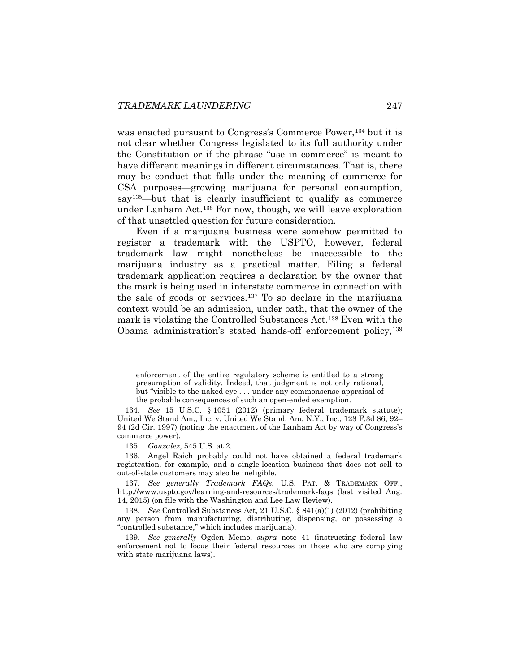was enacted pursuant to Congress's Commerce Power,<sup>[134](#page-32-0)</sup> but it is not clear whether Congress legislated to its full authority under the Constitution or if the phrase "use in commerce" is meant to have different meanings in different circumstances. That is, there may be conduct that falls under the meaning of commerce for CSA purposes—growing marijuana for personal consumption, say[135](#page-32-1)—but that is clearly insufficient to qualify as commerce under Lanham Act.[136](#page-32-2) For now, though, we will leave exploration of that unsettled question for future consideration.

Even if a marijuana business were somehow permitted to register a trademark with the USPTO, however, federal trademark law might nonetheless be inaccessible to the marijuana industry as a practical matter. Filing a federal trademark application requires a declaration by the owner that the mark is being used in interstate commerce in connection with the sale of goods or services.[137](#page-32-3) To so declare in the marijuana context would be an admission, under oath, that the owner of the mark is violating the Controlled Substances Act.[138](#page-32-4) Even with the Obama administration's stated hands-off enforcement policy,[139](#page-32-5)

135. *Gonzalez*, 545 U.S. at 2.

<span id="page-32-2"></span><span id="page-32-1"></span>136*.* Angel Raich probably could not have obtained a federal trademark registration, for example, and a single-location business that does not sell to out-of-state customers may also be ineligible.

<span id="page-32-7"></span><span id="page-32-6"></span>enforcement of the entire regulatory scheme is entitled to a strong presumption of validity. Indeed, that judgment is not only rational, but "visible to the naked eye . . . under any commonsense appraisal of the probable consequences of such an open-ended exemption.

<span id="page-32-0"></span><sup>134</sup>*. See* 15 U.S.C. § 1051 (2012) (primary federal trademark statute); United We Stand Am., Inc. v. United We Stand, Am. N.Y., Inc., 128 F.3d 86, 92– 94 (2d Cir. 1997) (noting the enactment of the Lanham Act by way of Congress's commerce power).

<span id="page-32-3"></span><sup>137</sup>*. See generally Trademark FAQs*, U.S. PAT. & TRADEMARK OFF., http://www.uspto.gov/learning-and-resources/trademark-faqs (last visited Aug. 14, 2015) (on file with the Washington and Lee Law Review).

<span id="page-32-4"></span><sup>138</sup>*. See* Controlled Substances Act, 21 U.S.C. § 841(a)(1) (2012) (prohibiting any person from manufacturing, distributing, dispensing, or possessing a "controlled substance," which includes marijuana).

<span id="page-32-5"></span><sup>139</sup>*. See generally* Ogden Memo, *supra* note [41](#page-12-2) (instructing federal law enforcement not to focus their federal resources on those who are complying with state marijuana laws).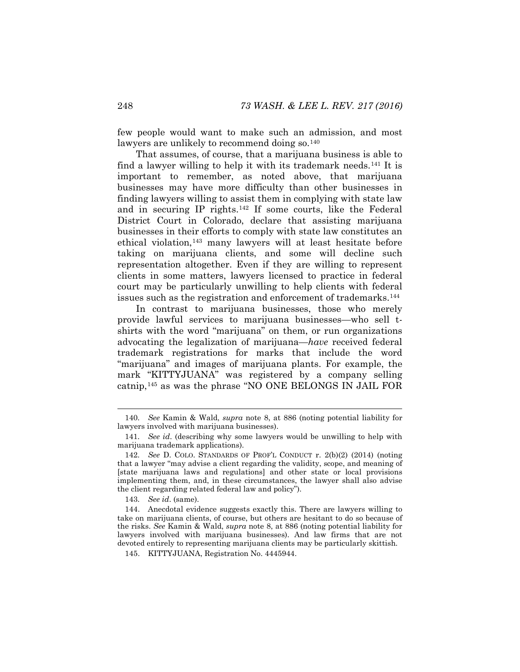few people would want to make such an admission, and most lawyers are unlikely to recommend doing so.<sup>[140](#page-33-0)</sup>

That assumes, of course, that a marijuana business is able to find a lawyer willing to help it with its trademark needs.[141](#page-33-1) It is important to remember, as noted above, that marijuana businesses may have more difficulty than other businesses in finding lawyers willing to assist them in complying with state law and in securing IP rights.[142](#page-33-2) If some courts, like the Federal District Court in Colorado, declare that assisting marijuana businesses in their efforts to comply with state law constitutes an ethical violation,[143](#page-33-3) many lawyers will at least hesitate before taking on marijuana clients, and some will decline such representation altogether. Even if they are willing to represent clients in some matters, lawyers licensed to practice in federal court may be particularly unwilling to help clients with federal issues such as the registration and enforcement of trademarks.<sup>[144](#page-33-4)</sup>

In contrast to marijuana businesses, those who merely provide lawful services to marijuana businesses—who sell tshirts with the word "marijuana" on them, or run organizations advocating the legalization of marijuana—*have* received federal trademark registrations for marks that include the word "marijuana" and images of marijuana plants. For example, the mark "KITTYJUANA" was registered by a company selling catnip,[145](#page-33-5) as was the phrase "NO ONE BELONGS IN JAIL FOR

<span id="page-33-0"></span> <sup>140</sup>*. See* Kamin & Wald, *supra* note [8,](#page-5-2) at 886 (noting potential liability for lawyers involved with marijuana businesses).

<span id="page-33-1"></span><sup>141</sup>*. See id*. (describing why some lawyers would be unwilling to help with marijuana trademark applications).

<span id="page-33-2"></span><sup>142</sup>*. See* D. COLO. STANDARDS OF PROF'L CONDUCT r. 2(b)(2) (2014) (noting that a lawyer "may advise a client regarding the validity, scope, and meaning of [state marijuana laws and regulations] and other state or local provisions implementing them, and, in these circumstances, the lawyer shall also advise the client regarding related federal law and policy").

<sup>143</sup>*. See id*. (same).

<span id="page-33-5"></span><span id="page-33-4"></span><span id="page-33-3"></span><sup>144.</sup> Anecdotal evidence suggests exactly this. There are lawyers willing to take on marijuana clients, of course, but others are hesitant to do so because of the risks. *See* Kamin & Wald, *supra* note [8,](#page-5-2) at 886 (noting potential liability for lawyers involved with marijuana businesses). And law firms that are not devoted entirely to representing marijuana clients may be particularly skittish.

<sup>145.</sup> KITTYJUANA, Registration No. 4445944.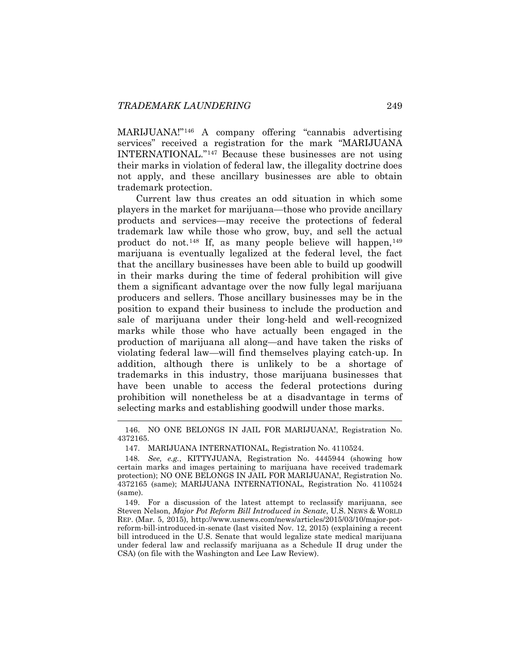MARIJUANA!"[146](#page-34-0) A company offering "cannabis advertising services" received a registration for the mark "MARIJUANA INTERNATIONAL."[147](#page-34-1) Because these businesses are not using their marks in violation of federal law, the illegality doctrine does not apply, and these ancillary businesses are able to obtain trademark protection.

Current law thus creates an odd situation in which some players in the market for marijuana—those who provide ancillary products and services—may receive the protections of federal trademark law while those who grow, buy, and sell the actual product do not.<sup>[148](#page-34-2)</sup> If, as many people believe will happen,<sup>[149](#page-34-3)</sup> marijuana is eventually legalized at the federal level, the fact that the ancillary businesses have been able to build up goodwill in their marks during the time of federal prohibition will give them a significant advantage over the now fully legal marijuana producers and sellers. Those ancillary businesses may be in the position to expand their business to include the production and sale of marijuana under their long-held and well-recognized marks while those who have actually been engaged in the production of marijuana all along—and have taken the risks of violating federal law—will find themselves playing catch-up. In addition, although there is unlikely to be a shortage of trademarks in this industry, those marijuana businesses that have been unable to access the federal protections during prohibition will nonetheless be at a disadvantage in terms of selecting marks and establishing goodwill under those marks.

<span id="page-34-0"></span> 146. NO ONE BELONGS IN JAIL FOR MARIJUANA!, Registration No. 4372165.

147. MARIJUANA INTERNATIONAL, Registration No. 4110524.

<span id="page-34-2"></span><span id="page-34-1"></span>148*. See, e.g.*, KITTYJUANA, Registration No. 4445944 (showing how certain marks and images pertaining to marijuana have received trademark protection); NO ONE BELONGS IN JAIL FOR MARIJUANA!, Registration No. 4372165 (same); MARIJUANA INTERNATIONAL, Registration No. 4110524 (same).

<span id="page-34-3"></span>149. For a discussion of the latest attempt to reclassify marijuana, see Steven Nelson, *Major Pot Reform Bill Introduced in Senate*, U.S. NEWS & WORLD REP. (Mar. 5, 2015), http://www.usnews.com/news/articles/2015/03/10/major-potreform-bill-introduced-in-senate (last visited Nov. 12, 2015) (explaining a recent bill introduced in the U.S. Senate that would legalize state medical marijuana under federal law and reclassify marijuana as a Schedule II drug under the CSA) (on file with the Washington and Lee Law Review).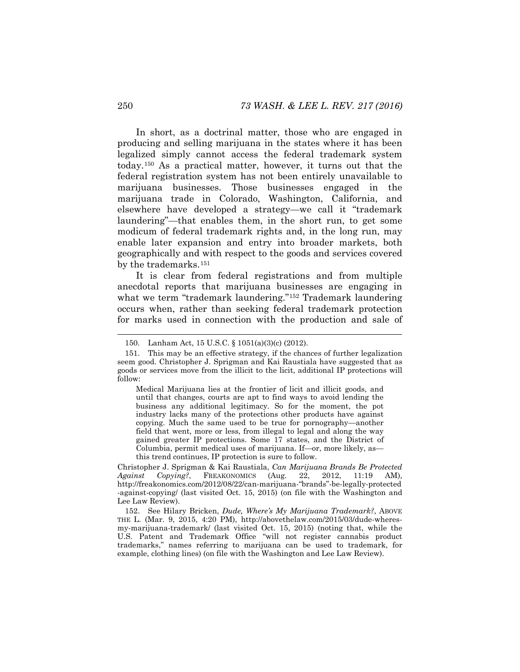In short, as a doctrinal matter, those who are engaged in producing and selling marijuana in the states where it has been legalized simply cannot access the federal trademark system today.[150](#page-35-0) As a practical matter, however, it turns out that the federal registration system has not been entirely unavailable to marijuana businesses. Those businesses engaged in the marijuana trade in Colorado, Washington, California, and elsewhere have developed a strategy—we call it "trademark laundering"—that enables them, in the short run, to get some modicum of federal trademark rights and, in the long run, may enable later expansion and entry into broader markets, both geographically and with respect to the goods and services covered by the trademarks.[151](#page-35-1)

It is clear from federal registrations and from multiple anecdotal reports that marijuana businesses are engaging in what we term "trademark laundering."<sup>[152](#page-35-2)</sup> Trademark laundering occurs when, rather than seeking federal trademark protection for marks used in connection with the production and sale of

Medical Marijuana lies at the frontier of licit and illicit goods, and until that changes, courts are apt to find ways to avoid lending the business any additional legitimacy. So for the moment, the pot industry lacks many of the protections other products have against copying. Much the same used to be true for pornography—another field that went, more or less, from illegal to legal and along the way gained greater IP protections. Some 17 states, and the District of Columbia, permit medical uses of marijuana. If—or, more likely, as this trend continues, IP protection is sure to follow.

Christopher J. Sprigman & Kai Raustiala, *Can Marijuana Brands Be Protected Against Copying?*, FREAKONOMICS (Aug. 22, 2012, 11:19 AM), http://freakonomics.com/2012/08/22/can-marijuana-"brands"-be-legally-protected -against-copying/ (last visited Oct. 15, 2015) (on file with the Washington and Lee Law Review).

<span id="page-35-2"></span>152. See Hilary Bricken, *Dude, Where's My Marijuana Trademark?*, ABOVE THE L. (Mar. 9, 2015, 4:20 PM), http://abovethelaw.com/2015/03/dude-wheresmy-marijuana-trademark/ (last visited Oct. 15, 2015) (noting that, while the U.S. Patent and Trademark Office "will not register cannabis product trademarks," names referring to marijuana can be used to trademark, for example, clothing lines) (on file with the Washington and Lee Law Review).

 <sup>150</sup>*.* Lanham Act, 15 U.S.C. § 1051(a)(3)(c) (2012).

<span id="page-35-1"></span><span id="page-35-0"></span><sup>151.</sup> This may be an effective strategy, if the chances of further legalization seem good. Christopher J. Sprigman and Kai Raustiala have suggested that as goods or services move from the illicit to the licit, additional IP protections will follow: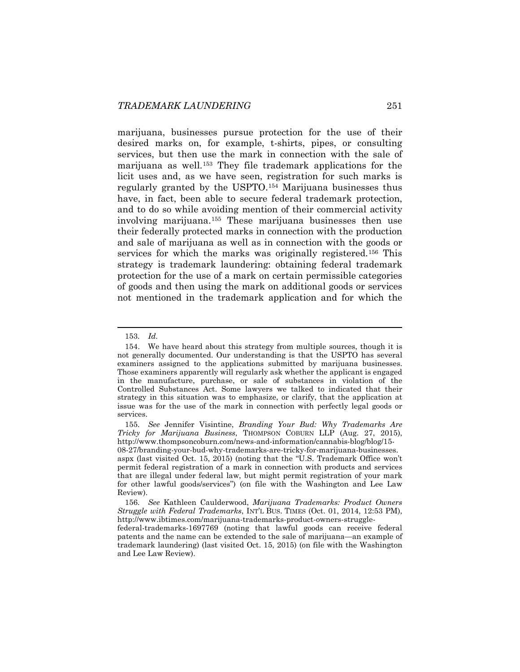marijuana, businesses pursue protection for the use of their desired marks on, for example, t-shirts, pipes, or consulting services, but then use the mark in connection with the sale of marijuana as well.[153](#page-36-0) They file trademark applications for the licit uses and, as we have seen, registration for such marks is regularly granted by the USPTO.[154](#page-36-1) Marijuana businesses thus have, in fact, been able to secure federal trademark protection, and to do so while avoiding mention of their commercial activity involving marijuana.[155](#page-36-2) These marijuana businesses then use their federally protected marks in connection with the production and sale of marijuana as well as in connection with the goods or services for which the marks was originally registered.<sup>[156](#page-36-3)</sup> This strategy is trademark laundering: obtaining federal trademark protection for the use of a mark on certain permissible categories of goods and then using the mark on additional goods or services not mentioned in the trademark application and for which the

 <sup>153</sup>*. Id.*

<span id="page-36-1"></span><span id="page-36-0"></span><sup>154.</sup> We have heard about this strategy from multiple sources, though it is not generally documented. Our understanding is that the USPTO has several examiners assigned to the applications submitted by marijuana businesses. Those examiners apparently will regularly ask whether the applicant is engaged in the manufacture, purchase, or sale of substances in violation of the Controlled Substances Act. Some lawyers we talked to indicated that their strategy in this situation was to emphasize, or clarify, that the application at issue was for the use of the mark in connection with perfectly legal goods or services.

<span id="page-36-2"></span><sup>155</sup>*. See* Jennifer Visintine, *Branding Your Bud: Why Trademarks Are Tricky for Marijuana Business*, THOMPSON COBURN LLP (Aug. 27, 2015), http://www.thompsoncoburn.com/news-and-information/cannabis-blog/blog/15- 08-27/branding-your-bud-why-trademarks-are-tricky-for-marijuana-businesses.

aspx (last visited Oct. 15, 2015) (noting that the "U.S. Trademark Office won't permit federal registration of a mark in connection with products and services that are illegal under federal law, but might permit registration of your mark for other lawful goods/services") (on file with the Washington and Lee Law Review).

<span id="page-36-3"></span><sup>156</sup>*. See* Kathleen Caulderwood, *Marijuana Trademarks: Product Owners Struggle with Federal Trademarks*, INT'L BUS. TIMES (Oct. 01, 2014, 12:53 PM), http://www.ibtimes.com/marijuana-trademarks-product-owners-struggle-

federal-trademarks-1697769 (noting that lawful goods can receive federal patents and the name can be extended to the sale of marijuana—an example of trademark laundering) (last visited Oct. 15, 2015) (on file with the Washington and Lee Law Review).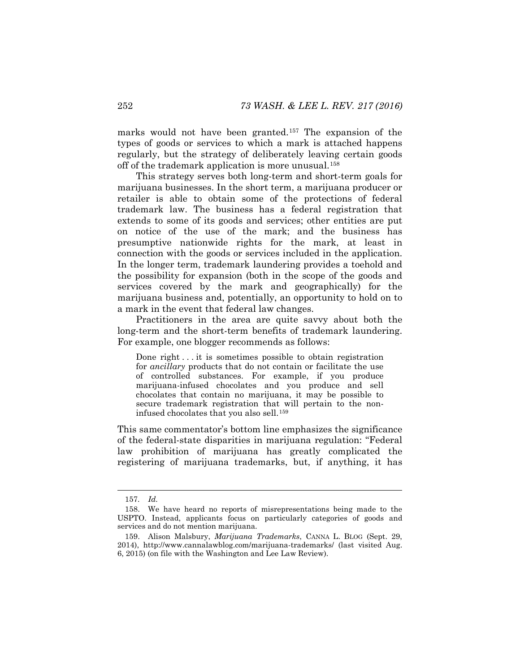marks would not have been granted[.157](#page-37-0) The expansion of the types of goods or services to which a mark is attached happens regularly, but the strategy of deliberately leaving certain goods off of the trademark application is more unusual.[158](#page-37-1)

This strategy serves both long-term and short-term goals for marijuana businesses. In the short term, a marijuana producer or retailer is able to obtain some of the protections of federal trademark law. The business has a federal registration that extends to some of its goods and services; other entities are put on notice of the use of the mark; and the business has presumptive nationwide rights for the mark, at least in connection with the goods or services included in the application. In the longer term, trademark laundering provides a toehold and the possibility for expansion (both in the scope of the goods and services covered by the mark and geographically) for the marijuana business and, potentially, an opportunity to hold on to a mark in the event that federal law changes.

Practitioners in the area are quite savvy about both the long-term and the short-term benefits of trademark laundering. For example, one blogger recommends as follows:

Done right . . . it is sometimes possible to obtain registration for *ancillary* products that do not contain or facilitate the use of controlled substances. For example, if you produce marijuana-infused chocolates and you produce and sell chocolates that contain no marijuana, it may be possible to secure trademark registration that will pertain to the noninfused chocolates that you also sell.[159](#page-37-2)

This same commentator's bottom line emphasizes the significance of the federal-state disparities in marijuana regulation: "Federal law prohibition of marijuana has greatly complicated the registering of marijuana trademarks, but, if anything, it has

 <sup>157</sup>*. Id.*

<span id="page-37-1"></span><span id="page-37-0"></span><sup>158.</sup> We have heard no reports of misrepresentations being made to the USPTO. Instead, applicants focus on particularly categories of goods and services and do not mention marijuana.

<span id="page-37-2"></span><sup>159.</sup> Alison Malsbury, *Marijuana Trademarks*, CANNA L. BLOG (Sept. 29, 2014), http://www.cannalawblog.com/marijuana-trademarks/ (last visited Aug. 6, 2015) (on file with the Washington and Lee Law Review).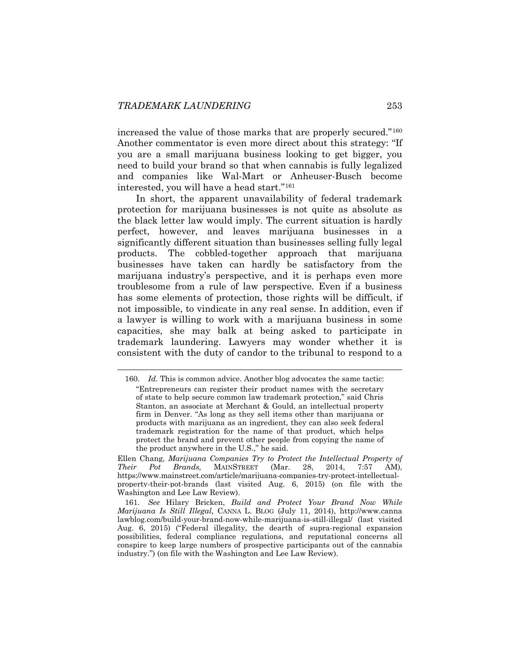increased the value of those marks that are properly secured."[160](#page-38-0) Another commentator is even more direct about this strategy: "If you are a small marijuana business looking to get bigger, you need to build your brand so that when cannabis is fully legalized and companies like Wal-Mart or Anheuser-Busch become interested, you will have a head start."[161](#page-38-1)

In short, the apparent unavailability of federal trademark protection for marijuana businesses is not quite as absolute as the black letter law would imply. The current situation is hardly perfect, however, and leaves marijuana businesses in a significantly different situation than businesses selling fully legal products. The cobbled-together approach that marijuana businesses have taken can hardly be satisfactory from the marijuana industry's perspective, and it is perhaps even more troublesome from a rule of law perspective. Even if a business has some elements of protection, those rights will be difficult, if not impossible, to vindicate in any real sense. In addition, even if a lawyer is willing to work with a marijuana business in some capacities, she may balk at being asked to participate in trademark laundering. Lawyers may wonder whether it is consistent with the duty of candor to the tribunal to respond to a

<span id="page-38-0"></span> <sup>160</sup>*. Id.* This is common advice. Another blog advocates the same tactic: "Entrepreneurs can register their product names with the secretary of state to help secure common law trademark protection," said Chris Stanton, an associate at Merchant & Gould, an intellectual property firm in Denver. "As long as they sell items other than marijuana or products with marijuana as an ingredient, they can also seek federal trademark registration for the name of that product, which helps protect the brand and prevent other people from copying the name of the product anywhere in the U.S.," he said.

Ellen Chang, *Marijuana Companies Try to Protect the Intellectual Property of Their* Pot Brands, MAINSTREET (Mar. 28, 2014, 7:57 AM), *Their Pot Brands,* MAINSTREET (Mar. 28, 2014, 7:57 AM), https://www.mainstreet.com/article/marijuana-companies-try-protect-intellectualproperty-their-pot-brands (last visited Aug. 6, 2015) (on file with the Washington and Lee Law Review).

<span id="page-38-1"></span><sup>161</sup>*. See* Hilary Bricken, *Build and Protect Your Brand Now While Marijuana Is Still Illegal,* CANNA L. BLOG (July 11, 2014), http://www.canna lawblog.com/build-your-brand-now-while-marijuana-is-still-illegal/ (last visited Aug. 6, 2015) ("Federal illegality, the dearth of supra-regional expansion possibilities, federal compliance regulations, and reputational concerns all conspire to keep large numbers of prospective participants out of the cannabis industry.") (on file with the Washington and Lee Law Review).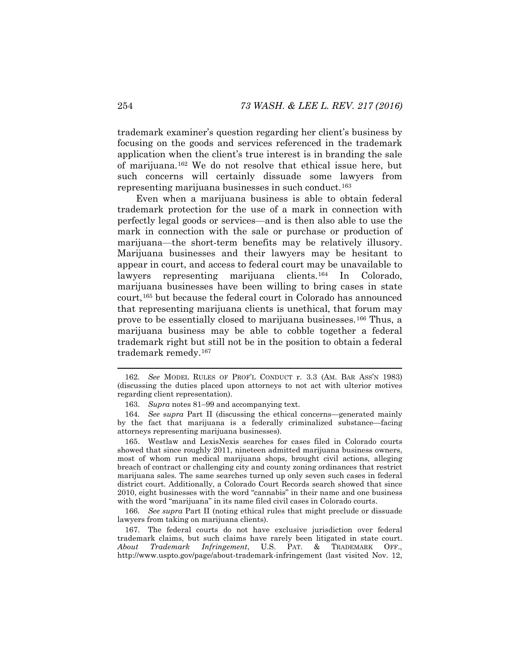<span id="page-39-6"></span>trademark examiner's question regarding her client's business by focusing on the goods and services referenced in the trademark application when the client's true interest is in branding the sale of marijuana.[162](#page-39-0) We do not resolve that ethical issue here, but such concerns will certainly dissuade some lawyers from representing marijuana businesses in such conduct.[163](#page-39-1)

<span id="page-39-7"></span>Even when a marijuana business is able to obtain federal trademark protection for the use of a mark in connection with perfectly legal goods or services—and is then also able to use the mark in connection with the sale or purchase or production of marijuana—the short-term benefits may be relatively illusory. Marijuana businesses and their lawyers may be hesitant to appear in court, and access to federal court may be unavailable to lawyers representing marijuana clients.<sup>[164](#page-39-2)</sup> In Colorado, marijuana businesses have been willing to bring cases in state court,[165](#page-39-3) but because the federal court in Colorado has announced that representing marijuana clients is unethical, that forum may prove to be essentially closed to marijuana businesses.[166](#page-39-4) Thus, a marijuana business may be able to cobble together a federal trademark right but still not be in the position to obtain a federal trademark remedy.[167](#page-39-5)

<span id="page-39-3"></span>165. Westlaw and LexisNexis searches for cases filed in Colorado courts showed that since roughly 2011, nineteen admitted marijuana business owners, most of whom run medical marijuana shops, brought civil actions, alleging breach of contract or challenging city and county zoning ordinances that restrict marijuana sales. The same searches turned up only seven such cases in federal district court. Additionally, a Colorado Court Records search showed that since 2010, eight businesses with the word "cannabis" in their name and one business with the word "marijuana" in its name filed civil cases in Colorado courts.

<span id="page-39-4"></span>166*. See supra* Part II (noting ethical rules that might preclude or dissuade lawyers from taking on marijuana clients).

<span id="page-39-5"></span>167. The federal courts do not have exclusive jurisdiction over federal trademark claims, but such claims have rarely been litigated in state court. *About Trademark Infringement*, U.S. PAT. & TRADEMARK OFF., http://www.uspto.gov/page/about-trademark-infringement (last visited Nov. 12,

<span id="page-39-0"></span> <sup>162</sup>*. See* MODEL RULES OF PROF'L CONDUCT r. 3.3 (AM. BAR ASS'N 1983) (discussing the duties placed upon attorneys to not act with ulterior motives regarding client representation).

<sup>163.</sup> *Supra* notes [81–](#page-21-6)[99](#page-25-5) and accompanying text.

<span id="page-39-2"></span><span id="page-39-1"></span><sup>164</sup>*. See* s*upra* Part II (discussing the ethical concerns—generated mainly by the fact that marijuana is a federally criminalized substance—facing attorneys representing marijuana businesses).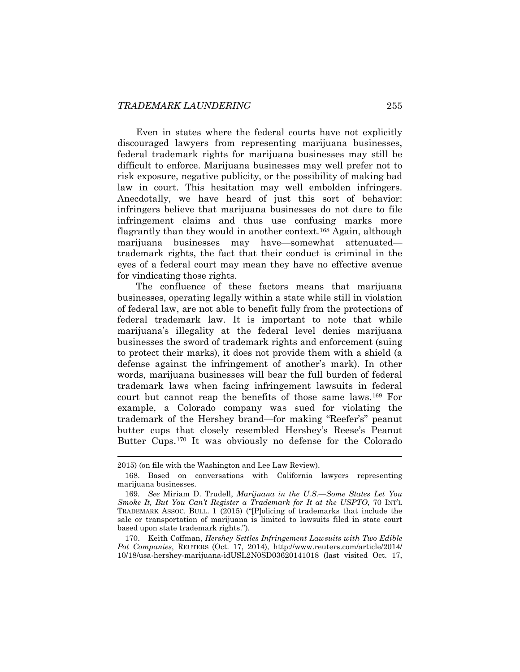Even in states where the federal courts have not explicitly discouraged lawyers from representing marijuana businesses, federal trademark rights for marijuana businesses may still be difficult to enforce. Marijuana businesses may well prefer not to risk exposure, negative publicity, or the possibility of making bad law in court. This hesitation may well embolden infringers. Anecdotally, we have heard of just this sort of behavior: infringers believe that marijuana businesses do not dare to file infringement claims and thus use confusing marks more flagrantly than they would in another context.[168](#page-40-0) Again, although marijuana businesses may have—somewhat attenuated trademark rights, the fact that their conduct is criminal in the eyes of a federal court may mean they have no effective avenue for vindicating those rights.

The confluence of these factors means that marijuana businesses, operating legally within a state while still in violation of federal law, are not able to benefit fully from the protections of federal trademark law. It is important to note that while marijuana's illegality at the federal level denies marijuana businesses the sword of trademark rights and enforcement (suing to protect their marks), it does not provide them with a shield (a defense against the infringement of another's mark). In other words, marijuana businesses will bear the full burden of federal trademark laws when facing infringement lawsuits in federal court but cannot reap the benefits of those same laws.[169](#page-40-1) For example, a Colorado company was sued for violating the trademark of the Hershey brand—for making "Reefer's" peanut butter cups that closely resembled Hershey's Reese's Peanut Butter Cups.[170](#page-40-2) It was obviously no defense for the Colorado

 <sup>2015) (</sup>on file with the Washington and Lee Law Review).

<span id="page-40-0"></span><sup>168.</sup> Based on conversations with California lawyers representing marijuana businesses.

<span id="page-40-1"></span><sup>169</sup>*. See* Miriam D. Trudell, *Marijuana in the U.S.—Some States Let You Smoke It, But You Can't Register a Trademark for It at the USPTO*, 70 INT'L TRADEMARK ASSOC. BULL. 1 (2015) ("[P]olicing of trademarks that include the sale or transportation of marijuana is limited to lawsuits filed in state court based upon state trademark rights.").

<span id="page-40-2"></span><sup>170.</sup> Keith Coffman, *Hershey Settles Infringement Lawsuits with Two Edible Pot Companies*, REUTERS (Oct. 17, 2014), http://www.reuters.com/article/2014/ 10/18/usa-hershey-marijuana-idUSL2N0SD03620141018 (last visited Oct. 17,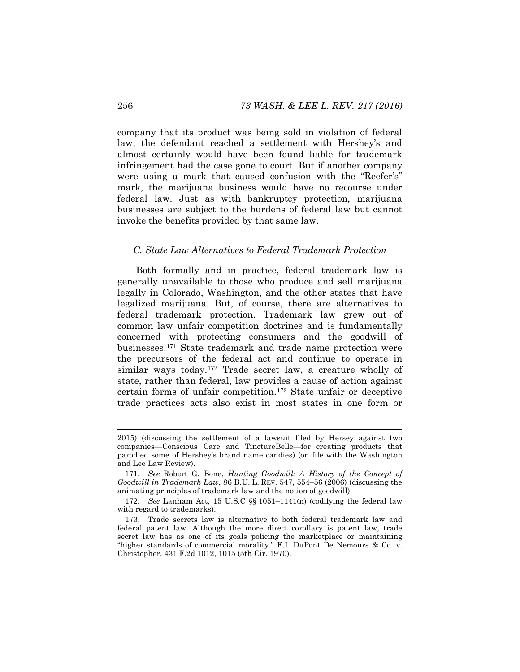company that its product was being sold in violation of federal law; the defendant reached a settlement with Hershey's and almost certainly would have been found liable for trademark infringement had the case gone to court. But if another company were using a mark that caused confusion with the "Reefer's" mark, the marijuana business would have no recourse under federal law. Just as with bankruptcy protection, marijuana businesses are subject to the burdens of federal law but cannot invoke the benefits provided by that same law.

## *C. State Law Alternatives to Federal Trademark Protection*

Both formally and in practice, federal trademark law is generally unavailable to those who produce and sell marijuana legally in Colorado, Washington, and the other states that have legalized marijuana. But, of course, there are alternatives to federal trademark protection. Trademark law grew out of common law unfair competition doctrines and is fundamentally concerned with protecting consumers and the goodwill of businesses.[171](#page-41-0) State trademark and trade name protection were the precursors of the federal act and continue to operate in similar ways today.[172](#page-41-1) Trade secret law, a creature wholly of state, rather than federal, law provides a cause of action against certain forms of unfair competition.[173](#page-41-2) State unfair or deceptive trade practices acts also exist in most states in one form or

 <sup>2015) (</sup>discussing the settlement of a lawsuit filed by Hersey against two companies—Conscious Care and TinctureBelle—for creating products that parodied some of Hershey's brand name candies) (on file with the Washington and Lee Law Review).

<span id="page-41-0"></span><sup>171</sup>*. See* Robert G. Bone, *Hunting Goodwill: A History of the Concept of Goodwill in Trademark Law*, 86 B.U. L. REV. 547, 554–56 (2006) (discussing the animating principles of trademark law and the notion of goodwill).

<span id="page-41-1"></span><sup>172</sup>*. See* Lanham Act, 15 U.S.C §§ 1051–1141(n) (codifying the federal law with regard to trademarks).

<span id="page-41-2"></span><sup>173.</sup> Trade secrets law is alternative to both federal trademark law and federal patent law. Although the more direct corollary is patent law, trade secret law has as one of its goals policing the marketplace or maintaining "higher standards of commercial morality." E.I. DuPont De Nemours & Co. v. Christopher, 431 F.2d 1012, 1015 (5th Cir. 1970).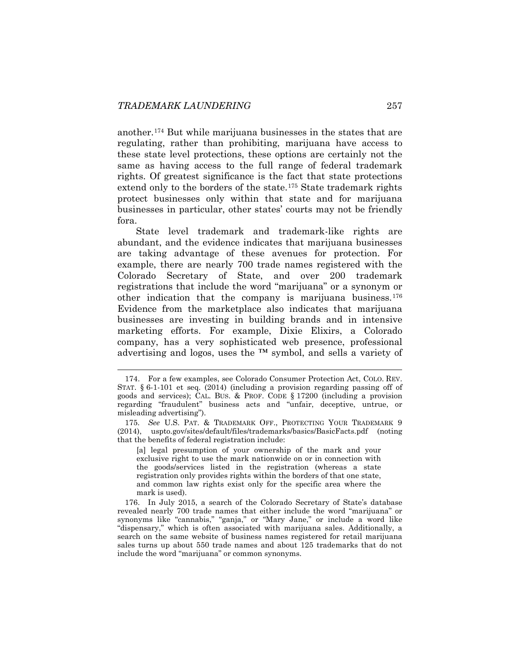another.[174](#page-42-0) But while marijuana businesses in the states that are regulating, rather than prohibiting, marijuana have access to these state level protections, these options are certainly not the same as having access to the full range of federal trademark rights. Of greatest significance is the fact that state protections extend only to the borders of the state.[175](#page-42-1) State trademark rights protect businesses only within that state and for marijuana businesses in particular, other states' courts may not be friendly fora.

State level trademark and trademark-like rights are abundant, and the evidence indicates that marijuana businesses are taking advantage of these avenues for protection. For example, there are nearly 700 trade names registered with the Colorado Secretary of State, and over 200 trademark registrations that include the word "marijuana" or a synonym or other indication that the company is marijuana business.[176](#page-42-2) Evidence from the marketplace also indicates that marijuana businesses are investing in building brands and in intensive marketing efforts. For example, Dixie Elixirs, a Colorado company, has a very sophisticated web presence, professional advertising and logos, uses the ™ symbol, and sells a variety of

[a] legal presumption of your ownership of the mark and your exclusive right to use the mark nationwide on or in connection with the goods/services listed in the registration (whereas a state registration only provides rights within the borders of that one state, and common law rights exist only for the specific area where the mark is used).

<span id="page-42-2"></span>176. In July 2015, a search of the Colorado Secretary of State's database revealed nearly 700 trade names that either include the word "marijuana" or synonyms like "cannabis," "ganja," or "Mary Jane," or include a word like "dispensary," which is often associated with marijuana sales. Additionally, a search on the same website of business names registered for retail marijuana sales turns up about 550 trade names and about 125 trademarks that do not include the word "marijuana" or common synonyms.

<span id="page-42-0"></span> <sup>174.</sup> For a few examples, see Colorado Consumer Protection Act, COLO. REV. STAT. § 6-1-101 et seq. (2014) (including a provision regarding passing off of goods and services); CAL. BUS. & PROF. CODE § 17200 (including a provision regarding "fraudulent" business acts and "unfair, deceptive, untrue, or misleading advertising").

<span id="page-42-1"></span><sup>175</sup>*. See* U.S. PAT. & TRADEMARK OFF., PROTECTING YOUR TRADEMARK 9 (2014), uspto.gov/sites/default/files/trademarks/basics/BasicFacts.pdf (noting that the benefits of federal registration include: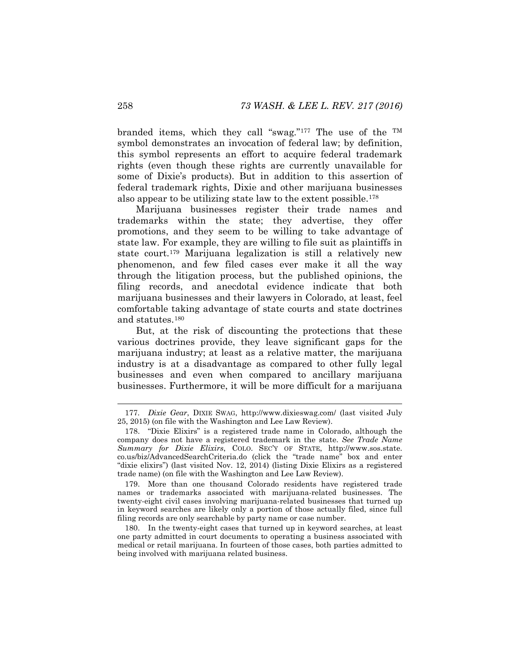branded items, which they call "swag."[177](#page-43-0) The use of the TM symbol demonstrates an invocation of federal law; by definition, this symbol represents an effort to acquire federal trademark rights (even though these rights are currently unavailable for some of Dixie's products). But in addition to this assertion of federal trademark rights, Dixie and other marijuana businesses also appear to be utilizing state law to the extent possible[.178](#page-43-1)

Marijuana businesses register their trade names and trademarks within the state; they advertise, they offer promotions, and they seem to be willing to take advantage of state law. For example, they are willing to file suit as plaintiffs in state court.[179](#page-43-2) Marijuana legalization is still a relatively new phenomenon, and few filed cases ever make it all the way through the litigation process, but the published opinions, the filing records, and anecdotal evidence indicate that both marijuana businesses and their lawyers in Colorado, at least, feel comfortable taking advantage of state courts and state doctrines and statutes.[180](#page-43-3)

But, at the risk of discounting the protections that these various doctrines provide, they leave significant gaps for the marijuana industry; at least as a relative matter, the marijuana industry is at a disadvantage as compared to other fully legal businesses and even when compared to ancillary marijuana businesses. Furthermore, it will be more difficult for a marijuana

<span id="page-43-0"></span> <sup>177</sup>*. Dixie Gear*, DIXIE SWAG, http://www.dixieswag.com/ (last visited July 25, 2015) (on file with the Washington and Lee Law Review).

<span id="page-43-1"></span><sup>178.</sup> "Dixie Elixirs" is a registered trade name in Colorado, although the company does not have a registered trademark in the state. *See Trade Name Summary for Dixie Elixirs*, COLO. SEC'Y OF STATE, http://www.sos.state. co.us/biz/AdvancedSearchCriteria.do (click the "trade name" box and enter "dixie elixirs") (last visited Nov. 12, 2014) (listing Dixie Elixirs as a registered trade name) (on file with the Washington and Lee Law Review).

<span id="page-43-2"></span><sup>179.</sup> More than one thousand Colorado residents have registered trade names or trademarks associated with marijuana-related businesses. The twenty-eight civil cases involving marijuana-related businesses that turned up in keyword searches are likely only a portion of those actually filed, since full filing records are only searchable by party name or case number.

<span id="page-43-3"></span><sup>180.</sup> In the twenty-eight cases that turned up in keyword searches, at least one party admitted in court documents to operating a business associated with medical or retail marijuana. In fourteen of those cases, both parties admitted to being involved with marijuana related business.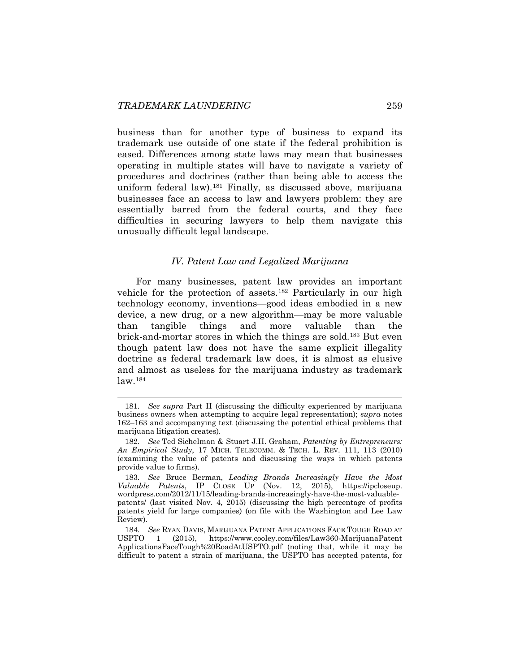business than for another type of business to expand its trademark use outside of one state if the federal prohibition is eased. Differences among state laws may mean that businesses operating in multiple states will have to navigate a variety of procedures and doctrines (rather than being able to access the uniform federal law).[181](#page-44-0) Finally, as discussed above, marijuana businesses face an access to law and lawyers problem: they are essentially barred from the federal courts, and they face difficulties in securing lawyers to help them navigate this unusually difficult legal landscape.

## <span id="page-44-4"></span>*IV. Patent Law and Legalized Marijuana*

For many businesses, patent law provides an important vehicle for the protection of assets.[182](#page-44-1) Particularly in our high technology economy, inventions—good ideas embodied in a new device, a new drug, or a new algorithm—may be more valuable than tangible things and more valuable than the brick-and-mortar stores in which the things are sold.[183](#page-44-2) But even though patent law does not have the same explicit illegality doctrine as federal trademark law does, it is almost as elusive and almost as useless for the marijuana industry as trademark law.[184](#page-44-3)

<span id="page-44-0"></span> <sup>181</sup>*. See supra* Part II (discussing the difficulty experienced by marijuana business owners when attempting to acquire legal representation); *supra* notes [162–](#page-39-6)[163](#page-39-7) and accompanying text (discussing the potential ethical problems that marijuana litigation creates).

<span id="page-44-1"></span><sup>182</sup>*. See* Ted Sichelman & Stuart J.H. Graham, *Patenting by Entrepreneurs: An Empirical Study*, 17 MICH. TELECOMM. & TECH. L. REV. 111, 113 (2010) (examining the value of patents and discussing the ways in which patents provide value to firms).

<span id="page-44-2"></span><sup>183</sup>*. See* Bruce Berman, *Leading Brands Increasingly Have the Most Valuable Patents*, IP CLOSE UP (Nov. 12, 2015), https://ipcloseup. wordpress.com/2012/11/15/leading-brands-increasingly-have-the-most-valuablepatents/ (last visited Nov. 4, 2015) (discussing the high percentage of profits patents yield for large companies) (on file with the Washington and Lee Law Review).

<span id="page-44-3"></span><sup>184</sup>*. See* RYAN DAVIS, MARIJUANA PATENT APPLICATIONS FACE TOUGH ROAD AT USPTO 1 (2015), https://www.cooley.com/files/Law360-MarijuanaPatent ApplicationsFaceTough%20RoadAtUSPTO.pdf (noting that, while it may be difficult to patent a strain of marijuana, the USPTO has accepted patents, for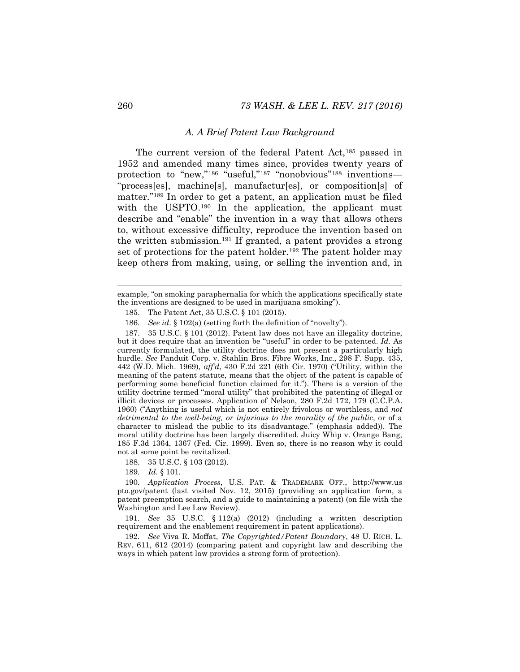#### *A. A Brief Patent Law Background*

The current version of the federal Patent Act,<sup>[185](#page-45-0)</sup> passed in 1952 and amended many times since, provides twenty years of protection to "new,"[186](#page-45-1) "useful,"[187](#page-45-2) "nonobvious"[188](#page-45-3) inventions— "process[es], machine[s], manufactur[es], or composition[s] of matter."[189](#page-45-4) In order to get a patent, an application must be filed with the USPTO.<sup>[190](#page-45-5)</sup> In the application, the applicant must describe and "enable" the invention in a way that allows others to, without excessive difficulty, reproduce the invention based on the written submission.[191](#page-45-6) If granted, a patent provides a strong set of protections for the patent holder.<sup>192</sup> The patent holder may keep others from making, using, or selling the invention and, in

<span id="page-45-2"></span><span id="page-45-1"></span>187. 35 U.S.C. § 101 (2012). Patent law does not have an illegality doctrine, but it does require that an invention be "useful" in order to be patented. *Id.* As currently formulated, the utility doctrine does not present a particularly high hurdle. *See* Panduit Corp. v. Stahlin Bros. Fibre Works, Inc., 298 F. Supp. 435, 442 (W.D. Mich. 1969), *aff'd*, 430 F.2d 221 (6th Cir. 1970) ("Utility, within the meaning of the patent statute, means that the object of the patent is capable of performing some beneficial function claimed for it."). There is a version of the utility doctrine termed "moral utility" that prohibited the patenting of illegal or illicit devices or processes. Application of Nelson, 280 F.2d 172, 179 (C.C.P.A. 1960) ("Anything is useful which is not entirely frivolous or worthless, and *not detrimental to the well-being, or injurious to the morality of the public*, or of a character to mislead the public to its disadvantage." (emphasis added)). The moral utility doctrine has been largely discredited. Juicy Whip v. Orange Bang, 185 F.3d 1364, 1367 (Fed. Cir. 1999). Even so, there is no reason why it could not at some point be revitalized.

188. 35 U.S.C. § 103 (2012).

189*. Id*. § 101.

<span id="page-45-5"></span><span id="page-45-4"></span><span id="page-45-3"></span>190*. Application Process*, U.S. PAT. & TRADEMARK OFF., http://www.us pto.gov/patent (last visited Nov. 12, 2015) (providing an application form, a patent preemption search, and a guide to maintaining a patent) (on file with the Washington and Lee Law Review).

<span id="page-45-6"></span>191*. See* 35 U.S.C. § 112(a) (2012) (including a written description requirement and the enablement requirement in patent applications).

<span id="page-45-7"></span>192*. See* Viva R. Moffat, *The Copyrighted/Patent Boundary*, 48 U. RICH. L. REV. 611, 612 (2014) (comparing patent and copyright law and describing the ways in which patent law provides a strong form of protection).

<span id="page-45-0"></span>example, "on smoking paraphernalia for which the applications specifically state the inventions are designed to be used in marijuana smoking").

<sup>185.</sup> The Patent Act, 35 U.S.C. § 101 (2015).

<sup>186</sup>*. See id*. § 102(a) (setting forth the definition of "novelty").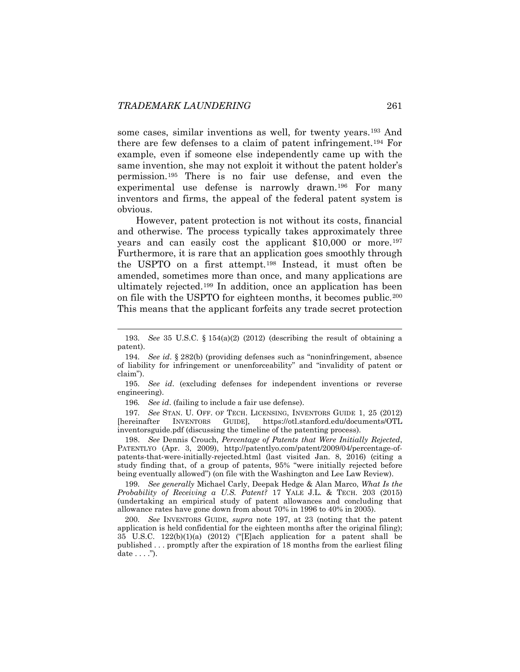some cases, similar inventions as well, for twenty years.[193](#page-46-1) And there are few defenses to a claim of patent infringement.[194](#page-46-2) For example, even if someone else independently came up with the same invention, she may not exploit it without the patent holder's permission.[195](#page-46-3) There is no fair use defense, and even the experimental use defense is narrowly drawn.[196](#page-46-4) For many inventors and firms, the appeal of the federal patent system is obvious.

<span id="page-46-0"></span>However, patent protection is not without its costs, financial and otherwise. The process typically takes approximately three years and can easily cost the applicant \$10,000 or more.<sup>[197](#page-46-5)</sup> Furthermore, it is rare that an application goes smoothly through the USPTO on a first attempt.[198](#page-46-6) Instead, it must often be amended, sometimes more than once, and many applications are ultimately rejected.[199](#page-46-7) In addition, once an application has been on file with the USPTO for eighteen months, it becomes public.[200](#page-46-8) This means that the applicant forfeits any trade secret protection

196*. See id*. (failing to include a fair use defense).

<span id="page-46-5"></span>197*. See* STAN. U. OFF. OF TECH. LICENSING, INVENTORS GUIDE 1, 25 (2012) [hereinafter INVENTORS GUIDE], https://otl.stanford.edu/documents/OTL inventorsguide.pdf (discussing the timeline of the patenting process).

<span id="page-46-6"></span>198. *See* Dennis Crouch, *Percentage of Patents that Were Initially Rejected*, PATENTLYO (Apr. 3, 2009), http://patentlyo.com/patent/2009/04/percentage-ofpatents-that-were-initially-rejected.html (last visited Jan. 8, 2016) (citing a study finding that, of a group of patents, 95% "were initially rejected before being eventually allowed") (on file with the Washington and Lee Law Review).

<span id="page-46-7"></span>199*. See generally* Michael Carly, Deepak Hedge & Alan Marco, *What Is the Probability of Receiving a U.S. Patent?* 17 YALE J.L. & TECH. 203 (2015) (undertaking an empirical study of patent allowances and concluding that allowance rates have gone down from about 70% in 1996 to 40% in 2005).

<span id="page-46-8"></span>200*. See* INVENTORS GUIDE, *supra* note [197,](#page-46-0) at 23 (noting that the patent application is held confidential for the eighteen months after the original filing); 35 U.S.C. 122(b)(1)(a) (2012) ("[E]ach application for a patent shall be published . . . promptly after the expiration of 18 months from the earliest filing date  $\dots$  .").

<span id="page-46-1"></span> <sup>193</sup>*. See* 35 U.S.C. § 154(a)(2) (2012) (describing the result of obtaining a patent).

<span id="page-46-2"></span><sup>194</sup>*. See id*. § 282(b) (providing defenses such as "noninfringement, absence of liability for infringement or unenforceability" and "invalidity of patent or claim").

<span id="page-46-4"></span><span id="page-46-3"></span><sup>195</sup>*. See id*. (excluding defenses for independent inventions or reverse engineering).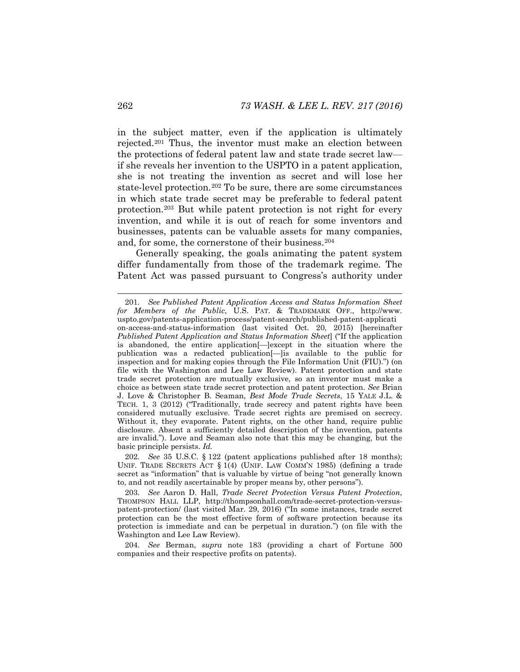<span id="page-47-4"></span>in the subject matter, even if the application is ultimately rejected.[201](#page-47-0) Thus, the inventor must make an election between the protections of federal patent law and state trade secret law if she reveals her invention to the USPTO in a patent application, she is not treating the invention as secret and will lose her state-level protection.[202](#page-47-1) To be sure, there are some circumstances in which state trade secret may be preferable to federal patent protection.[203](#page-47-2) But while patent protection is not right for every invention, and while it is out of reach for some inventors and businesses, patents can be valuable assets for many companies, and, for some, the cornerstone of their business.[204](#page-47-3)

<span id="page-47-5"></span>Generally speaking, the goals animating the patent system differ fundamentally from those of the trademark regime. The Patent Act was passed pursuant to Congress's authority under

<span id="page-47-0"></span> <sup>201</sup>*. See Published Patent Application Access and Status Information Sheet for Members of the Public*, U.S. PAT. & TRADEMARK OFF., http://www. uspto.gov/patents-application-process/patent-search/published-patent-applicati on-access-and-status-information (last visited Oct. 20, 2015) [hereinafter *Published Patent Application and Status Information Sheet*] ("If the application is abandoned, the entire application[—]except in the situation where the publication was a redacted publication[—]is available to the public for inspection and for making copies through the File Information Unit (FIU).") (on file with the Washington and Lee Law Review). Patent protection and state trade secret protection are mutually exclusive, so an inventor must make a choice as between state trade secret protection and patent protection. *See* Brian J. Love & Christopher B. Seaman, *Best Mode Trade Secrets*, 15 YALE J.L. & TECH. 1, 3 (2012) ("Traditionally, trade secrecy and patent rights have been considered mutually exclusive. Trade secret rights are premised on secrecy. Without it, they evaporate. Patent rights, on the other hand, require public disclosure. Absent a sufficiently detailed description of the invention, patents are invalid."). Love and Seaman also note that this may be changing, but the basic principle persists. *Id.*

<span id="page-47-1"></span><sup>202</sup>*. See* 35 U.S.C. § 122 (patent applications published after 18 months); UNIF. TRADE SECRETS ACT § 1(4) (UNIF. LAW COMM'N 1985) (defining a trade secret as "information" that is valuable by virtue of being "not generally known to, and not readily ascertainable by proper means by, other persons").

<span id="page-47-2"></span><sup>203</sup>*. See* Aaron D. Hall, *Trade Secret Protection Versus Patent Protection*, THOMPSON HALL LLP, http://thompsonhall.com/trade-secret-protection-versuspatent-protection/ (last visited Mar. 29, 2016) ("In some instances, trade secret protection can be the most effective form of software protection because its protection is immediate and can be perpetual in duration.") (on file with the Washington and Lee Law Review).

<span id="page-47-3"></span><sup>204</sup>*. See* Berman, *supra* note [183](#page-44-4) (providing a chart of Fortune 500 companies and their respective profits on patents).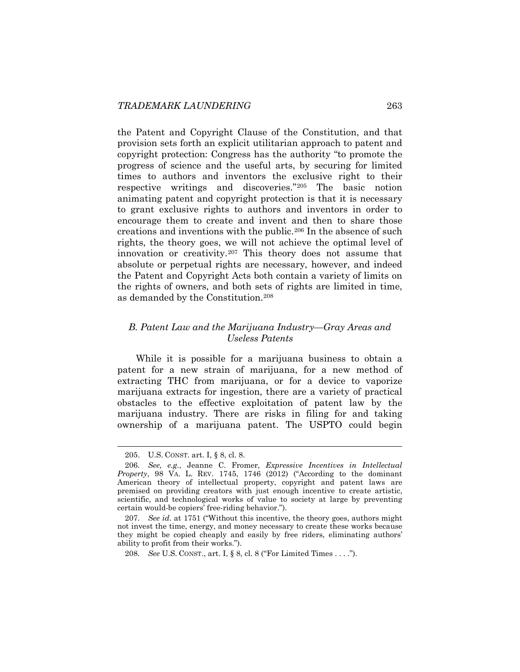the Patent and Copyright Clause of the Constitution, and that provision sets forth an explicit utilitarian approach to patent and copyright protection: Congress has the authority "to promote the progress of science and the useful arts, by securing for limited times to authors and inventors the exclusive right to their respective writings and discoveries."[205](#page-48-0) The basic notion animating patent and copyright protection is that it is necessary to grant exclusive rights to authors and inventors in order to encourage them to create and invent and then to share those creations and inventions with the public.[206](#page-48-1) In the absence of such rights, the theory goes, we will not achieve the optimal level of innovation or creativity.[207](#page-48-2) This theory does not assume that absolute or perpetual rights are necessary, however, and indeed the Patent and Copyright Acts both contain a variety of limits on the rights of owners, and both sets of rights are limited in time, as demanded by the Constitution.[208](#page-48-3)

# *B. Patent Law and the Marijuana Industry—Gray Areas and Useless Patents*

While it is possible for a marijuana business to obtain a patent for a new strain of marijuana, for a new method of extracting THC from marijuana, or for a device to vaporize marijuana extracts for ingestion, there are a variety of practical obstacles to the effective exploitation of patent law by the marijuana industry. There are risks in filing for and taking ownership of a marijuana patent. The USPTO could begin

 <sup>205.</sup> U.S. CONST. art. I, § 8, cl. 8.

<span id="page-48-1"></span><span id="page-48-0"></span><sup>206</sup>*. See, e.g.*, Jeanne C. Fromer, *Expressive Incentives in Intellectual Property*, 98 VA. L. REV. 1745, 1746 (2012) ("According to the dominant American theory of intellectual property, copyright and patent laws are premised on providing creators with just enough incentive to create artistic, scientific, and technological works of value to society at large by preventing certain would-be copiers' free-riding behavior.").

<span id="page-48-3"></span><span id="page-48-2"></span><sup>207</sup>*. See id*. at 1751 ("Without this incentive, the theory goes, authors might not invest the time, energy, and money necessary to create these works because they might be copied cheaply and easily by free riders, eliminating authors' ability to profit from their works.").

<sup>208</sup>*. See* U.S. CONST., art. I, § 8, cl. 8 ("For Limited Times . . . .").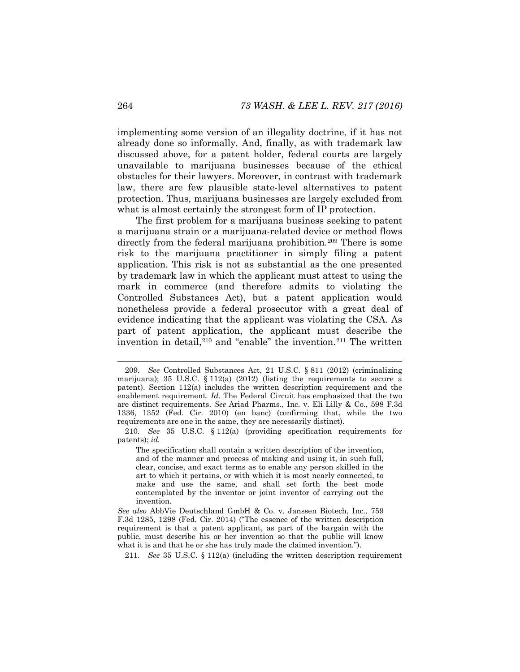implementing some version of an illegality doctrine, if it has not already done so informally. And, finally, as with trademark law discussed above, for a patent holder, federal courts are largely unavailable to marijuana businesses because of the ethical obstacles for their lawyers. Moreover, in contrast with trademark law, there are few plausible state-level alternatives to patent protection. Thus, marijuana businesses are largely excluded from what is almost certainly the strongest form of IP protection.

The first problem for a marijuana business seeking to patent a marijuana strain or a marijuana-related device or method flows directly from the federal marijuana prohibition.<sup>[209](#page-49-0)</sup> There is some risk to the marijuana practitioner in simply filing a patent application. This risk is not as substantial as the one presented by trademark law in which the applicant must attest to using the mark in commerce (and therefore admits to violating the Controlled Substances Act), but a patent application would nonetheless provide a federal prosecutor with a great deal of evidence indicating that the applicant was violating the CSA. As part of patent application, the applicant must describe the invention in detail,<sup>[210](#page-49-1)</sup> and "enable" the invention.<sup>[211](#page-49-2)</sup> The written

The specification shall contain a written description of the invention, and of the manner and process of making and using it, in such full, clear, concise, and exact terms as to enable any person skilled in the art to which it pertains, or with which it is most nearly connected, to make and use the same, and shall set forth the best mode contemplated by the inventor or joint inventor of carrying out the invention.

*See also* AbbVie Deutschland GmbH & Co. v. Janssen Biotech, Inc., 759 F.3d 1285, 1298 (Fed. Cir. 2014) ("The essence of the written description requirement is that a patent applicant, as part of the bargain with the public, must describe his or her invention so that the public will know what it is and that he or she has truly made the claimed invention.").

<span id="page-49-2"></span>211. *See* 35 U.S.C. § 112(a) (including the written description requirement

<span id="page-49-0"></span> <sup>209</sup>*. See* Controlled Substances Act, 21 U.S.C. § 811 (2012) (criminalizing marijuana); 35 U.S.C. § 112(a) (2012) (listing the requirements to secure a patent). Section 112(a) includes the written description requirement and the enablement requirement. *Id.* The Federal Circuit has emphasized that the two are distinct requirements. *See* Ariad Pharms., Inc. v. Eli Lilly & Co., 598 F.3d 1336, 1352 (Fed. Cir. 2010) (en banc) (confirming that, while the two requirements are one in the same, they are necessarily distinct).

<span id="page-49-1"></span><sup>210</sup>*. See* 35 U.S.C. § 112(a) (providing specification requirements for patents); *id.*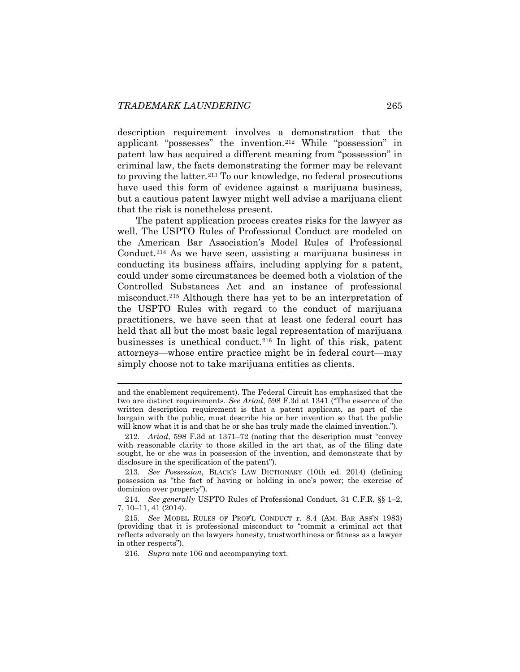description requirement involves a demonstration that the applicant "possesses" the invention.[212](#page-50-0) While "possession" in patent law has acquired a different meaning from "possession" in criminal law, the facts demonstrating the former may be relevant to proving the latter.[213](#page-50-1) To our knowledge, no federal prosecutions have used this form of evidence against a marijuana business, but a cautious patent lawyer might well advise a marijuana client that the risk is nonetheless present.

The patent application process creates risks for the lawyer as well. The USPTO Rules of Professional Conduct are modeled on the American Bar Association's Model Rules of Professional Conduct.[214](#page-50-2) As we have seen, assisting a marijuana business in conducting its business affairs, including applying for a patent, could under some circumstances be deemed both a violation of the Controlled Substances Act and an instance of professional misconduct[.215](#page-50-3) Although there has yet to be an interpretation of the USPTO Rules with regard to the conduct of marijuana practitioners, we have seen that at least one federal court has held that all but the most basic legal representation of marijuana businesses is unethical conduct.[216](#page-50-4) In light of this risk, patent attorneys—whose entire practice might be in federal court—may simply choose not to take marijuana entities as clients.

and the enablement requirement). The Federal Circuit has emphasized that the two are distinct requirements. *See Ariad*, 598 F.3d at 1341 ("The essence of the written description requirement is that a patent applicant, as part of the bargain with the public, must describe his or her invention so that the public will know what it is and that he or she has truly made the claimed invention.").

<span id="page-50-0"></span><sup>212</sup>*. Ariad*, 598 F.3d at 1371–72 (noting that the description must "convey with reasonable clarity to those skilled in the art that, as of the filing date sought, he or she was in possession of the invention, and demonstrate that by disclosure in the specification of the patent").

<span id="page-50-1"></span><sup>213</sup>*. See Possession*, BLACK'S LAW DICTIONARY (10th ed. 2014) (defining possession as "the fact of having or holding in one's power; the exercise of dominion over property").

<span id="page-50-2"></span><sup>214</sup>*. See generally* USPTO Rules of Professional Conduct, 31 C.F.R. §§ 1–2, 7, 10–11, 41 (2014).

<span id="page-50-4"></span><span id="page-50-3"></span><sup>215</sup>*. See* MODEL RULES OF PROF'L CONDUCT r. 8.4 (AM. BAR ASS'N 1983) (providing that it is professional misconduct to "commit a criminal act that reflects adversely on the lawyers honesty, trustworthiness or fitness as a lawyer in other respects").

<sup>216.</sup> *Supra* note [106](#page-26-5) and accompanying text.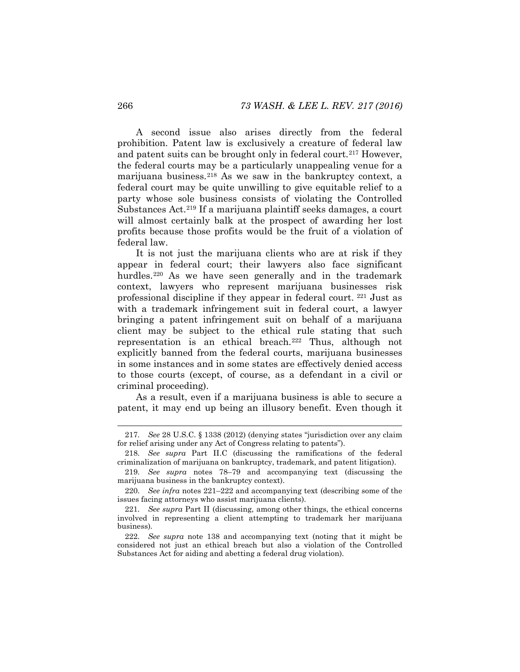A second issue also arises directly from the federal prohibition. Patent law is exclusively a creature of federal law and patent suits can be brought only in federal court.<sup>[217](#page-51-2)</sup> However, the federal courts may be a particularly unappealing venue for a marijuana business.<sup>[218](#page-51-3)</sup> As we saw in the bankruptcy context, a federal court may be quite unwilling to give equitable relief to a party whose sole business consists of violating the Controlled Substances Act.[219](#page-51-4) If a marijuana plaintiff seeks damages, a court will almost certainly balk at the prospect of awarding her lost profits because those profits would be the fruit of a violation of federal law.

<span id="page-51-0"></span>It is not just the marijuana clients who are at risk if they appear in federal court; their lawyers also face significant hurdles.<sup>220</sup> As we have seen generally and in the trademark context, lawyers who represent marijuana businesses risk professional discipline if they appear in federal court. [221](#page-51-6) Just as with a trademark infringement suit in federal court, a lawyer bringing a patent infringement suit on behalf of a marijuana client may be subject to the ethical rule stating that such representation is an ethical breach.[222](#page-51-7) Thus, although not explicitly banned from the federal courts, marijuana businesses in some instances and in some states are effectively denied access to those courts (except, of course, as a defendant in a civil or criminal proceeding).

<span id="page-51-1"></span>As a result, even if a marijuana business is able to secure a patent, it may end up being an illusory benefit. Even though it

<span id="page-51-2"></span> <sup>217</sup>*. See* 28 U.S.C. § 1338 (2012) (denying states "jurisdiction over any claim for relief arising under any Act of Congress relating to patents").

<span id="page-51-3"></span><sup>218</sup>*. See supra* Part II.C (discussing the ramifications of the federal criminalization of marijuana on bankruptcy, trademark, and patent litigation).

<span id="page-51-4"></span><sup>219</sup>*. See supra* notes [78](#page-21-7)[–79](#page-21-8) and accompanying text (discussing the marijuana business in the bankruptcy context).

<span id="page-51-5"></span><sup>220</sup>*. See infra* notes [221](#page-51-0)[–222](#page-51-1) and accompanying text (describing some of the issues facing attorneys who assist marijuana clients).

<span id="page-51-6"></span><sup>221</sup>*. See supra* Part II (discussing, among other things, the ethical concerns involved in representing a client attempting to trademark her marijuana business).

<span id="page-51-7"></span><sup>222</sup>*. See supra* note [138](#page-32-6) and accompanying text (noting that it might be considered not just an ethical breach but also a violation of the Controlled Substances Act for aiding and abetting a federal drug violation).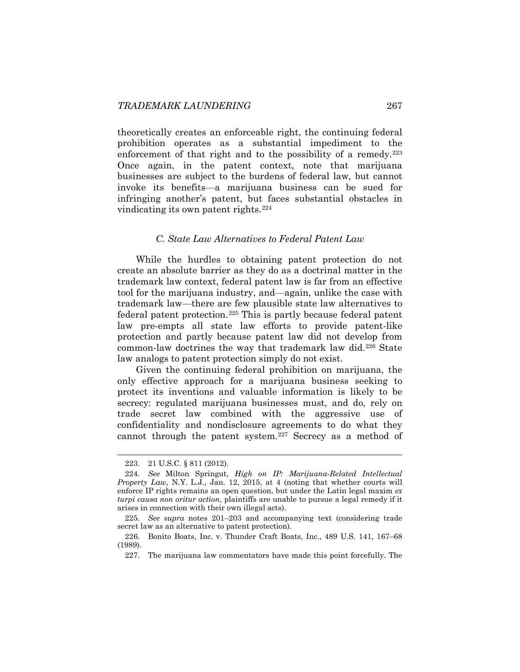theoretically creates an enforceable right, the continuing federal prohibition operates as a substantial impediment to the enforcement of that right and to the possibility of a remedy.<sup>[223](#page-52-0)</sup> Once again, in the patent context, note that marijuana businesses are subject to the burdens of federal law, but cannot invoke its benefits—a marijuana business can be sued for infringing another's patent, but faces substantial obstacles in vindicating its own patent rights.[224](#page-52-1)

#### *C. State Law Alternatives to Federal Patent Law*

While the hurdles to obtaining patent protection do not create an absolute barrier as they do as a doctrinal matter in the trademark law context, federal patent law is far from an effective tool for the marijuana industry, and—again, unlike the case with trademark law—there are few plausible state law alternatives to federal patent protection.[225](#page-52-2) This is partly because federal patent law pre-empts all state law efforts to provide patent-like protection and partly because patent law did not develop from common-law doctrines the way that trademark law did.[226](#page-52-3) State law analogs to patent protection simply do not exist.

Given the continuing federal prohibition on marijuana, the only effective approach for a marijuana business seeking to protect its inventions and valuable information is likely to be secrecy: regulated marijuana businesses must, and do, rely on trade secret law combined with the aggressive use of confidentiality and nondisclosure agreements to do what they cannot through the patent system.[227](#page-52-4) Secrecy as a method of

 <sup>223</sup>*.* 21 U.S.C. § 811 (2012).

<span id="page-52-1"></span><span id="page-52-0"></span><sup>224</sup>*. See* Milton Springut, *High on IP: Marijuana-Related Intellectual Property Law*, N.Y. L.J., Jan. 12, 2015, at 4 (noting that whether courts will enforce IP rights remains an open question, but under the Latin legal maxim *ex turpi causa non oritur action*, plaintiffs are unable to pursue a legal remedy if it arises in connection with their own illegal acts).

<span id="page-52-2"></span><sup>225</sup>*. See supra* notes [201–](#page-47-4)[203](#page-47-5) and accompanying text (considering trade secret law as an alternative to patent protection).

<span id="page-52-4"></span><span id="page-52-3"></span><sup>226.</sup> Bonito Boats, Inc. v. Thunder Craft Boats, Inc., 489 U.S. 141, 167–68 (1989).

<sup>227.</sup> The marijuana law commentators have made this point forcefully. The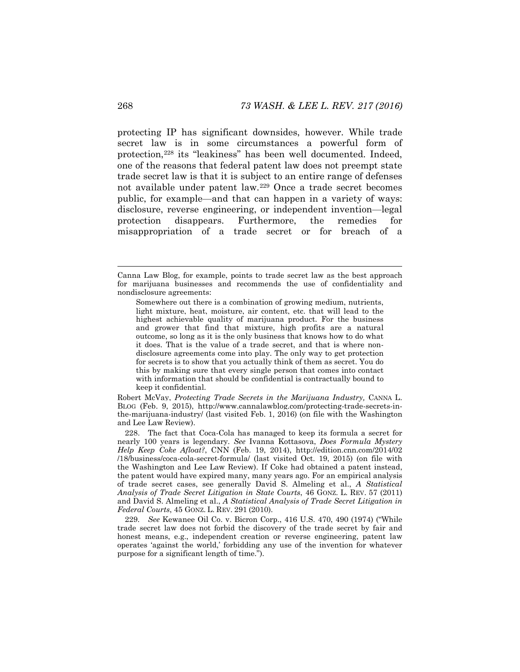protecting IP has significant downsides, however. While trade secret law is in some circumstances a powerful form of protection,[228](#page-53-0) its "leakiness" has been well documented. Indeed, one of the reasons that federal patent law does not preempt state trade secret law is that it is subject to an entire range of defenses not available under patent law.[229](#page-53-1) Once a trade secret becomes public, for example—and that can happen in a variety of ways: disclosure, reverse engineering, or independent invention—legal protection disappears. Furthermore, the remedies for misappropriation of a trade secret or for breach of a

Somewhere out there is a combination of growing medium, nutrients, light mixture, heat, moisture, air content, etc. that will lead to the highest achievable quality of marijuana product. For the business and grower that find that mixture, high profits are a natural outcome, so long as it is the only business that knows how to do what it does. That is the value of a trade secret, and that is where nondisclosure agreements come into play. The only way to get protection for secrets is to show that you actually think of them as secret. You do this by making sure that every single person that comes into contact with information that should be confidential is contractually bound to keep it confidential.

Robert McVay, *Protecting Trade Secrets in the Marijuana Industry,* CANNA L. BLOG (Feb. 9, 2015), http://www.cannalawblog.com/protecting-trade-secrets-inthe-marijuana-industry/ (last visited Feb. 1, 2016) (on file with the Washington and Lee Law Review).

<span id="page-53-0"></span>228. The fact that Coca-Cola has managed to keep its formula a secret for nearly 100 years is legendary. *See* Ivanna Kottasova, *Does Formula Mystery Help Keep Coke Afloat?*, CNN (Feb. 19, 2014), http://edition.cnn.com/2014/02 /18/business/coca-cola-secret-formula/ (last visited Oct. 19, 2015) (on file with the Washington and Lee Law Review). If Coke had obtained a patent instead, the patent would have expired many, many years ago. For an empirical analysis of trade secret cases, see generally David S. Almeling et al., *A Statistical Analysis of Trade Secret Litigation in State Courts*, 46 GONZ. L. REV. 57 (2011) and David S. Almeling et al., *A Statistical Analysis of Trade Secret Litigation in Federal Courts*, 45 GONZ. L. REV. 291 (2010).

<span id="page-53-1"></span>229*. See* Kewanee Oil Co. v. Bicron Corp., 416 U.S. 470, 490 (1974) ("While trade secret law does not forbid the discovery of the trade secret by fair and honest means, e.g., independent creation or reverse engineering, patent law operates 'against the world,' forbidding any use of the invention for whatever purpose for a significant length of time.").

Canna Law Blog, for example, points to trade secret law as the best approach for marijuana businesses and recommends the use of confidentiality and nondisclosure agreements: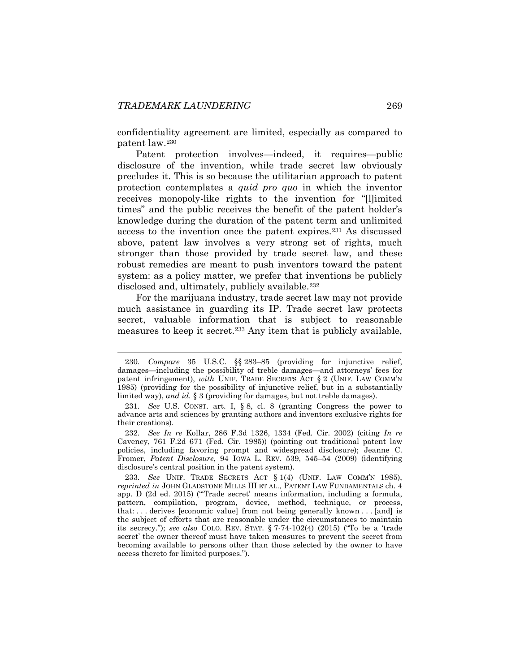confidentiality agreement are limited, especially as compared to patent law.[230](#page-54-0)

Patent protection involves—indeed, it requires—public disclosure of the invention, while trade secret law obviously precludes it. This is so because the utilitarian approach to patent protection contemplates a *quid pro quo* in which the inventor receives monopoly-like rights to the invention for "[l]imited times" and the public receives the benefit of the patent holder's knowledge during the duration of the patent term and unlimited access to the invention once the patent expires.[231](#page-54-1) As discussed above, patent law involves a very strong set of rights, much stronger than those provided by trade secret law, and these robust remedies are meant to push inventors toward the patent system: as a policy matter, we prefer that inventions be publicly disclosed and, ultimately, publicly available.<sup>[232](#page-54-2)</sup>

For the marijuana industry, trade secret law may not provide much assistance in guarding its IP. Trade secret law protects secret, valuable information that is subject to reasonable measures to keep it secret.<sup>[233](#page-54-3)</sup> Any item that is publicly available,

<span id="page-54-0"></span> <sup>230</sup>*. Compare* 35 U.S.C. §§ 283–85 (providing for injunctive relief, damages—including the possibility of treble damages—and attorneys' fees for patent infringement), *with* UNIF. TRADE SECRETS ACT § 2 (UNIF. LAW COMM'N 1985) (providing for the possibility of injunctive relief, but in a substantially limited way), *and id.* § 3 (providing for damages, but not treble damages).

<span id="page-54-1"></span><sup>231</sup>*. See* U.S. CONST. art. I, § 8, cl. 8 (granting Congress the power to advance arts and sciences by granting authors and inventors exclusive rights for their creations).

<span id="page-54-2"></span><sup>232</sup>*. See In re* Kollar, 286 F.3d 1326, 1334 (Fed. Cir. 2002) (citing *In re* Caveney, 761 F.2d 671 (Fed. Cir. 1985)) (pointing out traditional patent law policies, including favoring prompt and widespread disclosure); Jeanne C. Fromer, *Patent Disclosure*, 94 IOWA L. REV. 539, 545–54 (2009) (identifying disclosure's central position in the patent system).

<span id="page-54-3"></span><sup>233</sup>*. See* UNIF. TRADE SECRETS ACT § 1(4) (UNIF. LAW COMM'N 1985), *reprinted in* JOHN GLADSTONE MILLS III ET AL., PATENT LAW FUNDAMENTALS ch. 4 app. D (2d ed. 2015) ("'Trade secret' means information, including a formula, pattern, compilation, program, device, method, technique, or process, that: . . . derives [economic value] from not being generally known . . . [and] is the subject of efforts that are reasonable under the circumstances to maintain its secrecy."); *see also* COLO. REV. STAT. § 7-74-102(4) (2015) ("To be a 'trade secret' the owner thereof must have taken measures to prevent the secret from becoming available to persons other than those selected by the owner to have access thereto for limited purposes.").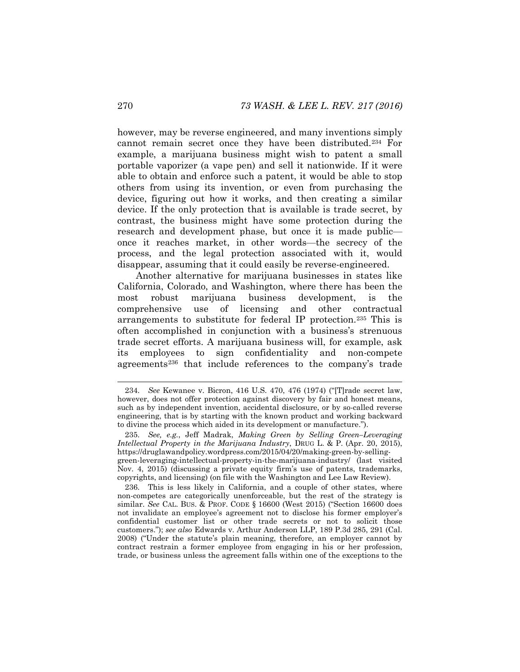however, may be reverse engineered, and many inventions simply cannot remain secret once they have been distributed.[234](#page-55-0) For example, a marijuana business might wish to patent a small portable vaporizer (a vape pen) and sell it nationwide. If it were able to obtain and enforce such a patent, it would be able to stop others from using its invention, or even from purchasing the device, figuring out how it works, and then creating a similar device. If the only protection that is available is trade secret, by contrast, the business might have some protection during the research and development phase, but once it is made public once it reaches market, in other words—the secrecy of the process, and the legal protection associated with it, would disappear, assuming that it could easily be reverse-engineered.

<span id="page-55-3"></span>Another alternative for marijuana businesses in states like California, Colorado, and Washington, where there has been the most robust marijuana business development, is the comprehensive use of licensing and other contractual arrangements to substitute for federal IP protection.[235](#page-55-1) This is often accomplished in conjunction with a business's strenuous trade secret efforts. A marijuana business will, for example, ask its employees to sign confidentiality and non-compete agreements<sup>[236](#page-55-2)</sup> that include references to the company's trade

<span id="page-55-0"></span> <sup>234</sup>*. See* Kewanee v. Bicron, 416 U.S. 470, 476 (1974) ("[T]rade secret law, however, does not offer protection against discovery by fair and honest means, such as by independent invention, accidental disclosure, or by so-called reverse engineering, that is by starting with the known product and working backward to divine the process which aided in its development or manufacture.").

<span id="page-55-1"></span><sup>235</sup>*. See, e.g.*, Jeff Madrak, *Making Green by Selling Green–Leveraging Intellectual Property in the Marijuana Industry*, DRUG L. & P. (Apr. 20, 2015), https://druglawandpolicy.wordpress.com/2015/04/20/making-green-by-sellinggreen-leveraging-intellectual-property-in-the-marijuana-industry/ (last visited Nov. 4, 2015) (discussing a private equity firm's use of patents, trademarks, copyrights, and licensing) (on file with the Washington and Lee Law Review).

<span id="page-55-2"></span><sup>236</sup>*.* This is less likely in California, and a couple of other states, where non-competes are categorically unenforceable, but the rest of the strategy is similar. *See* CAL. BUS. & PROF. CODE § 16600 (West 2015) ("Section 16600 does not invalidate an employee's agreement not to disclose his former employer's confidential customer list or other trade secrets or not to solicit those customers."); *see also* Edwards v. Arthur Anderson LLP, 189 P.3d 285, 291 (Cal. 2008) ("Under the statute's plain meaning, therefore, an employer cannot by contract restrain a former employee from engaging in his or her profession, trade, or business unless the agreement falls within one of the exceptions to the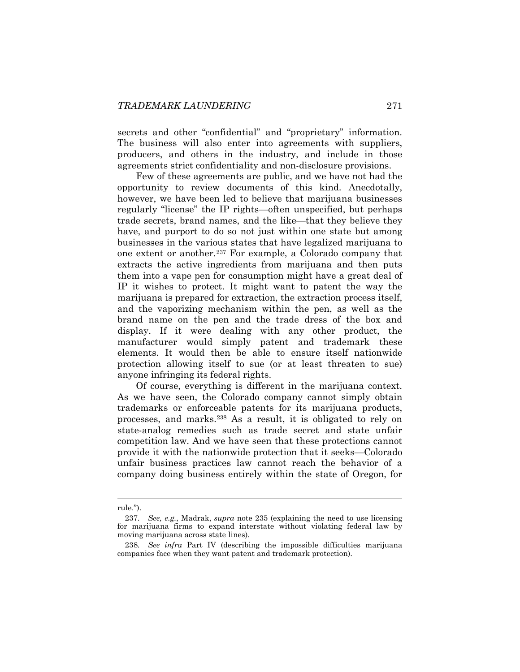secrets and other "confidential" and "proprietary" information. The business will also enter into agreements with suppliers, producers, and others in the industry, and include in those agreements strict confidentiality and non-disclosure provisions.

<span id="page-56-2"></span>Few of these agreements are public, and we have not had the opportunity to review documents of this kind. Anecdotally, however, we have been led to believe that marijuana businesses regularly "license" the IP rights—often unspecified, but perhaps trade secrets, brand names, and the like—that they believe they have, and purport to do so not just within one state but among businesses in the various states that have legalized marijuana to one extent or another.[237](#page-56-0) For example, a Colorado company that extracts the active ingredients from marijuana and then puts them into a vape pen for consumption might have a great deal of IP it wishes to protect. It might want to patent the way the marijuana is prepared for extraction, the extraction process itself, and the vaporizing mechanism within the pen, as well as the brand name on the pen and the trade dress of the box and display. If it were dealing with any other product, the manufacturer would simply patent and trademark these elements. It would then be able to ensure itself nationwide protection allowing itself to sue (or at least threaten to sue) anyone infringing its federal rights.

Of course, everything is different in the marijuana context. As we have seen, the Colorado company cannot simply obtain trademarks or enforceable patents for its marijuana products, processes, and marks.[238](#page-56-1) As a result, it is obligated to rely on state-analog remedies such as trade secret and state unfair competition law. And we have seen that these protections cannot provide it with the nationwide protection that it seeks—Colorado unfair business practices law cannot reach the behavior of a company doing business entirely within the state of Oregon, for

<span id="page-56-0"></span>rule.").

<sup>237</sup>*. See, e.g.*, Madrak, *supra* note [235](#page-55-3) (explaining the need to use licensing for marijuana firms to expand interstate without violating federal law by moving marijuana across state lines).

<span id="page-56-1"></span><sup>238</sup>*. See infra* Part IV (describing the impossible difficulties marijuana companies face when they want patent and trademark protection).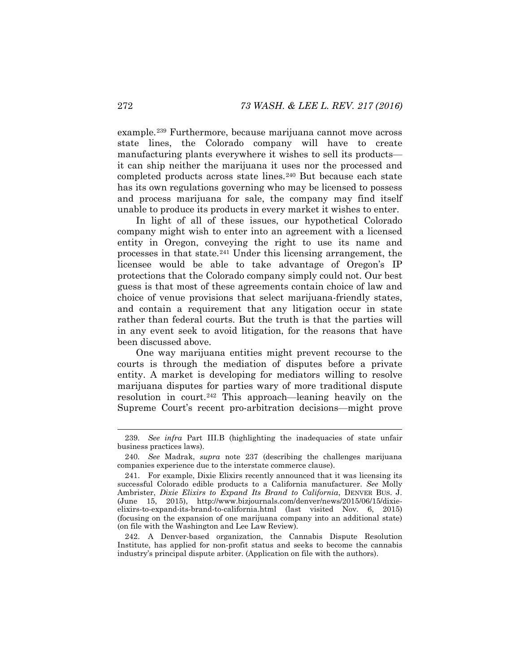example.[239](#page-57-0) Furthermore, because marijuana cannot move across state lines, the Colorado company will have to create manufacturing plants everywhere it wishes to sell its products it can ship neither the marijuana it uses nor the processed and completed products across state lines.<sup>[240](#page-57-1)</sup> But because each state has its own regulations governing who may be licensed to possess and process marijuana for sale, the company may find itself unable to produce its products in every market it wishes to enter.

In light of all of these issues, our hypothetical Colorado company might wish to enter into an agreement with a licensed entity in Oregon, conveying the right to use its name and processes in that state.[241](#page-57-2) Under this licensing arrangement, the licensee would be able to take advantage of Oregon's IP protections that the Colorado company simply could not. Our best guess is that most of these agreements contain choice of law and choice of venue provisions that select marijuana-friendly states, and contain a requirement that any litigation occur in state rather than federal courts. But the truth is that the parties will in any event seek to avoid litigation, for the reasons that have been discussed above.

One way marijuana entities might prevent recourse to the courts is through the mediation of disputes before a private entity. A market is developing for mediators willing to resolve marijuana disputes for parties wary of more traditional dispute resolution in court.[242](#page-57-3) This approach—leaning heavily on the Supreme Court's recent pro-arbitration decisions—might prove

<span id="page-57-3"></span>242. A Denver-based organization, the Cannabis Dispute Resolution Institute, has applied for non-profit status and seeks to become the cannabis industry's principal dispute arbiter. (Application on file with the authors).

<span id="page-57-0"></span> <sup>239</sup>*. See infra* Part III.B (highlighting the inadequacies of state unfair business practices laws).

<span id="page-57-1"></span><sup>240</sup>*. See* Madrak, *supra* note [237](#page-56-2) (describing the challenges marijuana companies experience due to the interstate commerce clause).

<span id="page-57-2"></span><sup>241.</sup> For example, Dixie Elixirs recently announced that it was licensing its successful Colorado edible products to a California manufacturer. *See* Molly Ambrister, *Dixie Elixirs to Expand Its Brand to California*, DENVER BUS. J. (June 15, 2015), http://www.bizjournals.com/denver/news/2015/06/15/dixieelixirs-to-expand-its-brand-to-california.html (last visited Nov. 6, 2015) (focusing on the expansion of one marijuana company into an additional state) (on file with the Washington and Lee Law Review).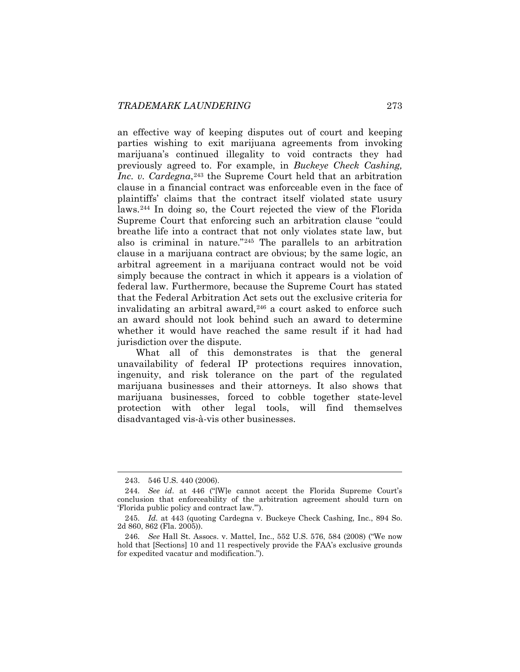an effective way of keeping disputes out of court and keeping parties wishing to exit marijuana agreements from invoking marijuana's continued illegality to void contracts they had previously agreed to. For example, in *Buckeye Check Cashing, Inc. v. Cardegna*<sup>,[243](#page-58-0)</sup> the Supreme Court held that an arbitration clause in a financial contract was enforceable even in the face of plaintiffs' claims that the contract itself violated state usury laws.[244](#page-58-1) In doing so, the Court rejected the view of the Florida Supreme Court that enforcing such an arbitration clause "could breathe life into a contract that not only violates state law, but also is criminal in nature."[245](#page-58-2) The parallels to an arbitration clause in a marijuana contract are obvious; by the same logic, an arbitral agreement in a marijuana contract would not be void simply because the contract in which it appears is a violation of federal law. Furthermore, because the Supreme Court has stated that the Federal Arbitration Act sets out the exclusive criteria for invalidating an arbitral award, $246$  a court asked to enforce such an award should not look behind such an award to determine whether it would have reached the same result if it had had jurisdiction over the dispute.

What all of this demonstrates is that the general unavailability of federal IP protections requires innovation, ingenuity, and risk tolerance on the part of the regulated marijuana businesses and their attorneys. It also shows that marijuana businesses, forced to cobble together state-level protection with other legal tools, will find themselves disadvantaged vis-à-vis other businesses.

 <sup>243.</sup> 546 U.S. 440 (2006).

<span id="page-58-1"></span><span id="page-58-0"></span><sup>244</sup>*. See id*. at 446 ("[W]e cannot accept the Florida Supreme Court's conclusion that enforceability of the arbitration agreement should turn on 'Florida public policy and contract law.'").

<span id="page-58-2"></span><sup>245</sup>*. Id.* at 443 (quoting Cardegna v. Buckeye Check Cashing, Inc., 894 So. 2d 860, 862 (Fla. 2005)).

<span id="page-58-3"></span><sup>246</sup>*. See* Hall St. Assocs. v. Mattel, Inc., 552 U.S. 576, 584 (2008) ("We now hold that [Sections] 10 and 11 respectively provide the FAA's exclusive grounds for expedited vacatur and modification.").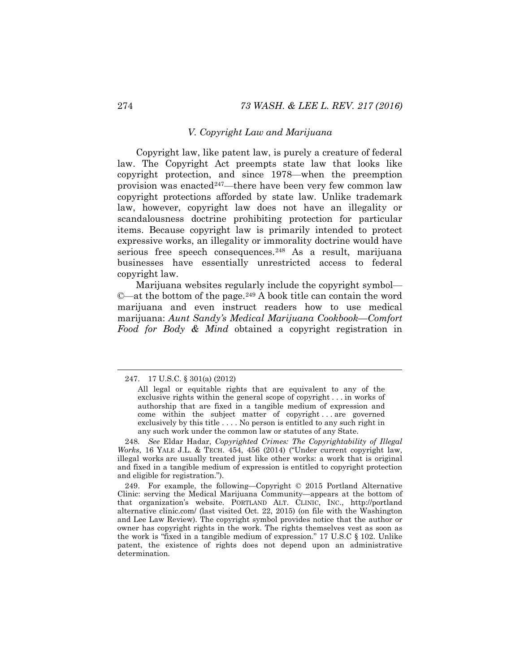#### *V. Copyright Law and Marijuana*

Copyright law, like patent law, is purely a creature of federal law. The Copyright Act preempts state law that looks like copyright protection, and since 1978—when the preemption provision was enacted<sup>247</sup>—there have been very few common law copyright protections afforded by state law. Unlike trademark law, however, copyright law does not have an illegality or scandalousness doctrine prohibiting protection for particular items. Because copyright law is primarily intended to protect expressive works, an illegality or immorality doctrine would have serious free speech consequences.<sup>[248](#page-59-1)</sup> As a result, marijuana businesses have essentially unrestricted access to federal copyright law.

Marijuana websites regularly include the copyright symbol—  $\mathbb{C}$ —at the bottom of the page.<sup>[249](#page-59-2)</sup> A book title can contain the word marijuana and even instruct readers how to use medical marijuana: *Aunt Sandy's Medical Marijuana Cookbook—Comfort Food for Body & Mind* obtained a copyright registration in

<span id="page-59-1"></span>248*. See* Eldar Hadar, *Copyrighted Crimes: The Copyrightability of Illegal Works*, 16 YALE J.L. & TECH. 454, 456 (2014) ("Under current copyright law, illegal works are usually treated just like other works: a work that is original and fixed in a tangible medium of expression is entitled to copyright protection and eligible for registration.").

<span id="page-59-2"></span>249. For example, the following—Copyright © 2015 Portland Alternative Clinic: serving the Medical Marijuana Community—appears at the bottom of that organization's website. PORTLAND ALT. CLINIC, INC., http://portland alternative clinic.com/ (last visited Oct. 22, 2015) (on file with the Washington and Lee Law Review). The copyright symbol provides notice that the author or owner has copyright rights in the work. The rights themselves vest as soon as the work is "fixed in a tangible medium of expression." 17 U.S.C § 102. Unlike patent, the existence of rights does not depend upon an administrative determination.

<span id="page-59-0"></span> <sup>247.</sup> 17 U.S.C. § 301(a) (2012)

All legal or equitable rights that are equivalent to any of the exclusive rights within the general scope of copyright . . . in works of authorship that are fixed in a tangible medium of expression and come within the subject matter of copyright . . . are governed exclusively by this title . . . . No person is entitled to any such right in any such work under the common law or statutes of any State.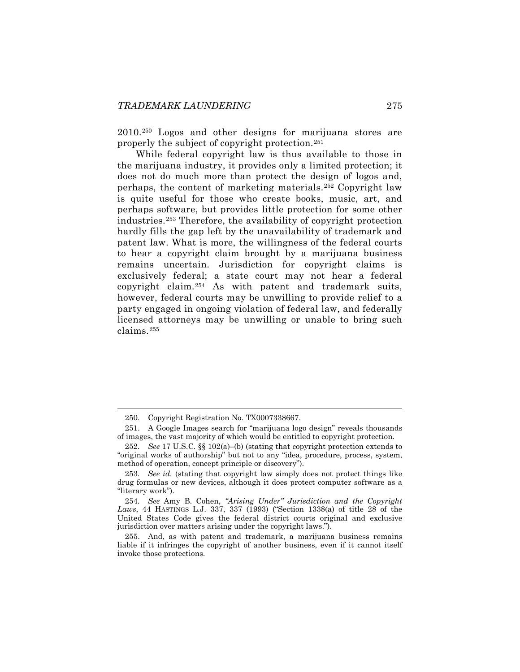2010.[250](#page-60-0) Logos and other designs for marijuana stores are properly the subject of copyright protection.[251](#page-60-1)

While federal copyright law is thus available to those in the marijuana industry, it provides only a limited protection; it does not do much more than protect the design of logos and, perhaps, the content of marketing materials.[252](#page-60-2) Copyright law is quite useful for those who create books, music, art, and perhaps software, but provides little protection for some other industries.[253](#page-60-3) Therefore, the availability of copyright protection hardly fills the gap left by the unavailability of trademark and patent law. What is more, the willingness of the federal courts to hear a copyright claim brought by a marijuana business remains uncertain. Jurisdiction for copyright claims is exclusively federal; a state court may not hear a federal copyright claim.[254](#page-60-4) As with patent and trademark suits, however, federal courts may be unwilling to provide relief to a party engaged in ongoing violation of federal law, and federally licensed attorneys may be unwilling or unable to bring such claims.[255](#page-60-5)

 <sup>250</sup>*.* Copyright Registration No. TX0007338667.

<span id="page-60-1"></span><span id="page-60-0"></span><sup>251.</sup> A Google Images search for "marijuana logo design" reveals thousands of images, the vast majority of which would be entitled to copyright protection.

<span id="page-60-2"></span><sup>252</sup>*. See* 17 U.S.C. §§ 102(a)–(b) (stating that copyright protection extends to "original works of authorship" but not to any "idea, procedure, process, system, method of operation, concept principle or discovery").

<span id="page-60-3"></span><sup>253</sup>*. See id.* (stating that copyright law simply does not protect things like drug formulas or new devices, although it does protect computer software as a "literary work").

<span id="page-60-4"></span><sup>254</sup>*. See* Amy B. Cohen, *"Arising Under" Jurisdiction and the Copyright Laws*, 44 HASTINGS L.J. 337, 337 (1993) ("Section 1338(a) of title 28 of the United States Code gives the federal district courts original and exclusive jurisdiction over matters arising under the copyright laws.").

<span id="page-60-5"></span><sup>255.</sup> And, as with patent and trademark, a marijuana business remains liable if it infringes the copyright of another business, even if it cannot itself invoke those protections.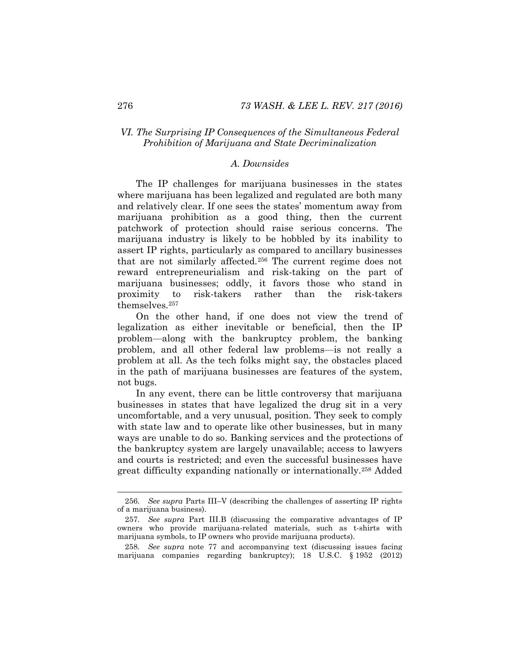## *VI. The Surprising IP Consequences of the Simultaneous Federal Prohibition of Marijuana and State Decriminalization*

# *A. Downsides*

The IP challenges for marijuana businesses in the states where marijuana has been legalized and regulated are both many and relatively clear. If one sees the states' momentum away from marijuana prohibition as a good thing, then the current patchwork of protection should raise serious concerns. The marijuana industry is likely to be hobbled by its inability to assert IP rights, particularly as compared to ancillary businesses that are not similarly affected[.256](#page-61-0) The current regime does not reward entrepreneurialism and risk-taking on the part of marijuana businesses; oddly, it favors those who stand in proximity to risk-takers rather than the risk-takers themselves.[257](#page-61-1)

On the other hand, if one does not view the trend of legalization as either inevitable or beneficial, then the IP problem—along with the bankruptcy problem, the banking problem, and all other federal law problems—is not really a problem at all. As the tech folks might say, the obstacles placed in the path of marijuana businesses are features of the system, not bugs.

In any event, there can be little controversy that marijuana businesses in states that have legalized the drug sit in a very uncomfortable, and a very unusual, position. They seek to comply with state law and to operate like other businesses, but in many ways are unable to do so. Banking services and the protections of the bankruptcy system are largely unavailable; access to lawyers and courts is restricted; and even the successful businesses have great difficulty expanding nationally or internationally.[258](#page-61-2) Added

<span id="page-61-0"></span> <sup>256</sup>*. See supra* Parts III–V (describing the challenges of asserting IP rights of a marijuana business).

<span id="page-61-1"></span><sup>257</sup>*. See supra* Part III.B (discussing the comparative advantages of IP owners who provide marijuana-related materials, such as t-shirts with marijuana symbols, to IP owners who provide marijuana products).

<span id="page-61-2"></span><sup>258</sup>*. See supra* note [77](#page-20-5) and accompanying text (discussing issues facing marijuana companies regarding bankruptcy); 18 U.S.C. § 1952 (2012)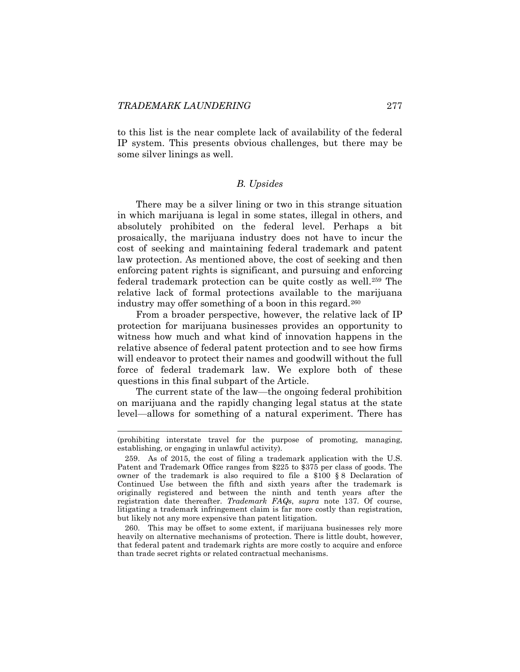to this list is the near complete lack of availability of the federal IP system. This presents obvious challenges, but there may be some silver linings as well.

# *B. Upsides*

There may be a silver lining or two in this strange situation in which marijuana is legal in some states, illegal in others, and absolutely prohibited on the federal level. Perhaps a bit prosaically, the marijuana industry does not have to incur the cost of seeking and maintaining federal trademark and patent law protection. As mentioned above, the cost of seeking and then enforcing patent rights is significant, and pursuing and enforcing federal trademark protection can be quite costly as well.[259](#page-62-0) The relative lack of formal protections available to the marijuana industry may offer something of a boon in this regard.<sup>[260](#page-62-1)</sup>

From a broader perspective, however, the relative lack of IP protection for marijuana businesses provides an opportunity to witness how much and what kind of innovation happens in the relative absence of federal patent protection and to see how firms will endeavor to protect their names and goodwill without the full force of federal trademark law. We explore both of these questions in this final subpart of the Article.

The current state of the law—the ongoing federal prohibition on marijuana and the rapidly changing legal status at the state level—allows for something of a natural experiment. There has

<span id="page-62-1"></span>260. This may be offset to some extent, if marijuana businesses rely more heavily on alternative mechanisms of protection. There is little doubt, however, that federal patent and trademark rights are more costly to acquire and enforce than trade secret rights or related contractual mechanisms.

 <sup>(</sup>prohibiting interstate travel for the purpose of promoting, managing, establishing, or engaging in unlawful activity).

<span id="page-62-0"></span><sup>259.</sup> As of 2015, the cost of filing a trademark application with the U.S. Patent and Trademark Office ranges from \$225 to \$375 per class of goods. The owner of the trademark is also required to file a \$100 § 8 Declaration of Continued Use between the fifth and sixth years after the trademark is originally registered and between the ninth and tenth years after the registration date thereafter. *Trademark FAQs*, *supra* note [137.](#page-32-7) Of course, litigating a trademark infringement claim is far more costly than registration, but likely not any more expensive than patent litigation.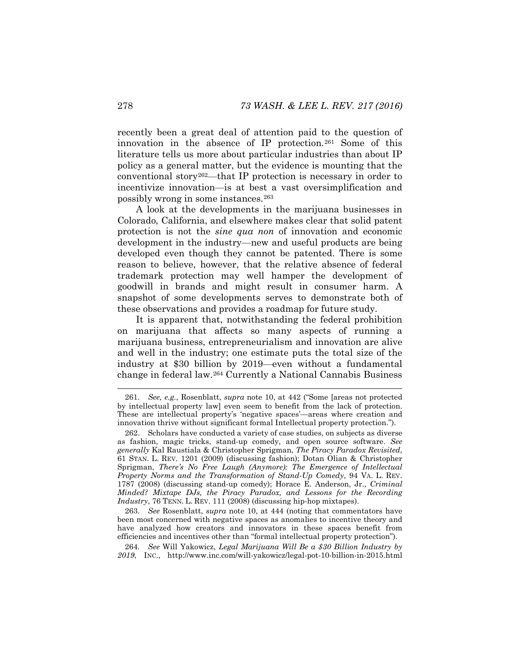recently been a great deal of attention paid to the question of innovation in the absence of IP protection.<sup>[261](#page-63-0)</sup> Some of this literature tells us more about particular industries than about IP policy as a general matter, but the evidence is mounting that the conventional story[262—](#page-63-1)that IP protection is necessary in order to incentivize innovation—is at best a vast oversimplification and possibly wrong in some instances.[263](#page-63-2)

A look at the developments in the marijuana businesses in Colorado, California, and elsewhere makes clear that solid patent protection is not the *sine qua non* of innovation and economic development in the industry—new and useful products are being developed even though they cannot be patented. There is some reason to believe, however, that the relative absence of federal trademark protection may well hamper the development of goodwill in brands and might result in consumer harm. A snapshot of some developments serves to demonstrate both of these observations and provides a roadmap for future study.

It is apparent that, notwithstanding the federal prohibition on marijuana that affects so many aspects of running a marijuana business, entrepreneurialism and innovation are alive and well in the industry; one estimate puts the total size of the industry at \$30 billion by 2019—even without a fundamental change in federal law.[264](#page-63-3) Currently a National Cannabis Business

<span id="page-63-2"></span>263*. See* Rosenblatt, *supra* note [10,](#page-6-5) at 444 (noting that commentators have been most concerned with negative spaces as anomalies to incentive theory and have analyzed how creators and innovators in these spaces benefit from efficiencies and incentives other than "formal intellectual property protection").

<span id="page-63-3"></span>264*. See* Will Yakowicz, *Legal Marijuana Will Be a \$30 Billion Industry by 2019*, INC., http://www.inc.com/will-yakowicz/legal-pot-10-billion-in-2015.html

<span id="page-63-0"></span> <sup>261</sup>*. See, e.g.*, Rosenblatt, *supra* note [10,](#page-6-5) at 442 ("Some [areas not protected by intellectual property law] even seem to benefit from the lack of protection. These are intellectual property's 'negative spaces'—areas where creation and innovation thrive without significant formal Intellectual property protection.").

<span id="page-63-1"></span><sup>262.</sup> Scholars have conducted a variety of case studies, on subjects as diverse as fashion, magic tricks, stand-up comedy, and open source software. *See generally* Kal Raustiala & Christopher Sprigman, *The Piracy Paradox Revisited*, 61 STAN. L. REV. 1201 (2009) (discussing fashion); Dotan Olian & Christopher Sprigman, *There's No Free Laugh (Anymore): The Emergence of Intellectual Property Norms and the Transformation of Stand-Up Comedy*, 94 VA. L. REV. 1787 (2008) (discussing stand-up comedy); Horace E. Anderson, Jr., *Criminal Minded? Mixtape DJs, the Piracy Paradox, and Lessons for the Recording Industry*, 76 TENN. L. REV. 111 (2008) (discussing hip-hop mixtapes).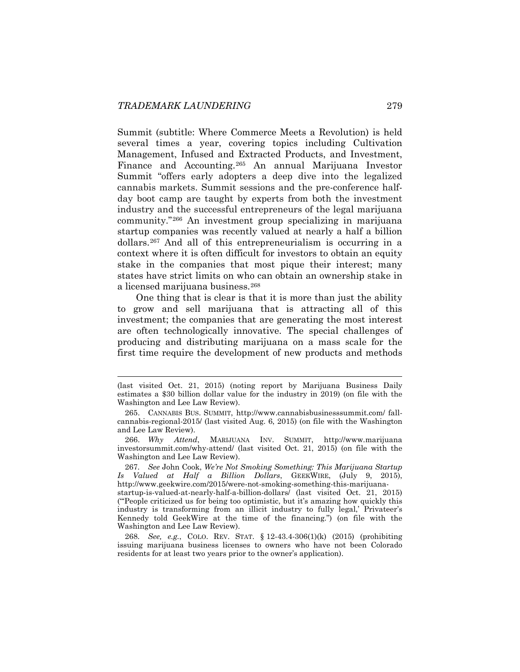Summit (subtitle: Where Commerce Meets a Revolution) is held several times a year, covering topics including Cultivation Management, Infused and Extracted Products, and Investment, Finance and Accounting.[265](#page-64-0) An annual Marijuana Investor Summit "offers early adopters a deep dive into the legalized cannabis markets. Summit sessions and the pre-conference halfday boot camp are taught by experts from both the investment industry and the successful entrepreneurs of the legal marijuana community."[266](#page-64-1) An investment group specializing in marijuana startup companies was recently valued at nearly a half a billion dollars.[267](#page-64-2) And all of this entrepreneurialism is occurring in a context where it is often difficult for investors to obtain an equity stake in the companies that most pique their interest; many states have strict limits on who can obtain an ownership stake in a licensed marijuana business.[268](#page-64-3)

One thing that is clear is that it is more than just the ability to grow and sell marijuana that is attracting all of this investment; the companies that are generating the most interest are often technologically innovative. The special challenges of producing and distributing marijuana on a mass scale for the first time require the development of new products and methods

 <sup>(</sup>last visited Oct. 21, 2015) (noting report by Marijuana Business Daily estimates a \$30 billion dollar value for the industry in 2019) (on file with the Washington and Lee Law Review).

<span id="page-64-0"></span><sup>265.</sup> CANNABIS BUS. SUMMIT, http://www.cannabisbusinesssummit.com/ fallcannabis-regional-2015/ (last visited Aug. 6, 2015) (on file with the Washington and Lee Law Review).

<span id="page-64-1"></span><sup>266.</sup> *Why Attend*, MARIJUANA INV. SUMMIT, http://www.marijuana investorsummit.com/why-attend/ (last visited Oct. 21, 2015) (on file with the Washington and Lee Law Review).

<span id="page-64-2"></span><sup>267</sup>*. See* John Cook, *We're Not Smoking Something: This Marijuana Startup Is Valued at Half a Billion Dollars*, GEEKWIRE, (July 9, 2015), http://www.geekwire.com/2015/were-not-smoking-something-this-marijuanastartup-is-valued-at-nearly-half-a-billion-dollars/ (last visited Oct. 21, 2015) ("'People criticized us for being too optimistic, but it's amazing how quickly this industry is transforming from an illicit industry to fully legal,' Privateer's Kennedy told GeekWire at the time of the financing.") (on file with the Washington and Lee Law Review).

<span id="page-64-3"></span><sup>268</sup>*. See, e.g.*, COLO. REV. STAT. § 12-43.4-306(1)(k) (2015) (prohibiting issuing marijuana business licenses to owners who have not been Colorado residents for at least two years prior to the owner's application).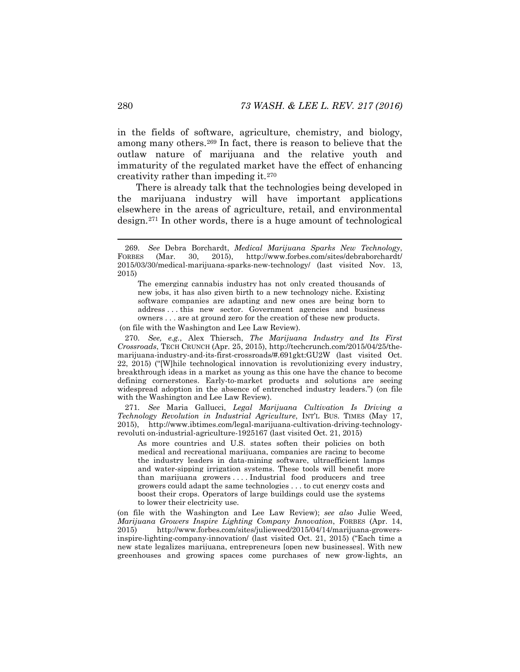in the fields of software, agriculture, chemistry, and biology, among many others.[269](#page-65-0) In fact, there is reason to believe that the outlaw nature of marijuana and the relative youth and immaturity of the regulated market have the effect of enhancing creativity rather than impeding it.[270](#page-65-1)

There is already talk that the technologies being developed in the marijuana industry will have important applications elsewhere in the areas of agriculture, retail, and environmental design.[271](#page-65-2) In other words, there is a huge amount of technological

(on file with the Washington and Lee Law Review).

<span id="page-65-1"></span>270*. See, e.g.*, Alex Thiersch, *The Marijuana Industry and Its First Crossroads*, TECH CRUNCH (Apr. 25, 2015), http://techcrunch.com/2015/04/25/themarijuana-industry-and-its-first-crossroads/#.691gkt:GU2W (last visited Oct. 22, 2015) ("[W]hile technological innovation is revolutionizing every industry, breakthrough ideas in a market as young as this one have the chance to become defining cornerstones. Early-to-market products and solutions are seeing widespread adoption in the absence of entrenched industry leaders.") (on file with the Washington and Lee Law Review).

<span id="page-65-2"></span>271*. See* Maria Gallucci, *Legal Marijuana Cultivation Is Driving a Technology Revolution in Industrial Agriculture*, INT'L BUS. TIMES (May 17, 2015), http://www.ibtimes.com/legal-marijuana-cultivation-driving-technologyrevoluti on-industrial-agriculture-1925167 (last visited Oct. 21, 2015)

As more countries and U.S. states soften their policies on both medical and recreational marijuana, companies are racing to become the industry leaders in data-mining software, ultraefficient lamps and water-sipping irrigation systems. These tools will benefit more than marijuana growers . . . . Industrial food producers and tree growers could adapt the same technologies . . . to cut energy costs and boost their crops. Operators of large buildings could use the systems to lower their electricity use.

(on file with the Washington and Lee Law Review); *see also* Julie Weed, *Marijuana Growers Inspire Lighting Company Innovation*, FORBES (Apr. 14, 2015) http://www.forbes.com/sites/julieweed/2015/04/14/marijuana-growersinspire-lighting-company-innovation/ (last visited Oct. 21, 2015) ("Each time a new state legalizes marijuana, entrepreneurs [open new businesses]. With new greenhouses and growing spaces come purchases of new grow-lights, an

<span id="page-65-0"></span> <sup>269</sup>*. See* Debra Borchardt, *Medical Marijuana Sparks New Technology*, FORBES (Mar. 30, 2015), http://www.forbes.com/sites/debraborchardt/ 2015/03/30/medical-marijuana-sparks-new-technology/ (last visited Nov. 13, 2015)

The emerging cannabis industry has not only created thousands of new jobs, it has also given birth to a new technology niche. Existing software companies are adapting and new ones are being born to address . . . this new sector. Government agencies and business owners . . . are at ground zero for the creation of these new products.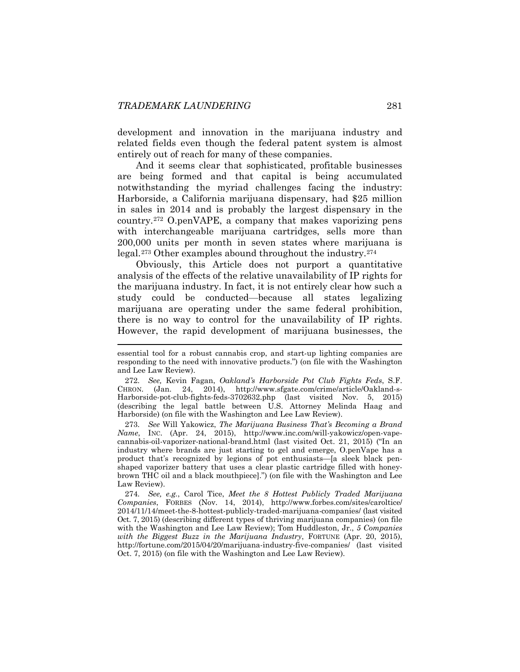development and innovation in the marijuana industry and related fields even though the federal patent system is almost entirely out of reach for many of these companies.

And it seems clear that sophisticated, profitable businesses are being formed and that capital is being accumulated notwithstanding the myriad challenges facing the industry: Harborside, a California marijuana dispensary, had \$25 million in sales in 2014 and is probably the largest dispensary in the country.[272](#page-66-0) O.penVAPE, a company that makes vaporizing pens with interchangeable marijuana cartridges, sells more than 200,000 units per month in seven states where marijuana is legal.[273](#page-66-1) Other examples abound throughout the industry.[274](#page-66-2)

<span id="page-66-3"></span>Obviously, this Article does not purport a quantitative analysis of the effects of the relative unavailability of IP rights for the marijuana industry. In fact, it is not entirely clear how such a study could be conducted—because all states legalizing marijuana are operating under the same federal prohibition, there is no way to control for the unavailability of IP rights. However, the rapid development of marijuana businesses, the

<span id="page-66-1"></span>273*. See* Will Yakowicz, *The Marijuana Business That's Becoming a Brand Name*, INC. (Apr. 24, 2015), http://www.inc.com/will-yakowicz/open-vapecannabis-oil-vaporizer-national-brand.html (last visited Oct. 21, 2015) ("In an industry where brands are just starting to gel and emerge, O.penVape has a product that's recognized by legions of pot enthusiasts—[a sleek black penshaped vaporizer battery that uses a clear plastic cartridge filled with honeybrown THC oil and a black mouthpiece].") (on file with the Washington and Lee Law Review).

<span id="page-66-2"></span>274*. See, e.g.*, Carol Tice, *Meet the 8 Hottest Publicly Traded Marijuana Companies*, FORBES (Nov. 14, 2014), http://www.forbes.com/sites/caroltice/ 2014/11/14/meet-the-8-hottest-publicly-traded-marijuana-companies/ (last visited Oct. 7, 2015) (describing different types of thriving marijuana companies) (on file with the Washington and Lee Law Review); Tom Huddleston, Jr., *5 Companies with the Biggest Buzz in the Marijuana Industry*, FORTUNE (Apr. 20, 2015), http://fortune.com/2015/04/20/marijuana-industry-five-companies/ (last visited Oct. 7, 2015) (on file with the Washington and Lee Law Review).

essential tool for a robust cannabis crop, and start-up lighting companies are responding to the need with innovative products.") (on file with the Washington and Lee Law Review).

<span id="page-66-0"></span><sup>272</sup>*. See,* Kevin Fagan, *Oakland's Harborside Pot Club Fights Feds*, S.F. CHRON. (Jan. 24, 2014), http://www.sfgate.com/crime/article/Oakland-s-Harborside-pot-club-fights-feds-3702632.php (last visited Nov. 5, 2015) (describing the legal battle between U.S. Attorney Melinda Haag and Harborside) (on file with the Washington and Lee Law Review).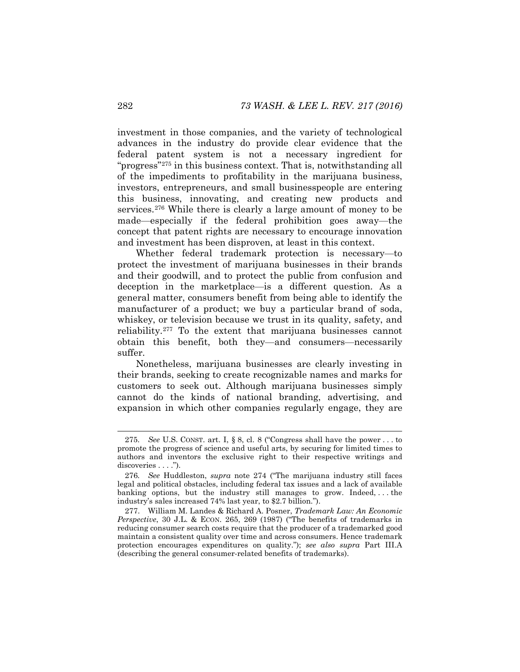investment in those companies, and the variety of technological advances in the industry do provide clear evidence that the federal patent system is not a necessary ingredient for "progress["275](#page-67-0) in this business context. That is, notwithstanding all of the impediments to profitability in the marijuana business, investors, entrepreneurs, and small businesspeople are entering this business, innovating, and creating new products and services.[276](#page-67-1) While there is clearly a large amount of money to be made—especially if the federal prohibition goes away—the concept that patent rights are necessary to encourage innovation and investment has been disproven, at least in this context.

Whether federal trademark protection is necessary—to protect the investment of marijuana businesses in their brands and their goodwill, and to protect the public from confusion and deception in the marketplace—is a different question. As a general matter, consumers benefit from being able to identify the manufacturer of a product; we buy a particular brand of soda, whiskey, or television because we trust in its quality, safety, and reliability.[277](#page-67-2) To the extent that marijuana businesses cannot obtain this benefit, both they—and consumers—necessarily suffer.

Nonetheless, marijuana businesses are clearly investing in their brands, seeking to create recognizable names and marks for customers to seek out. Although marijuana businesses simply cannot do the kinds of national branding, advertising, and expansion in which other companies regularly engage, they are

<span id="page-67-0"></span> <sup>275</sup>*. See* U.S. CONST. art. I, § 8, cl. 8 ("Congress shall have the power . . . to promote the progress of science and useful arts, by securing for limited times to authors and inventors the exclusive right to their respective writings and discoveries . . . .").

<span id="page-67-1"></span><sup>276</sup>*. See* Huddleston, *supra* note [274](#page-66-3) ("The marijuana industry still faces legal and political obstacles, including federal tax issues and a lack of available banking options, but the industry still manages to grow. Indeed, . . . the industry's sales increased 74% last year, to \$2.7 billion.").

<span id="page-67-2"></span><sup>277.</sup> William M. Landes & Richard A. Posner, *Trademark Law: An Economic Perspective*, 30 J.L. & ECON. 265, 269 (1987) ("The benefits of trademarks in reducing consumer search costs require that the producer of a trademarked good maintain a consistent quality over time and across consumers. Hence trademark protection encourages expenditures on quality."); *see also supra* Part III.A (describing the general consumer-related benefits of trademarks).